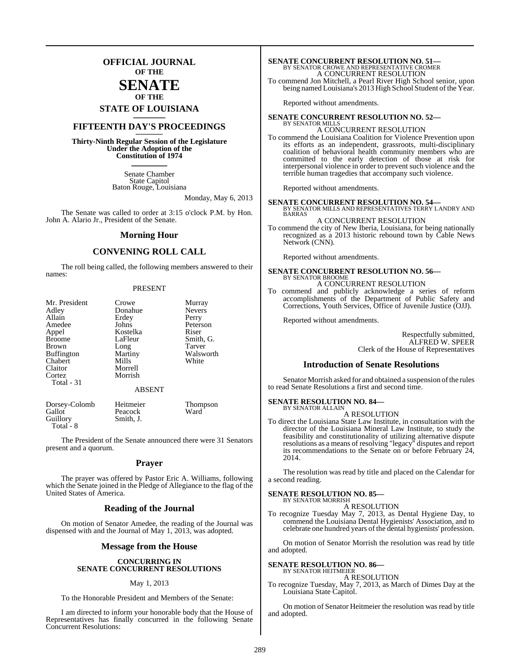## **OFFICIAL JOURNAL OF THE**

## **SENATE OF THE**

# **STATE OF LOUISIANA \_\_\_\_\_\_\_**

## **FIFTEENTH DAY'S PROCEEDINGS \_\_\_\_\_\_\_**

**Thirty-Ninth Regular Session of the Legislature Under the Adoption of the Constitution of 1974 \_\_\_\_\_\_\_**

> Senate Chamber State Capitol Baton Rouge, Louisiana

> > Monday, May 6, 2013

The Senate was called to order at 3:15 o'clock P.M. by Hon. John A. Alario Jr., President of the Senate.

#### **Morning Hour**

### **CONVENING ROLL CALL**

The roll being called, the following members answered to their names:

#### PRESENT

| Mr. President     | Crowe    | Murray        |
|-------------------|----------|---------------|
| Adley             | Donahue  | <b>Nevers</b> |
| Allain            | Erdey    | Perry         |
| Amedee            | Johns    | Peterson      |
| Appel             | Kostelka | Riser         |
| <b>Broome</b>     | LaFleur  | Smith, G.     |
| <b>Brown</b>      | Long     | Tarver        |
| <b>Buffington</b> | Martiny  | Walsworth     |
| Chabert           | Mills    | White         |
| Claitor           | Morrell  |               |
| Cortez            | Morrish  |               |
| Total - 31        |          |               |
|                   | ABSENT   |               |

Dorsey-Colomb Heitmeier Thompson Gallot Peacock<br>
Guillory Smith, J. Smith, J. Total - 8

The President of the Senate announced there were 31 Senators present and a quorum.

#### **Prayer**

The prayer was offered by Pastor Eric A. Williams, following which the Senate joined in the Pledge of Allegiance to the flag of the United States of America.

#### **Reading of the Journal**

On motion of Senator Amedee, the reading of the Journal was dispensed with and the Journal of May 1, 2013, was adopted.

#### **Message from the House**

#### **CONCURRING IN SENATE CONCURRENT RESOLUTIONS**

#### May 1, 2013

To the Honorable President and Members of the Senate:

I am directed to inform your honorable body that the House of Representatives has finally concurred in the following Senate Concurrent Resolutions:

# **SENATE CONCURRENT RESOLUTION NO. 51—**<br>BY SENATOR CROWE AND REPRESENTATIVE CROMER<br>A CONCURRENT RESOLUTION

To commend Jon Mitchell, a Pearl River High School senior, upon being named Louisiana's 2013 High School Student of the Year.

Reported without amendments.

#### **SENATE CONCURRENT RESOLUTION NO. 52— BY SENATOR MILL**

#### A CONCURRENT RESOLUTION

To commend the Louisiana Coalition for Violence Prevention upon its efforts as an independent, grassroots, multi-disciplinary coalition of behavioral health community members who are committed to the early detection of those at risk for interpersonal violence in order to prevent such violence and the terrible human tragedies that accompany such violence.

Reported without amendments.

### **SENATE CONCURRENT RESOLUTION NO. 54—** BY SENATOR MILLS AND REPRESENTATIVES TERRY LANDRY AND BARRAS

A CONCURRENT RESOLUTION

To commend the city of New Iberia, Louisiana, for being nationally recognized as a 2013 historic rebound town by Cable News Network (CNN).

Reported without amendments.

#### **SENATE CONCURRENT RESOLUTION NO. 56—** BY SENATOR BROOME

A CONCURRENT RESOLUTION

To commend and publicly acknowledge a series of reform accomplishments of the Department of Public Safety and Corrections, Youth Services, Office of Juvenile Justice (OJJ).

Reported without amendments.

Respectfully submitted, ALFRED W. SPEER Clerk of the House of Representatives

#### **Introduction of Senate Resolutions**

Senator Morrish asked for and obtained a suspension of the rules to read Senate Resolutions a first and second time.

#### **SENATE RESOLUTION NO. 84—** BY SENATOR ALLAIN

A RESOLUTION

To direct the Louisiana State Law Institute, in consultation with the director of the Louisiana Mineral Law Institute, to study the feasibility and constitutionality of utilizing alternative dispute resolutions as a means of resolving "legacy" disputes and report its recommendations to the Senate on or before February 24, 2014.

The resolution was read by title and placed on the Calendar for a second reading.

#### **SENATE RESOLUTION NO. 85—** BY SENATOR MORRISH

A RESOLUTION

To recognize Tuesday May 7, 2013, as Dental Hygiene Day, to commend the Louisiana Dental Hygienists' Association, and to celebrate one hundred years of the dental hygienists' profession.

On motion of Senator Morrish the resolution was read by title and adopted.

#### **SENATE RESOLUTION NO. 86—**

BY SENATOR HEITMEIER A RESOLUTION

To recognize Tuesday, May 7, 2013, as March of Dimes Day at the Louisiana State Capitol.

On motion of Senator Heitmeier the resolution was read by title and adopted.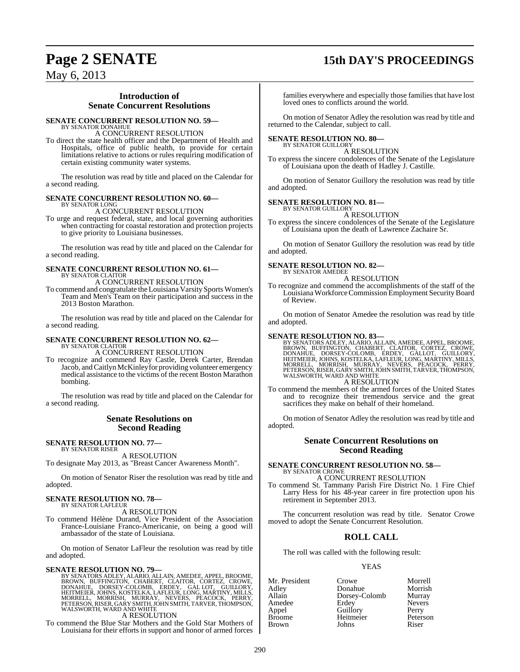# **Page 2 SENATE 15th DAY'S PROCEEDINGS**

May 6, 2013

### **Introduction of Senate Concurrent Resolutions**

#### **SENATE CONCURRENT RESOLUTION NO. 59—**

BY SENATOR DONAHUE A CONCURRENT RESOLUTION

To direct the state health officer and the Department of Health and Hospitals, office of public health, to provide for certain limitations relative to actions or rules requiring modification of certain existing community water systems.

The resolution was read by title and placed on the Calendar for a second reading.

#### **SENATE CONCURRENT RESOLUTION NO. 60—**

BY SENATOR LONG A CONCURRENT RESOLUTION

To urge and request federal, state, and local governing authorities when contracting for coastal restoration and protection projects to give priority to Louisiana businesses.

The resolution was read by title and placed on the Calendar for a second reading.

## **SENATE CONCURRENT RESOLUTION NO. 61—** BY SENATOR CLAITOR A CONCURRENT RESOLUTION

To commend and congratulate theLouisiana Varsity Sports Women's Team and Men's Team on their participation and success in the 2013 Boston Marathon.

The resolution was read by title and placed on the Calendar for a second reading.

#### **SENATE CONCURRENT RESOLUTION NO. 62—** BY SENATOR CLAITOR A CONCURRENT RESOLUTION

To recognize and commend Ray Castle, Derek Carter, Brendan Jacob, and Caitlyn McKinley for providing volunteer emergency medical assistance to the victims of the recent Boston Marathon

bombing. The resolution was read by title and placed on the Calendar for a second reading.

### **Senate Resolutions on Second Reading**

#### **SENATE RESOLUTION NO. 77—** BY SENATOR RISER

A RESOLUTION To designate May 2013, as "Breast Cancer Awareness Month".

On motion of Senator Riser the resolution was read by title and adopted.

#### **SENATE RESOLUTION NO. 78—** BY SENATOR LAFLEUR

A RESOLUTION

To commend Hélène Durand, Vice President of the Association France-Louisiane Franco-Americanie, on being a good will ambassador of the state of Louisiana.

On motion of Senator LaFleur the resolution was read by title and adopted.

SENATE RESOLUTION NO. 79—<br>BY SENATORS ADLEY, ALARIO, ALLAIN, AMEDEE, APPEL, BROOME, BROOME, CHABERT, CLAITOR, CORTEZ, CROWE,<br>DONAHUE, DORSEY-COLOMB, ERDEY, GAL LOT, GUILLORY,<br>HEITMEIER, JOHNS, KOSTELKA, LAFLEUR, LONG, MART A RESOLUTION

To commend the Blue Star Mothers and the Gold Star Mothers of Louisiana for their efforts in support and honor of armed forces

families everywhere and especially those families that have lost loved ones to conflicts around the world.

On motion of Senator Adley the resolution was read by title and returned to the Calendar, subject to call.

#### **SENATE RESOLUTION NO. 80—**

BY SENATOR GUILLORY A RESOLUTION

To express the sincere condolences of the Senate of the Legislature of Louisiana upon the death of Hadley J. Castille.

On motion of Senator Guillory the resolution was read by title and adopted.

#### **SENATE RESOLUTION NO. 81—**

BY SENATOR GUILLORY A RESOLUTION

To express the sincere condolences of the Senate of the Legislature of Louisiana upon the death of Lawrence Zachaire Sr.

On motion of Senator Guillory the resolution was read by title and adopted.

#### **SENATE RESOLUTION NO. 82—** BY SENATOR AMEDEE

A RESOLUTION

To recognize and commend the accomplishments of the staff of the Louisiana Workforce Commission Employment Security Board of Review.

On motion of Senator Amedee the resolution was read by title and adopted.

#### **SENATE RESOLUTION NO. 83—**

BY SENATORS ADLEY, ALARIO, ALLAIN, AMEDEE, APPEL, BROOME, BROWN, BUFFINGTON, CHABERT, CLAITOR, CORTEZ, CROWE,<br>DONAHUE, DORSEY-COLOMB, ERDEY, GALLOT, GUILLORY,<br>HEITMEIER, JOHNS, KOSTELKA, LAFLEUR, LONG, MARTINY, MILLS,<br>MORR

To commend the members of the armed forces of the United States and to recognize their tremendous service and the great sacrifices they make on behalf of their homeland.

On motion of Senator Adley the resolution was read by title and adopted.

#### **Senate Concurrent Resolutions on Second Reading**

**SENATE CONCURRENT RESOLUTION NO. 58—** BY SENATOR CROWE A CONCURRENT RESOLUTION

To commend St. Tammany Parish Fire District No. 1 Fire Chief Larry Hess for his 48-year career in fire protection upon his retirement in September 2013.

The concurrent resolution was read by title. Senator Crowe moved to adopt the Senate Concurrent Resolution.

### **ROLL CALL**

The roll was called with the following result:

#### YEAS

Mr. President Crowe Morrell<br>
Adley Donahue Morrish Adley Donahue Morrish Dorsey-Colomb Murray<br>Erdey Nevers Amedee Erdey Never<br>
Appel Guillory Perry Appel Guillory Perry<br>Broome Heitmeier Peterson Heitmeier Peters<br>Johns Riser **Brown**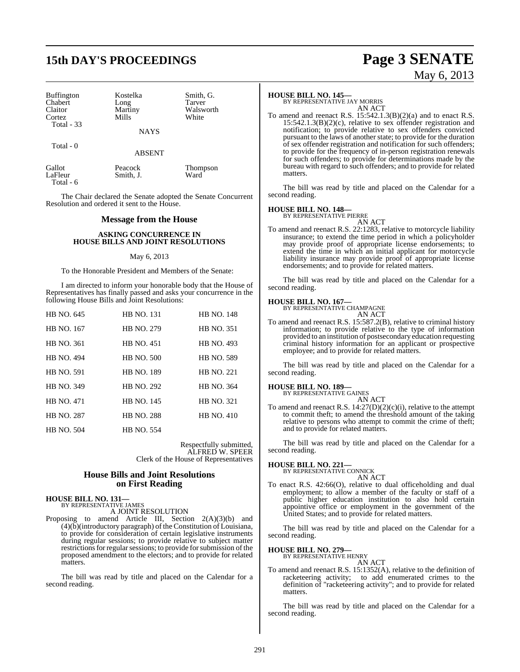# **15th DAY'S PROCEEDINGS Page 3 SENATE**

| <b>Buffington</b> | Kostelka    | Smith, G. |
|-------------------|-------------|-----------|
| Chabert           | Long        | Tarver    |
| <b>Claitor</b>    | Martiny     | Walsworth |
| Cortez            | Mills       | White     |
| Total $-33$       |             |           |
|                   | <b>NAYS</b> |           |

Total - 0

ABSENT

| Gallot    | Peacock   | Thompson |
|-----------|-----------|----------|
| LaFleur   | Smith, J. | Ward     |
| Total - 6 |           |          |

The Chair declared the Senate adopted the Senate Concurrent Resolution and ordered it sent to the House.

#### **Message from the House**

#### **ASKING CONCURRENCE IN HOUSE BILLS AND JOINT RESOLUTIONS**

#### May 6, 2013

To the Honorable President and Members of the Senate:

I am directed to inform your honorable body that the House of Representatives has finally passed and asks your concurrence in the following House Bills and Joint Resolutions:

| HB NO. 645        | <b>HB NO. 131</b> | <b>HB NO. 148</b> |
|-------------------|-------------------|-------------------|
| HB NO. 167        | <b>HB NO. 279</b> | <b>HB NO. 351</b> |
| <b>HB NO. 361</b> | <b>HB NO. 451</b> | <b>HB NO. 493</b> |
| <b>HB NO. 494</b> | <b>HB NO. 500</b> | <b>HB NO. 589</b> |
| <b>HB NO. 591</b> | <b>HB NO. 189</b> | <b>HB NO. 221</b> |
| HB NO. 349        | <b>HB NO. 292</b> | <b>HB NO. 364</b> |
| <b>HB NO. 471</b> | <b>HB NO. 145</b> | <b>HB NO. 321</b> |
| <b>HB NO. 287</b> | <b>HB NO. 288</b> | <b>HB NO. 410</b> |
| <b>HB NO. 504</b> | <b>HB NO. 554</b> |                   |

Respectfully submitted, ALFRED W. SPEER Clerk of the House of Representatives

#### **House Bills and Joint Resolutions on First Reading**

**HOUSE BILL NO. 131—** BY REPRESENTATIVE JAMES

A JOINT RESOLUTION

Proposing to amend Article III, Section 2(A)(3)(b) and  $(4)(\tilde{b})$ (introductory paragraph) of the Constitution of Louisiana, to provide for consideration of certain legislative instruments during regular sessions; to provide relative to subject matter restrictions for regular sessions; to provide for submission of the proposed amendment to the electors; and to provide for related matters.

The bill was read by title and placed on the Calendar for a second reading.

#### **HOUSE BILL NO. 145—**

BY REPRESENTATIVE JAY MORRIS AN ACT

To amend and reenact R.S.  $15:542.1.3(B)(2)(a)$  and to enact R.S.  $15:542.1.3(B)(2)(c)$ , relative to sex offender registration and notification; to provide relative to sex offenders convicted pursuant to the laws of another state; to provide for the duration of sex offender registration and notification for such offenders; to provide for the frequency of in-person registration renewals for such offenders; to provide for determinations made by the bureau with regard to such offenders; and to provide for related matters.

The bill was read by title and placed on the Calendar for a second reading.

**HOUSE BILL NO. 148—** BY REPRESENTATIVE PIERRE

AN ACT To amend and reenact R.S. 22:1283, relative to motorcycle liability insurance; to extend the time period in which a policyholder may provide proof of appropriate license endorsements; to extend the time in which an initial applicant for motorcycle liability insurance may provide proof of appropriate license endorsements; and to provide for related matters.

The bill was read by title and placed on the Calendar for a second reading.

#### **HOUSE BILL NO. 167—**



To amend and reenact R.S. 15:587.2(B), relative to criminal history information; to provide relative to the type of information provided to an institution of postsecondary education requesting criminal history information for an applicant or prospective employee; and to provide for related matters.

The bill was read by title and placed on the Calendar for a second reading.

#### **HOUSE BILL NO. 189—**

BY REPRESENTATIVE GAINES

AN ACT To amend and reenact R.S.  $14:27(D)(2)(c)(i)$ , relative to the attempt to commit theft; to amend the threshold amount of the taking relative to persons who attempt to commit the crime of theft; and to provide for related matters.

The bill was read by title and placed on the Calendar for a second reading.

# **HOUSE BILL NO. 221—** BY REPRESENTATIVE CONNICK

AN ACT

To enact R.S. 42:66(O), relative to dual officeholding and dual employment; to allow a member of the faculty or staff of a public higher education institution to also hold certain appointive office or employment in the government of the United States; and to provide for related matters.

The bill was read by title and placed on the Calendar for a second reading.

#### **HOUSE BILL NO. 279—**

BY REPRESENTATIVE HENRY AN ACT

To amend and reenact R.S. 15:1352(A), relative to the definition of racketeering activity; to add enumerated crimes to the definition of "racketeering activity"; and to provide for related matters.

The bill was read by title and placed on the Calendar for a second reading.

# May 6, 2013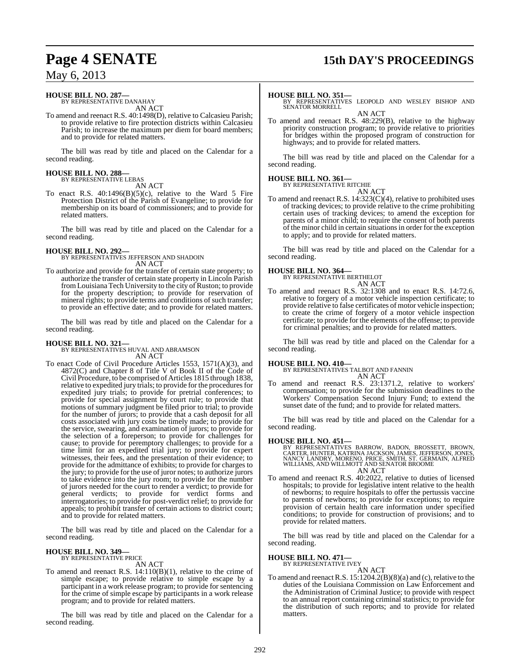# **Page 4 SENATE 15th DAY'S PROCEEDINGS**

## May 6, 2013

#### **HOUSE BILL NO. 287—** BY REPRESENTATIVE DANAHAY

AN ACT

To amend and reenact R.S. 40:1498(D), relative to Calcasieu Parish; to provide relative to fire protection districts within Calcasieu Parish; to increase the maximum per diem for board members; and to provide for related matters.

The bill was read by title and placed on the Calendar for a second reading.

# **HOUSE BILL NO. 288—** BY REPRESENTATIVE LEBAS

AN ACT

To enact R.S.  $40:1496(B)(5)(c)$ , relative to the Ward 5 Fire Protection District of the Parish of Evangeline; to provide for membership on its board of commissioners; and to provide for related matters.

The bill was read by title and placed on the Calendar for a second reading.

#### **HOUSE BILL NO. 292—** BY REPRESENTATIVES JEFFERSON AND SHADOIN

AN ACT

To authorize and provide for the transfer of certain state property; to authorize the transfer of certain state property in Lincoln Parish from Louisiana Tech University to the city of Ruston; to provide for the property description; to provide for reservation of mineral rights; to provide terms and conditions of such transfer; to provide an effective date; and to provide for related matters.

The bill was read by title and placed on the Calendar for a second reading.

**HOUSE BILL NO. 321—** BY REPRESENTATIVES HUVAL AND ABRAMSON AN ACT

To enact Code of Civil Procedure Articles 1553, 1571(A)(3), and 4872(C) and Chapter 8 of Title V of Book II of the Code of Civil Procedure, to be comprised of Articles 1815 through 1838, relative to expedited jury trials; to provide for the procedures for expedited jury trials; to provide for pretrial conferences; to provide for special assignment by court rule; to provide that motions of summary judgment be filed prior to trial; to provide for the number of jurors; to provide that a cash deposit for all costs associated with jury costs be timely made; to provide for the service, swearing, and examination of jurors; to provide for the selection of a foreperson; to provide for challenges for cause; to provide for peremptory challenges; to provide for a time limit for an expedited trial jury; to provide for expert witnesses, their fees, and the presentation of their evidence; to provide for the admittance of exhibits; to provide for charges to the jury; to provide for the use of juror notes; to authorize jurors to take evidence into the jury room; to provide for the number of jurors needed for the court to render a verdict; to provide for general verdicts; to provide for verdict forms and interrogatories; to provide for post-verdict relief; to provide for appeals; to prohibit transfer of certain actions to district court; and to provide for related matters.

The bill was read by title and placed on the Calendar for a second reading.

# **HOUSE BILL NO. 349—** BY REPRESENTATIVE PRICE

AN ACT

To amend and reenact R.S. 14:110(B)(1), relative to the crime of simple escape; to provide relative to simple escape by a participant in a work release program; to provide for sentencing for the crime of simple escape by participants in a work release program; and to provide for related matters.

The bill was read by title and placed on the Calendar for a second reading.

**HOUSE BILL NO. 351—** BY REPRESENTATIVES LEOPOLD AND WESLEY BISHOP AND SENATOR MORRELL AN ACT

To amend and reenact R.S. 48:229(B), relative to the highway priority construction program; to provide relative to priorities for bridges within the proposed program of construction for highways; and to provide for related matters.

The bill was read by title and placed on the Calendar for a second reading.

#### **HOUSE BILL NO. 361—** BY REPRESENTATIVE RITCHIE

AN ACT

To amend and reenact R.S. 14:323(C)(4), relative to prohibited uses of tracking devices; to provide relative to the crime prohibiting certain uses of tracking devices; to amend the exception for parents of a minor child; to require the consent of both parents of the minor child in certain situationsin order for the exception to apply; and to provide for related matters.

The bill was read by title and placed on the Calendar for a second reading.

#### **HOUSE BILL NO. 364—**

| BY REPRESENTATIVE BERTHELOT |  |
|-----------------------------|--|
| AN ACT                      |  |

To amend and reenact R.S. 32:1308 and to enact R.S. 14:72.6, relative to forgery of a motor vehicle inspection certificate; to provide relative to false certificates of motor vehicle inspection; to create the crime of forgery of a motor vehicle inspection certificate; to provide for the elements of the offense; to provide for criminal penalties; and to provide for related matters.

The bill was read by title and placed on the Calendar for a second reading.

**HOUSE BILL NO. 410—** BY REPRESENTATIVES TALBOT AND FANNIN AN ACT

To amend and reenact R.S. 23:1371.2, relative to workers' compensation; to provide for the submission deadlines to the Workers' Compensation Second Injury Fund; to extend the sunset date of the fund; and to provide for related matters.

The bill was read by title and placed on the Calendar for a second reading.

#### **HOUSE BILL NO. 451—**

BY REPRESENTATIVES BARROW, BADON, BROSSETT, BROWN,<br>CARTER,HUNTER, KATRINA JACKSON, JAMES, JEFFERSON, JONES,<br>NANCY LANDRY, MORENO, PRICE, SMITH, ST. GERMAIN, ALFRED<br>WILLIAMS, AND WILLMOTT AND SENATOR BROOME AN ACT

To amend and reenact R.S. 40:2022, relative to duties of licensed hospitals; to provide for legislative intent relative to the health of newborns; to require hospitals to offer the pertussis vaccine to parents of newborns; to provide for exceptions; to require provision of certain health care information under specified conditions; to provide for construction of provisions; and to provide for related matters.

The bill was read by title and placed on the Calendar for a second reading.

#### **HOUSE BILL NO. 471—**

BY REPRESENTATIVE IVEY AN ACT

To amend and reenact R.S. 15:1204.2(B)(8)(a) and (c), relative to the duties of the Louisiana Commission on Law Enforcement and the Administration of Criminal Justice; to provide with respect to an annual report containing criminal statistics; to provide for the distribution of such reports; and to provide for related matters.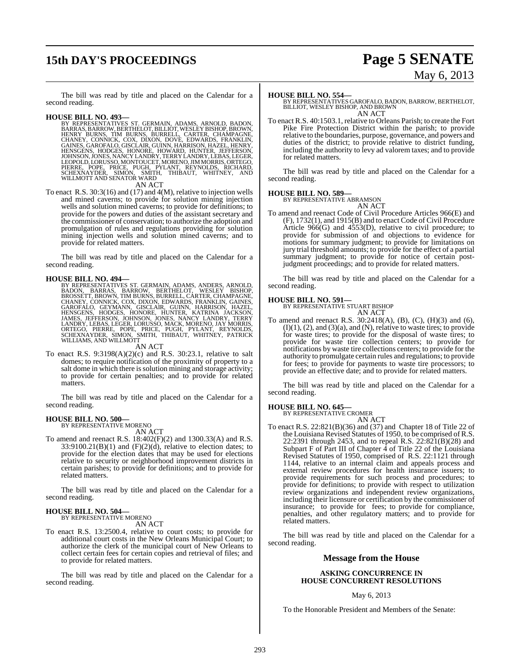# **15th DAY'S PROCEEDINGS Page 5 SENATE**

# May 6, 2013

The bill was read by title and placed on the Calendar for a second reading.

**HOUSE BILL NO. 493—**<br>BY REPRESENTATIVES ST. GERMAIN, ADAMS, ARNOLD, BADON,<br>BARRAS, BARROW, BERTHELOT, BILLIOT, WESLEY BISHOP, BROWN,<br>HENRY BURNS, TIM BURNS, BURRELL, CARTER, CHAMPAGNE,<br>CHANEY, CONNICK, COX, DIXON, DOVE, E PIERRE, POPE, PRICE, PUGH, PYLANT, REYNOLDS, RICHARD,<br>SCHEXNAYDER, SIMON, SMITH, THIBAUT, WHITNEY, AND<br>WILLMOTTAND SENATOR WARD

AN ACT

To enact R.S. 30:3(16) and (17) and 4(M), relative to injection wells and mined caverns; to provide for solution mining injection wells and solution mined caverns; to provide for definitions; to provide for the powers and duties of the assistant secretary and the commissioner of conservation; to authorize the adoption and promulgation of rules and regulations providing for solution mining injection wells and solution mined caverns; and to provide for related matters.

The bill was read by title and placed on the Calendar for a second reading.

**HOUSE BILL NO. 494—**<br>BY REPRESENTATIVES ST. GERMAIN, ADAMS, ANDERS, ARNOLD,<br>BADON, BARRAS, BARROW, BERTHELOT, WESLEY BISHOP,<br>BROSSETT, BROWN, TIM BURNS, BURRELL, CARTER, CHAMPAGNE,<br>CHANEY, CONNICK, COX, DIXON, EDWARDS, FR

#### AN ACT

To enact R.S. 9:3198(A)(2)(c) and R.S. 30:23.1, relative to salt domes; to require notification of the proximity of property to a salt dome in which there is solution mining and storage activity; to provide for certain penalties; and to provide for related matters.

The bill was read by title and placed on the Calendar for a second reading.

#### **HOUSE BILL NO. 500—** BY REPRESENTATIVE MORENO

AN ACT

To amend and reenact R.S. 18:402(F)(2) and 1300.33(A) and R.S.  $33:9100.21(B)(1)$  and  $(F)(2)(d)$ , relative to election dates; to provide for the election dates that may be used for elections relative to security or neighborhood improvement districts in certain parishes; to provide for definitions; and to provide for related matters.

The bill was read by title and placed on the Calendar for a second reading.

# **HOUSE BILL NO. 504—** BY REPRESENTATIVE MORENO

AN ACT

To enact R.S. 13:2500.4, relative to court costs; to provide for additional court costs in the New Orleans Municipal Court; to authorize the clerk of the municipal court of New Orleans to collect certain fees for certain copies and retrieval of files; and to provide for related matters.

The bill was read by title and placed on the Calendar for a second reading.

**HOUSE BILL NO. 554—** BY REPRESENTATIVES GAROFALO, BADON, BARROW, BERTHELOT, BILLIOT, WESLEY BISHOP, AND BROWN AN ACT

To enact R.S. 40:1503.1, relative to Orleans Parish; to create the Fort Pike Fire Protection District within the parish; to provide relative to the boundaries, purpose, governance, and powers and duties of the district; to provide relative to district funding, including the authority to levy ad valorem taxes; and to provide for related matters.

The bill was read by title and placed on the Calendar for a second reading.

#### **HOUSE BILL NO. 589—**

BY REPRESENTATIVE ABRAMSON AN ACT

To amend and reenact Code of Civil Procedure Articles 966(E) and (F), 1732(1), and 1915(B) and to enact Code of Civil Procedure Article 966(G) and 4553(D), relative to civil procedure; to provide for submission of and objections to evidence for motions for summary judgment; to provide for limitations on jury trial threshold amounts; to provide for the effect of a partial summary judgment; to provide for notice of certain postjudgment proceedings; and to provide for related matters.

The bill was read by title and placed on the Calendar for a second reading.

**HOUSE BILL NO. 591—** BY REPRESENTATIVE STUART BISHOP

AN ACT To amend and reenact R.S. 30:2418(A), (B), (C), (H)(3) and (6),  $(I)(1)$ ,  $(2)$ , and  $(3)(a)$ , and  $(N)$ , relative to waste tires; to provide for waste tires; to provide for the disposal of waste tires; to provide for waste tire collection centers; to provide for notifications by waste tire collections centers; to provide for the authority to promulgate certain rules and regulations; to provide for fees; to provide for payments to waste tire processors; to provide an effective date; and to provide for related matters.

The bill was read by title and placed on the Calendar for a second reading.

# **HOUSE BILL NO. 645—** BY REPRESENTATIVE CROMER

AN ACT

To enact R.S. 22:821(B)(36) and (37) and Chapter 18 of Title 22 of the Louisiana Revised Statutes of 1950, to be comprised of R.S. 22:2391 through 2453, and to repeal R.S.  $22:821(B)(28)$  and Subpart F of Part III of Chapter 4 of Title 22 of the Louisiana Revised Statutes of 1950, comprised of R.S. 22:1121 through 1144, relative to an internal claim and appeals process and external review procedures for health insurance issuers; to provide requirements for such process and procedures; to provide for definitions; to provide with respect to utilization review organizations and independent review organizations, including their licensure or certification by the commissioner of insurance; to provide for fees; to provide for compliance, penalties, and other regulatory matters; and to provide for related matters.

The bill was read by title and placed on the Calendar for a second reading.

#### **Message from the House**

#### **ASKING CONCURRENCE IN HOUSE CONCURRENT RESOLUTIONS**

#### May 6, 2013

To the Honorable President and Members of the Senate: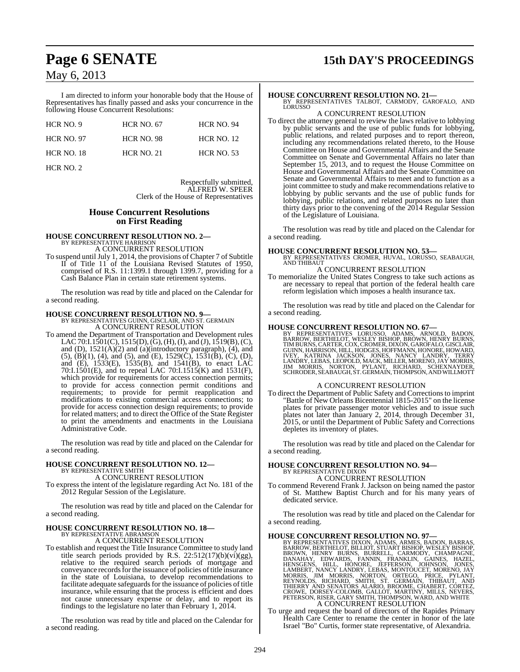I am directed to inform your honorable body that the House of Representatives has finally passed and asks your concurrence in the following House Concurrent Resolutions:

| HCR NO. 9         | <b>HCR NO. 67</b> | <b>HCR NO. 94</b> |
|-------------------|-------------------|-------------------|
| <b>HCR NO. 97</b> | <b>HCR NO. 98</b> | <b>HCR NO. 12</b> |
| <b>HCR NO. 18</b> | <b>HCR NO. 21</b> | <b>HCR NO. 53</b> |

HCR NO. 2

Respectfully submitted, ALFRED W. SPEER Clerk of the House of Representatives

#### **House Concurrent Resolutions on First Reading**

**HOUSE CONCURRENT RESOLUTION NO. 2—** BY REPRESENTATIVE HARRISON A CONCURRENT RESOLUTION

To suspend until July 1, 2014, the provisions of Chapter 7 of Subtitle II of Title 11 of the Louisiana Revised Statutes of 1950, comprised of R.S. 11:1399.1 through 1399.7, providing for a Cash Balance Plan in certain state retirement systems.

The resolution was read by title and placed on the Calendar for a second reading.

## **HOUSE CONCURRENT RESOLUTION NO. 9—** BY REPRESENTATIVES GUINN, GISCLAIR, AND ST. GERMAIN A CONCURRENT RESOLUTION

To amend the Department of Transportation and Development rules LAC 70:I.1501(C), 1515(D), (G), (H), (I), and (J), 1519(B), (C), and (D),  $1521(A)(2)$  and (a)(introductory paragraph), (4), and  $(5)$ ,  $(B)(1)$ ,  $(4)$ , and  $(5)$ , and  $(E)$ ,  $1529(\tilde{C})$ ,  $1531(\tilde{B})$ ,  $(C)$ ,  $(D)$ , and (E), 1533(E), 1535(B), and 1541(B), to enact LAC 70:I.1501(E), and to repeal LAC 70:I.1515(K) and 1531(F), which provide for requirements for access connection permits; to provide for access connection permit conditions and requirements; to provide for permit reapplication and modifications to existing commercial access connections; to provide for access connection design requirements; to provide for related matters; and to direct the Office of the State Register to print the amendments and enactments in the Louisiana Administrative Code.

The resolution was read by title and placed on the Calendar for a second reading.

# **HOUSE CONCURRENT RESOLUTION NO. 12—** BY REPRESENTATIVE SMITH A CONCURRENT RESOLUTION

To express the intent of the legislature regarding Act No. 181 of the 2012 Regular Session of the Legislature.

The resolution was read by title and placed on the Calendar for a second reading.

#### **HOUSE CONCURRENT RESOLUTION NO. 18—** BY REPRESENTATIVE ABRAMSON

A CONCURRENT RESOLUTION

To establish and request the Title Insurance Committee to study land title search periods provided by R.S. 22:512(17)(b)(vi)(gg), relative to the required search periods of mortgage and conveyance records for the issuance of policies of title insurance in the state of Louisiana, to develop recommendations to facilitate adequate safeguards for the issuance of policies of title insurance, while ensuring that the process is efficient and does not cause unnecessary expense or delay, and to report its findings to the legislature no later than February 1, 2014.

The resolution was read by title and placed on the Calendar for a second reading.

# **Page 6 SENATE 15th DAY'S PROCEEDINGS**

**HOUSE CONCURRENT RESOLUTION NO. 21—** BY REPRESENTATIVES TALBOT, CARMODY, GAROFALO, AND LORUSSO A CONCURRENT RESOLUTION

To direct the attorney general to review the laws relative to lobbying by public servants and the use of public funds for lobbying, public relations, and related purposes and to report thereon, including any recommendations related thereto, to the House Committee on House and Governmental Affairs and the Senate Committee on Senate and Governmental Affairs no later than September 15, 2013, and to request the House Committee on House and Governmental Affairs and the Senate Committee on Senate and Governmental Affairs to meet and to function as a joint committee to study and make recommendations relative to lobbying by public servants and the use of public funds for lobbying, public relations, and related purposes no later than thirty days prior to the convening of the 2014 Regular Session of the Legislature of Louisiana.

The resolution was read by title and placed on the Calendar for a second reading.

**HOUSE CONCURRENT RESOLUTION NO. 53—** BY REPRESENTATIVES CROMER, HUVAL, LORUSSO, SEABAUGH, AND THIBAUT

## A CONCURRENT RESOLUTION

To memorialize the United States Congress to take such actions as are necessary to repeal that portion of the federal health care reform legislation which imposes a health insurance tax.

The resolution was read by title and placed on the Calendar for a second reading.

**HOUSE CONCURRENT RESOLUTION NO. 67—**<br>BY REPRESENTATIVES LORUSSO, ADAMS, ARNOLD, BADON,<br>BARROW, BERTHELOT, WESLEY BISHOP, BROWN, HENRY BURNS,<br>TIM BURNS, CARTER, COX, CROMER, DIXON, GAROFALO, GISCLAIR,<br>GUINN, HARRISON, HILL

#### A CONCURRENT RESOLUTION

To direct the Department of Public Safety and Correctionsto imprint "Battle of New Orleans Bicentennial 1815-2015" on the license plates for private passenger motor vehicles and to issue such plates not later than January 2, 2014, through December 31, 2015, or until the Department of Public Safety and Corrections depletes its inventory of plates.

The resolution was read by title and placed on the Calendar for a second reading.

#### **HOUSE CONCURRENT RESOLUTION NO. 94—** BY REPRESENTATIVE DIXON A CONCURRENT RESOLUTION

To commend Reverend Frank J. Jackson on being named the pastor of St. Matthew Baptist Church and for his many years of dedicated service.

The resolution was read by title and placed on the Calendar for a second reading.

- HOUSE CONCURRENT RESOLUTION NO. 97—<br>BY REPRESENTATIVES DIXON, ADAMS, ARMÉS, BARROW, BERTHELOT, BILLIOT, STUART BISHOP, WESLEY BISHOP, BROWN, HENRY BURNS, FAILLOT, STUART BISHOP, WESLEY BISHOP, BROWN, HENRY BURNS, FAIXEL, C A CONCURRENT RESOLUTION
- To urge and request the board of directors of the Rapides Primary Health Care Center to rename the center in honor of the late Israel "Bo" Curtis, former state representative, of Alexandria.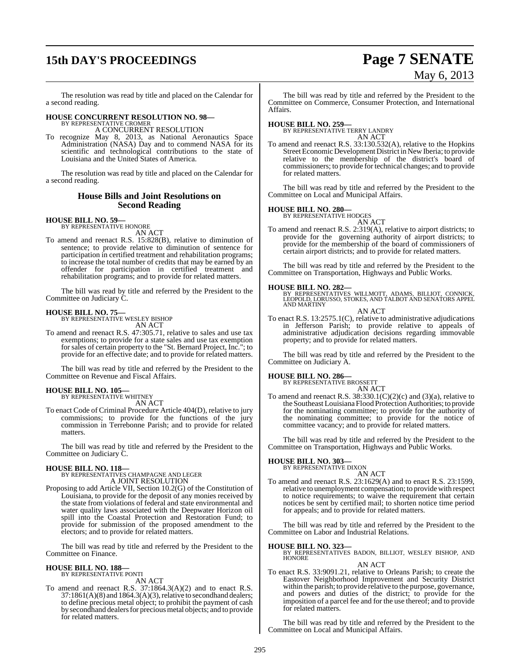# **15th DAY'S PROCEEDINGS Page 7 SENATE**

# May 6, 2013

The resolution was read by title and placed on the Calendar for a second reading.

# **HOUSE CONCURRENT RESOLUTION NO. 98—** BY REPRESENTATIVE CROMER

A CONCURRENT RESOLUTION

To recognize May 8, 2013, as National Aeronautics Space Administration (NASA) Day and to commend NASA for its scientific and technological contributions to the state of Louisiana and the United States of America.

The resolution was read by title and placed on the Calendar for a second reading.

#### **House Bills and Joint Resolutions on Second Reading**

# **HOUSE BILL NO. 59—** BY REPRESENTATIVE HONORE

AN ACT

To amend and reenact R.S. 15:828(B), relative to diminution of sentence; to provide relative to diminution of sentence for participation in certified treatment and rehabilitation programs; to increase the total number of credits that may be earned by an offender for participation in certified treatment and rehabilitation programs; and to provide for related matters.

The bill was read by title and referred by the President to the Committee on Judiciary C.

**HOUSE BILL NO. 75—** BY REPRESENTATIVE WESLEY BISHOP AN ACT

To amend and reenact R.S. 47:305.71, relative to sales and use tax exemptions; to provide for a state sales and use tax exemption for sales of certain property to the "St. Bernard Project, Inc."; to provide for an effective date; and to provide for related matters.

The bill was read by title and referred by the President to the Committee on Revenue and Fiscal Affairs.

# **HOUSE BILL NO. 105—** BY REPRESENTATIVE WHITNEY

AN ACT

To enact Code of Criminal Procedure Article 404(D), relative to jury commissions; to provide for the functions of the jury commission in Terrebonne Parish; and to provide for related matters.

The bill was read by title and referred by the President to the Committee on Judiciary C.

#### **HOUSE BILL NO. 118—**

BY REPRESENTATIVES CHAMPAGNE AND LEGER A JOINT RESOLUTION

Proposing to add Article VII, Section 10.2(G) of the Constitution of Louisiana, to provide for the deposit of any monies received by the state from violations of federal and state environmental and water quality laws associated with the Deepwater Horizon oil spill into the Coastal Protection and Restoration Fund; to provide for submission of the proposed amendment to the electors; and to provide for related matters.

The bill was read by title and referred by the President to the Committee on Finance.

# **HOUSE BILL NO. 188—** BY REPRESENTATIVE PONTI

AN ACT

To amend and reenact R.S. 37:1864.3(A)(2) and to enact R.S.  $37:1861(A)(8)$  and  $1864.3(A)(3)$ , relative to secondhand dealers; to define precious metal object; to prohibit the payment of cash by secondhand dealers for precious metal objects; and to provide for related matters.

The bill was read by title and referred by the President to the Committee on Commerce, Consumer Protection, and International Affairs.

**HOUSE BILL NO. 259—** BY REPRESENTATIVE TERRY LANDRY AN ACT

To amend and reenact R.S. 33:130.532(A), relative to the Hopkins Street Economic Development District in New Iberia; to provide relative to the membership of the district's board of commissioners; to provide for technical changes; and to provide for related matters.

The bill was read by title and referred by the President to the Committee on Local and Municipal Affairs.

# **HOUSE BILL NO. 280—** BY REPRESENTATIVE HODGES

AN ACT

To amend and reenact R.S. 2:319(A), relative to airport districts; to provide for the governing authority of airport districts; to provide for the membership of the board of commissioners of certain airport districts; and to provide for related matters.

The bill was read by title and referred by the President to the Committee on Transportation, Highways and Public Works.

**HOUSE BILL NO. 282—** BY REPRESENTATIVES WILLMOTT, ADAMS, BILLIOT, CONNICK, LEOPOLD, LORUSSO, STOKES, AND TALBOT AND SENATORS APPEL AND MARTINY

AN ACT

To enact R.S. 13:2575.1(C), relative to administrative adjudications in Jefferson Parish; to provide relative to appeals of administrative adjudication decisions regarding immovable property; and to provide for related matters.

The bill was read by title and referred by the President to the Committee on Judiciary A.

#### **HOUSE BILL NO. 286—**

BY REPRESENTATIVE BROSSETT AN ACT

To amend and reenact R.S.  $38:330.1(C)(2)(c)$  and  $(3)(a)$ , relative to the SoutheastLouisiana Flood Protection Authorities; to provide for the nominating committee; to provide for the authority of the nominating committee; to provide for the notice of committee vacancy; and to provide for related matters.

The bill was read by title and referred by the President to the Committee on Transportation, Highways and Public Works.

**HOUSE BILL NO. 303—** BY REPRESENTATIVE DIXON

- AN ACT To amend and reenact R.S. 23:1629(A) and to enact R.S. 23:1599, relative to unemployment compensation; to provide with respect
- to notice requirements; to waive the requirement that certain notices be sent by certified mail; to shorten notice time period for appeals; and to provide for related matters.

The bill was read by title and referred by the President to the Committee on Labor and Industrial Relations.

#### **HOUSE BILL NO. 323—**

BY REPRESENTATIVES BADON, BILLIOT, WESLEY BISHOP, AND HONORE

#### AN ACT

To enact R.S. 33:9091.21, relative to Orleans Parish; to create the Eastover Neighborhood Improvement and Security District within the parish; to provide relative to the purpose, governance, and powers and duties of the district; to provide for the imposition of a parcel fee and for the use thereof; and to provide for related matters.

The bill was read by title and referred by the President to the Committee on Local and Municipal Affairs.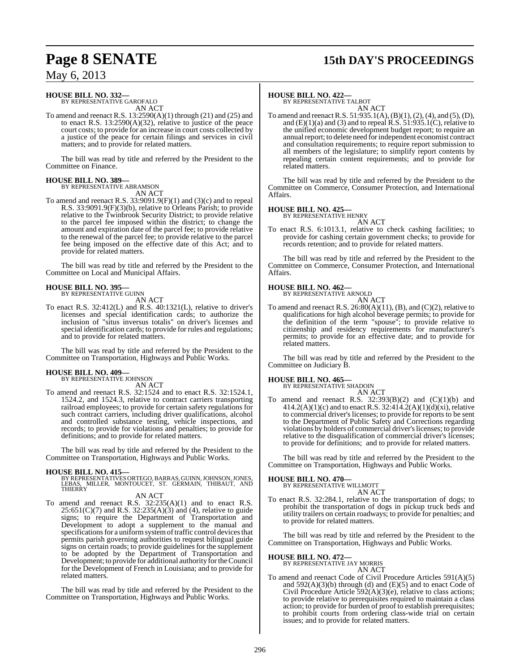# **Page 8 SENATE 15th DAY'S PROCEEDINGS**

## May 6, 2013

# **HOUSE BILL NO. 332—** BY REPRESENTATIVE GAROFALO

AN ACT

To amend and reenact R.S. 13:2590(A)(1) through (21) and (25) and to enact R.S.  $13:2590(A)(32)$ , relative to justice of the peace court costs; to provide for an increase in court costs collected by a justice of the peace for certain filings and services in civil matters; and to provide for related matters.

The bill was read by title and referred by the President to the Committee on Finance.

## **HOUSE BILL NO. 389—**

BY REPRESENTATIVE ABRAMSON AN ACT

To amend and reenact R.S. 33:9091.9(F)(1) and (3)(c) and to repeal R.S. 33:9091.9(F)(3)(b), relative to Orleans Parish; to provide relative to the Twinbrook Security District; to provide relative to the parcel fee imposed within the district; to change the amount and expiration date of the parcel fee; to provide relative to the renewal of the parcel fee; to provide relative to the parcel fee being imposed on the effective date of this Act; and to provide for related matters.

The bill was read by title and referred by the President to the Committee on Local and Municipal Affairs.

#### **HOUSE BILL NO. 395—** BY REPRESENTATIVE GUINN

AN ACT

To enact R.S. 32:412(L) and R.S. 40:1321(L), relative to driver's licenses and special identification cards; to authorize the inclusion of "situs inversus totalis" on driver's licenses and special identification cards; to provide for rules and regulations; and to provide for related matters.

The bill was read by title and referred by the President to the Committee on Transportation, Highways and Public Works.

# **HOUSE BILL NO. 409—** BY REPRESENTATIVE JOHNSON

AN ACT

To amend and reenact R.S. 32:1524 and to enact R.S. 32:1524.1, 1524.2, and 1524.3, relative to contract carriers transporting railroad employees; to provide for certain safety regulations for such contract carriers, including driver qualifications, alcohol and controlled substance testing, vehicle inspections, and records; to provide for violations and penalties; to provide for definitions; and to provide for related matters.

The bill was read by title and referred by the President to the Committee on Transportation, Highways and Public Works.

**HOUSE BILL NO. 415—** BY REPRESENTATIVESORTEGO,BARRAS, GUINN,JOHNSON,JONES, LEBAS, MILLER, MONTOUCET, ST. GERMAIN, THIBAUT, AND **THIERRY** 

## AN ACT

To amend and reenact R.S.  $32:235(A)(1)$  and to enact R.S.  $25:651(C)(7)$  and R.S.  $32:235(A)(3)$  and (4), relative to guide signs; to require the Department of Transportation and Development to adopt a supplement to the manual and specifications for a uniform system of traffic control devices that permits parish governing authorities to request bilingual guide signs on certain roads; to provide guidelines for the supplement to be adopted by the Department of Transportation and Development; to provide for additional authority for the Council for the Development of French in Louisiana; and to provide for related matters.

The bill was read by title and referred by the President to the Committee on Transportation, Highways and Public Works.

#### **HOUSE BILL NO. 422—**

BY REPRESENTATIVE TALBOT AN ACT

To amend and reenact R.S. 51:935.1(A), (B)(1), (2), (4), and (5), (D), and  $(E)(1)(a)$  and  $(3)$  and to repeal R.S.  $51:935.1(C)$ , relative to the unified economic development budget report; to require an annual report; to delete need for independent economist contract and consultation requirements; to require report submission to all members of the legislature; to simplify report contents by repealing certain content requirements; and to provide for related matters.

The bill was read by title and referred by the President to the Committee on Commerce, Consumer Protection, and International Affairs.

# **HOUSE BILL NO. 425—** BY REPRESENTATIVE HENRY

AN ACT

To enact R.S. 6:1013.1, relative to check cashing facilities; to provide for cashing certain government checks; to provide for records retention; and to provide for related matters.

The bill was read by title and referred by the President to the Committee on Commerce, Consumer Protection, and International Affairs.

# **HOUSE BILL NO. 462—** BY REPRESENTATIVE ARNOLD

AN ACT To amend and reenact R.S.  $26:80(A)(11)$ , (B), and (C)(2), relative to qualifications for high alcohol beverage permits; to provide for the definition of the term "spouse"; to provide relative to citizenship and residency requirements for manufacturer's permits; to provide for an effective date; and to provide for related matters.

The bill was read by title and referred by the President to the Committee on Judiciary B.

# **HOUSE BILL NO. 465—** BY REPRESENTATIVE SHADOIN

AN ACT To amend and reenact R.S.  $32:393(B)(2)$  and  $(C)(1)(b)$  and  $414.2(A)(1)(c)$  and to enact R.S. 32:414.2(A)(1)(d)(xi), relative to commercial driver's licenses; to provide for reports to be sent to the Department of Public Safety and Corrections regarding violations by holders of commercial driver'slicenses; to provide relative to the disqualification of commercial driver's licenses; to provide for definitions; and to provide for related matters.

The bill was read by title and referred by the President to the Committee on Transportation, Highways and Public Works.

#### **HOUSE BILL NO. 470—**

BY REPRESENTATIVE WILLMOTT AN ACT

To enact R.S. 32:284.1, relative to the transportation of dogs; to prohibit the transportation of dogs in pickup truck beds and utility trailers on certain roadways; to provide for penalties; and to provide for related matters.

The bill was read by title and referred by the President to the Committee on Transportation, Highways and Public Works.

#### **HOUSE BILL NO. 472—**

BY REPRESENTATIVE JAY MORRIS AN ACT

To amend and reenact Code of Civil Procedure Articles 591(A)(5) and  $592(A)(3)(b)$  through (d) and (E)(5) and to enact Code of Civil Procedure Article 592(A)(3)(e), relative to class actions; to provide relative to prerequisites required to maintain a class action; to provide for burden of proof to establish prerequisites; to prohibit courts from ordering class-wide trial on certain issues; and to provide for related matters.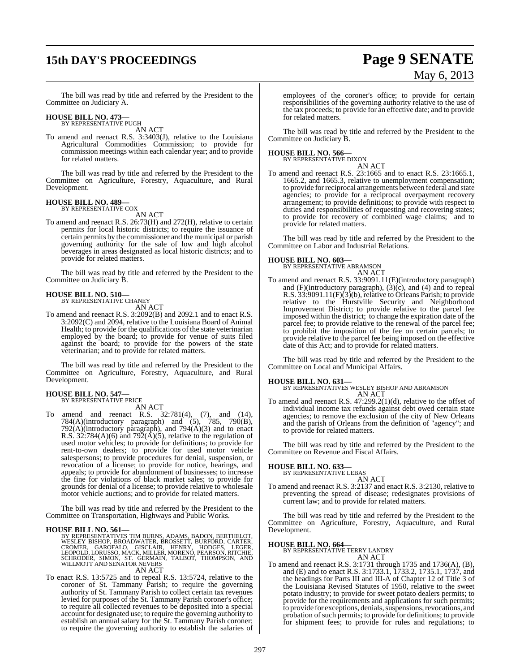# **15th DAY'S PROCEEDINGS Page 9 SENATE**

# May 6, 2013

The bill was read by title and referred by the President to the Committee on Judiciary A.

# **HOUSE BILL NO. 473—** BY REPRESENTATIVE PUGH

AN ACT

To amend and reenact R.S. 3:3403(J), relative to the Louisiana Agricultural Commodities Commission; to provide for commission meetings within each calendar year; and to provide for related matters.

The bill was read by title and referred by the President to the Committee on Agriculture, Forestry, Aquaculture, and Rural Development.

#### **HOUSE BILL NO. 489—** BY REPRESENTATIVE COX

AN ACT

To amend and reenact R.S. 26:73(H) and 272(H), relative to certain permits for local historic districts; to require the issuance of certain permits by the commissioner and the municipal or parish governing authority for the sale of low and high alcohol beverages in areas designated as local historic districts; and to provide for related matters.

The bill was read by title and referred by the President to the Committee on Judiciary B.

#### **HOUSE BILL NO. 510—**

BY REPRESENTATIVE CHANEY

AN ACT

To amend and reenact R.S. 3:2092(B) and 2092.1 and to enact R.S. 3:2092(C) and 2094, relative to the Louisiana Board of Animal Health; to provide for the qualifications of the state veterinarian employed by the board; to provide for venue of suits filed against the board; to provide for the powers of the state veterinarian; and to provide for related matters.

The bill was read by title and referred by the President to the Committee on Agriculture, Forestry, Aquaculture, and Rural Development.

#### **HOUSE BILL NO. 547—** BY REPRESENTATIVE PRICE

AN ACT

To amend and reenact R.S. 32:781(4), (7), and (14), 784(A)(introductory paragraph) and (5), 785, 790(B),  $792(A)$ (introductory paragraph), and  $794(A)(3)$  and to enact R.S. 32:784(A)(6) and 792( $\hat{A}$ )(5), relative to the regulation of used motor vehicles; to provide for definitions; to provide for rent-to-own dealers; to provide for used motor vehicle salespersons; to provide procedures for denial, suspension, or revocation of a license; to provide for notice, hearings, and appeals; to provide for abandonment of businesses; to increase the fine for violations of black market sales; to provide for grounds for denial of a license; to provide relative to wholesale motor vehicle auctions; and to provide for related matters.

The bill was read by title and referred by the President to the Committee on Transportation, Highways and Public Works.

**HOUSE BILL NO. 561—** BY REPRESENTATIVES TIM BURNS, ADAMS, BADON, BERTHELOT, WESLEY BISHOP, BROADWATER, BROSSETT, BURFORD, CARTER,<br>CROMER, GAROFALO, GISCLAIR, HENRY, HODGES, LEGER,<br>LEOPOLD, LORUSSO, MACK, MILLER, MORENO, PEARSON, RITCHIE,<br>SCHRODER, SIMON, ST. GERMAIN, TALBOT, THOMPSON, AND<br>WILLMOTT AN ACT

To enact R.S. 13:5725 and to repeal R.S. 13:5724, relative to the coroner of St. Tammany Parish; to require the governing authority of St. Tammany Parish to collect certain tax revenues levied for purposes of the St. Tammany Parish coroner's office; to require all collected revenues to be deposited into a special account for designated use; to require the governing authority to establish an annual salary for the St. Tammany Parish coroner; to require the governing authority to establish the salaries of

employees of the coroner's office; to provide for certain responsibilities of the governing authority relative to the use of the tax proceeds; to provide for an effective date; and to provide for related matters.

The bill was read by title and referred by the President to the Committee on Judiciary B.

**HOUSE BILL NO. 566—** BY REPRESENTATIVE DIXON

AN ACT

To amend and reenact R.S. 23:1665 and to enact R.S. 23:1665.1, 1665.2, and 1665.3, relative to unemployment compensation; to provide for reciprocal arrangements between federal and state agencies; to provide for a reciprocal overpayment recovery arrangement; to provide definitions; to provide with respect to duties and responsibilities of requesting and recovering states; to provide for recovery of combined wage claims; and to provide for related matters.

The bill was read by title and referred by the President to the Committee on Labor and Industrial Relations.

#### **HOUSE BILL NO. 603—**

BY REPRESENTATIVE ABRAMSON AN ACT

To amend and reenact R.S. 33:9091.11(E)(introductory paragraph) and (F)(introductory paragraph), (3)(c), and (4) and to repeal R.S. 33:9091.11(F)(3)(b), relative to Orleans Parish; to provide relative to the Hurstville Security and Neighborhood Improvement District; to provide relative to the parcel fee imposed within the district; to change the expiration date of the parcel fee; to provide relative to the renewal of the parcel fee; to prohibit the imposition of the fee on certain parcels; to provide relative to the parcel fee being imposed on the effective date of this Act; and to provide for related matters.

The bill was read by title and referred by the President to the Committee on Local and Municipal Affairs.

**HOUSE BILL NO. 631—** BY REPRESENTATIVES WESLEY BISHOP AND ABRAMSON AN ACT

To amend and reenact R.S. 47:299.2(1)(d), relative to the offset of individual income tax refunds against debt owed certain state agencies; to remove the exclusion of the city of New Orleans and the parish of Orleans from the definition of "agency"; and to provide for related matters.

The bill was read by title and referred by the President to the Committee on Revenue and Fiscal Affairs.

#### **HOUSE BILL NO. 633—**

BY REPRESENTATIVE LEBAS

AN ACT To amend and reenact R.S. 3:2137 and enact R.S. 3:2130, relative to preventing the spread of disease; redesignates provisions of current law; and to provide for related matters.

The bill was read by title and referred by the President to the Committee on Agriculture, Forestry, Aquaculture, and Rural Development.

#### **HOUSE BILL NO. 664—**

BY REPRESENTATIVE TERRY LANDRY AN ACT

To amend and reenact R.S. 3:1731 through 1735 and 1736(A), (B), and (E) and to enact R.S. 3:1733.1, 1733.2, 1735.1, 1737, and the headings for Parts III and III-A of Chapter 12 of Title 3 of the Louisiana Revised Statutes of 1950, relative to the sweet potato industry; to provide for sweet potato dealers permits; to provide for the requirements and applications for such permits; to provide for exceptions, denials, suspensions, revocations, and probation of such permits; to provide for definitions; to provide for shipment fees; to provide for rules and regulations; to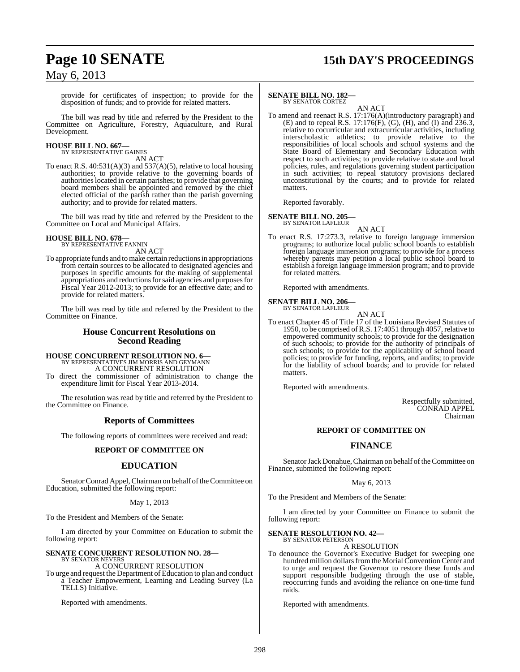#### provide for certificates of inspection; to provide for the disposition of funds; and to provide for related matters.

The bill was read by title and referred by the President to the Committee on Agriculture, Forestry, Aquaculture, and Rural Development.

#### **HOUSE BILL NO. 667—** BY REPRESENTATIVE GAINES

AN ACT

To enact R.S. 40:531(A)(3) and 537(A)(5), relative to local housing authorities; to provide relative to the governing boards of authoritieslocated in certain parishes; to provide that governing board members shall be appointed and removed by the chief elected official of the parish rather than the parish governing authority; and to provide for related matters.

The bill was read by title and referred by the President to the Committee on Local and Municipal Affairs.

# **HOUSE BILL NO. 678—** BY REPRESENTATIVE FANNIN

AN ACT

To appropriate funds and tomake certain reductions in appropriations from certain sources to be allocated to designated agencies and purposes in specific amounts for the making of supplemental appropriations and reductions for said agencies and purposes for Fiscal Year 2012-2013; to provide for an effective date; and to provide for related matters.

The bill was read by title and referred by the President to the Committee on Finance.

#### **House Concurrent Resolutions on Second Reading**

## **HOUSE CONCURRENT RESOLUTION NO. 6—**

BY REPRESENTATIVES JIM MORRIS AND GEYMANN A CONCURRENT RESOLUTION

To direct the commissioner of administration to change the expenditure limit for Fiscal Year 2013-2014.

The resolution was read by title and referred by the President to the Committee on Finance.

### **Reports of Committees**

The following reports of committees were received and read:

### **REPORT OF COMMITTEE ON**

### **EDUCATION**

Senator Conrad Appel, Chairman on behalf of the Committee on Education, submitted the following report:

#### May 1, 2013

To the President and Members of the Senate:

I am directed by your Committee on Education to submit the following report:

#### **SENATE CONCURRENT RESOLUTION NO. 28—** BY SENATOR NEVERS

A CONCURRENT RESOLUTION

To urge and request the Department of Education to plan and conduct a Teacher Empowerment, Learning and Leading Survey (La TELLS) Initiative.

Reported with amendments.

# **Page 10 SENATE 15th DAY'S PROCEEDINGS**

#### **SENATE BILL NO. 182—** BY SENATOR CORTEZ

AN ACT

To amend and reenact R.S. 17:176(A)(introductory paragraph) and (E) and to repeal R.S. 17:176(F), (G), (H), and (I) and 236.3, relative to cocurricular and extracurricular activities, including interscholastic athletics; to provide relative to the responsibilities of local schools and school systems and the State Board of Elementary and Secondary Education with respect to such activities; to provide relative to state and local policies, rules, and regulations governing student participation in such activities; to repeal statutory provisions declared unconstitutional by the courts; and to provide for related matters.

Reported favorably.

#### **SENATE BILL NO. 205—** BY SENATOR LAFLEUR

AN ACT

To enact R.S. 17:273.3, relative to foreign language immersion programs; to authorize local public school boards to establish foreign language immersion programs; to provide for a process whereby parents may petition a local public school board to establish a foreign language immersion program; and to provide for related matters.

Reported with amendments.

#### **SENATE BILL NO. 206—** BY SENATOR LAFLEUR

AN ACT

To enact Chapter 45 of Title 17 of the Louisiana Revised Statutes of 1950, to be comprised of R.S. 17:4051 through 4057, relative to empowered community schools; to provide for the designation of such schools; to provide for the authority of principals of such schools; to provide for the applicability of school board policies; to provide for funding, reports, and audits; to provide for the liability of school boards; and to provide for related matters.

Reported with amendments.

Respectfully submitted, CONRAD APPEL Chairman

#### **REPORT OF COMMITTEE ON**

### **FINANCE**

Senator Jack Donahue, Chairman on behalf of the Committee on Finance, submitted the following report:

#### May 6, 2013

To the President and Members of the Senate:

I am directed by your Committee on Finance to submit the following report:

**SENATE RESOLUTION NO. 42—** BY SENATOR PETERSON

A RESOLUTION

To denounce the Governor's Executive Budget for sweeping one hundred million dollars from the Morial Convention Center and to urge and request the Governor to restore these funds and support responsible budgeting through the use of stable, reoccurring funds and avoiding the reliance on one-time fund raids.

Reported with amendments.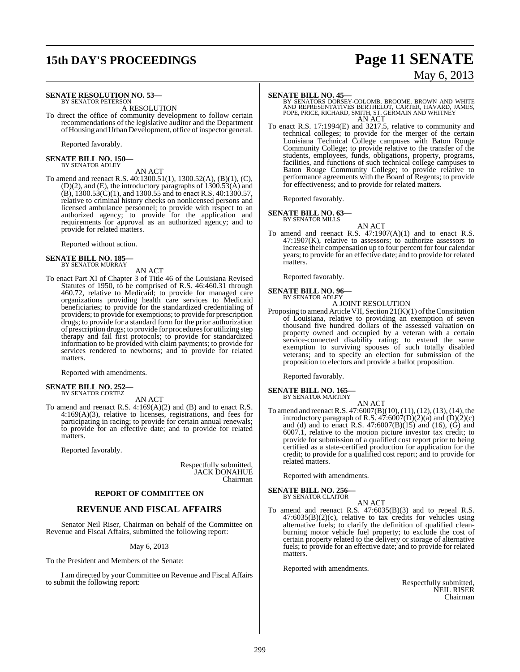# **15th DAY'S PROCEEDINGS Page 11 SENATE** May 6, 2013

#### **SENATE RESOLUTION NO. 53—** BY SENATOR PETERSON

A RESOLUTION

To direct the office of community development to follow certain recommendations of the legislative auditor and the Department of Housing and Urban Development, office of inspector general.

Reported favorably.

**SENATE BILL NO. 150—** BY SENATOR ADLEY

## AN ACT

To amend and reenact R.S. 40:1300.51(1), 1300.52(A), (B)(1), (C), (D)(2), and (E), the introductory paragraphs of 1300.53(A) and  $(B)$ , 1300.53 $(C)(1)$ , and 1300.55 and to enact R.S. 40:1300.57, relative to criminal history checks on nonlicensed persons and licensed ambulance personnel; to provide with respect to an authorized agency; to provide for the application and requirements for approval as an authorized agency; and to provide for related matters.

Reported without action.

# **SENATE BILL NO. 185—** BY SENATOR MURRAY

AN ACT

To enact Part XI of Chapter 3 of Title 46 of the Louisiana Revised Statutes of 1950, to be comprised of R.S. 46:460.31 through 460.72, relative to Medicaid; to provide for managed care organizations providing health care services to Medicaid beneficiaries; to provide for the standardized credentialing of providers; to provide for exemptions; to provide for prescription drugs; to provide for a standard form for the prior authorization of prescription drugs; to provide for procedures for utilizing step therapy and fail first protocols; to provide for standardized information to be provided with claim payments; to provide for services rendered to newborns; and to provide for related matters.

Reported with amendments.

#### **SENATE BILL NO. 252—** BY SENATOR CORTEZ

AN ACT

To amend and reenact R.S. 4:169(A)(2) and (B) and to enact R.S. 4:169(A)(3), relative to licenses, registrations, and fees for participating in racing; to provide for certain annual renewals; to provide for an effective date; and to provide for related matters.

Reported favorably.

Respectfully submitted, JACK DONAHUE Chairman

#### **REPORT OF COMMITTEE ON**

### **REVENUE AND FISCAL AFFAIRS**

Senator Neil Riser, Chairman on behalf of the Committee on Revenue and Fiscal Affairs, submitted the following report:

May 6, 2013

To the President and Members of the Senate:

I am directed by your Committee on Revenue and Fiscal Affairs to submit the following report:

**SENATE BILL NO. 45—**<br>BY SENATORS DORSEY-COLOMB, BROOME, BROWN AND WHITE<br>AND REPRESENTATIVES BERTHELOT, CARTER, HAVARD, JAMES,<br>POPE, PRICE, RICHARD, SMITH, ST. GERMAIN AND WHITNEY AN ACT

To enact R.S. 17:1994(E) and 3217.5, relative to community and technical colleges; to provide for the merger of the certain Louisiana Technical College campuses with Baton Rouge Community College; to provide relative to the transfer of the students, employees, funds, obligations, property, programs, facilities, and functions of such technical college campuses to Baton Rouge Community College; to provide relative to performance agreements with the Board of Regents; to provide for effectiveness; and to provide for related matters.

Reported favorably.

#### **SENATE BILL NO. 63—** BY SENATOR MILLS

AN ACT

To amend and reenact R.S. 47:1907(A)(1) and to enact R.S. 47:1907(K), relative to assessors; to authorize assessors to increase their compensation up to four percent for four calendar years; to provide for an effective date; and to provide for related matters.

Reported favorably.

#### **SENATE BILL NO. 96—** BY SENATOR ADLEY

A JOINT RESOLUTION

Proposing to amend Article VII, Section  $21(K)(1)$  of the Constitution of Louisiana, relative to providing an exemption of seven thousand five hundred dollars of the assessed valuation on property owned and occupied by a veteran with a certain service-connected disability rating; to extend the same exemption to surviving spouses of such totally disabled veterans; and to specify an election for submission of the proposition to electors and provide a ballot proposition.

Reported favorably.

#### **SENATE BILL NO. 165—** BY SENATOR MARTINY

- AN ACT
- To amend and reenactR.S. 47:6007(B)(10), (11), (12), (13), (14), the introductory paragraph of R.S.  $47:6007(D)(2)(a)$  and  $(D)(2)(c)$ and (d) and to enact R.S. 47:6007(B)(15) and (16), (G) and 6007.1, relative to the motion picture investor tax credit; to provide for submission of a qualified cost report prior to being certified as a state-certified production for application for the credit; to provide for a qualified cost report; and to provide for related matters.

Reported with amendments.

**SENATE BILL NO. 256—** BY SENATOR CLAITOR

AN ACT

To amend and reenact R.S. 47:6035(B)(3) and to repeal R.S. 47:6035(B)(2)(c), relative to tax credits for vehicles using alternative fuels; to clarify the definition of qualified cleanburning motor vehicle fuel property; to exclude the cost of certain property related to the delivery or storage of alternative fuels; to provide for an effective date; and to provide for related matters.

Reported with amendments.

Respectfully submitted, NEIL RISER Chairman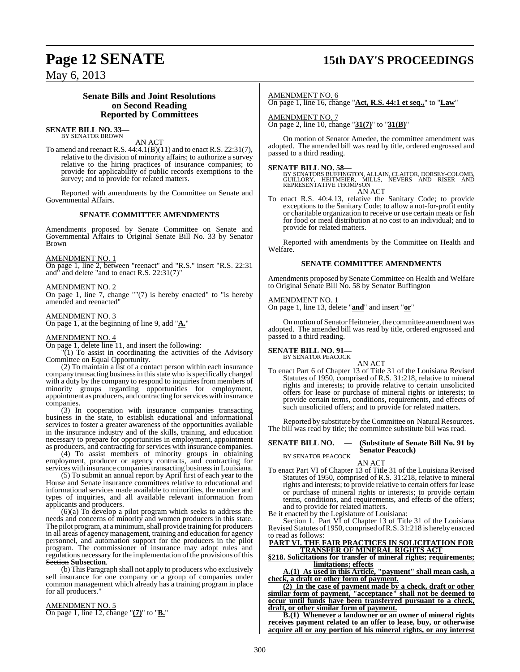# **Page 12 SENATE 15th DAY'S PROCEEDINGS**

May 6, 2013

## **Senate Bills and Joint Resolutions on Second Reading Reported by Committees**

#### **SENATE BILL NO. 33—** BY SENATOR BROWN

AN ACT

To amend and reenact R.S. 44:4.1(B)(11) and to enact R.S. 22:31(7), relative to the division of minority affairs; to authorize a survey relative to the hiring practices of insurance companies; to provide for applicability of public records exemptions to the survey; and to provide for related matters.

Reported with amendments by the Committee on Senate and Governmental Affairs.

#### **SENATE COMMITTEE AMENDMENTS**

Amendments proposed by Senate Committee on Senate and Governmental Affairs to Original Senate Bill No. 33 by Senator Brown

#### AMENDMENT NO. 1

On page 1, line 2, between "reenact" and "R.S." insert "R.S. 22:31 and" and delete "and to enact R.S. 22:31(7)"

#### AMENDMENT NO. 2

On page 1, line 7, change ""(7) is hereby enacted" to "is hereby amended and reenacted"

#### AMENDMENT NO. 3

On page 1, at the beginning of line 9, add "**A.**"

#### AMENDMENT NO. 4

On page 1, delete line 11, and insert the following:

"(1) To assist in coordinating the activities of the Advisory Committee on Equal Opportunity.

(2) To maintain a list of a contact person within each insurance company transacting business in this state who is specifically charged with a duty by the company to respond to inquiries from members of minority groups regarding opportunities for employment, appointment as producers, and contracting for services with insurance companies.

(3) In cooperation with insurance companies transacting business in the state, to establish educational and informational services to foster a greater awareness of the opportunities available in the insurance industry and of the skills, training, and education necessary to prepare for opportunities in employment, appointment as producers, and contracting for services with insurance companies.

(4) To assist members of minority groups in obtaining employment, producer or agency contracts, and contracting for services with insurance companies transacting business in Louisiana.

(5) To submit an annual report by April first of each year to the House and Senate insurance committees relative to educational and informational services made available to minorities, the number and types of inquiries, and all available relevant information from applicants and producers.

(6)(a) To develop a pilot program which seeks to address the needs and concerns of minority and women producers in this state. The pilot program, at a minimum, shall provide training for producers in all areas of agency management, training and education for agency personnel, and automation support for the producers in the pilot program. The commissioner of insurance may adopt rules and regulations necessary for the implementation of the provisions of this Section **Subsection**.

(b) This Paragraph shall not apply to producers who exclusively sell insurance for one company or a group of companies under common management which already has a training program in place for all producers."

#### AMENDMENT NO. 5

On page 1, line 12, change "**(7)**" to "**B.**"

#### AMENDMENT NO. 6

On page 1, line 16, change "**Act, R.S. 44:1 et seq.,**" to "**Law**"

AMENDMENT NO. 7 On page 2, line 10, change "**31(7)**" to "**31(B)**"

On motion of Senator Amedee, the committee amendment was adopted. The amended bill was read by title, ordered engrossed and passed to a third reading.

#### **SENATE BILL NO. 58—**

BY SENATORS BUFFINGTON, ALLAIN, CLAITOR, DORSEY-COLOMB,<br>GUILLORY, HEITMEIER, MILLS, NEVERS AND RISER AND<br>REPRESENTATIVE THOMPSON AN ACT

To enact R.S. 40:4.13, relative the Sanitary Code; to provide exceptions to the Sanitary Code; to allow a not-for-profit entity or charitable organization to receive or use certain meats or fish for food or meal distribution at no cost to an individual; and to provide for related matters.

Reported with amendments by the Committee on Health and Welfare.

#### **SENATE COMMITTEE AMENDMENTS**

Amendments proposed by Senate Committee on Health and Welfare to Original Senate Bill No. 58 by Senator Buffington

#### AMENDMENT NO. 1

On page 1, line 13, delete "**and**" and insert "**or**"

On motion of Senator Heitmeier, the committee amendment was adopted. The amended bill was read by title, ordered engrossed and passed to a third reading.

# **SENATE BILL NO. 91—** BY SENATOR PEACOCK

AN ACT To enact Part 6 of Chapter 13 of Title 31 of the Louisiana Revised Statutes of 1950, comprised of R.S. 31:218, relative to mineral rights and interests; to provide relative to certain unsolicited offers for lease or purchase of mineral rights or interests; to provide certain terms, conditions, requirements, and effects of such unsolicited offers; and to provide for related matters.

Reported by substitute by the Committee on Natural Resources. The bill was read by title; the committee substitute bill was read.

#### **SENATE BILL NO. — (Substitute of Senate Bill No. 91 by Senator Peacock)**

BY SENATOR PEACOCK

#### AN ACT

To enact Part VI of Chapter 13 of Title 31 of the Louisiana Revised Statutes of 1950, comprised of R.S. 31:218, relative to mineral rights and interests; to provide relative to certain offers for lease or purchase of mineral rights or interests; to provide certain terms, conditions, and requirements, and effects of the offers; and to provide for related matters.

Be it enacted by the Legislature of Louisiana:

Section 1. Part VI of Chapter 13 of Title 31 of the Louisiana Revised Statutes of 1950, comprised ofR.S. 31:218 is hereby enacted to read as follows:

#### **PART VI. THE FAIR PRACTICES IN SOLICITATION FOR TRANSFER OF MINERAL RIGHTS ACT**

**§218. Solicitations for transfer of mineral rights; requirements; limitations; effects**

**A.(1) As used in this Article, "payment" shall mean cash, a check, a draft or other form of payment.**

**(2) In the case of payment made by a check, draft or other similar form of payment, "acceptance" shall not be deemed to occur until funds have been transferred pursuant to a check, draft, or other similar form of payment.**

**B.(1) Whenever a landowner or an owner of mineral rights receives payment related to an offer to lease, buy, or otherwise acquire all or any portion of his mineral rights, or any interest**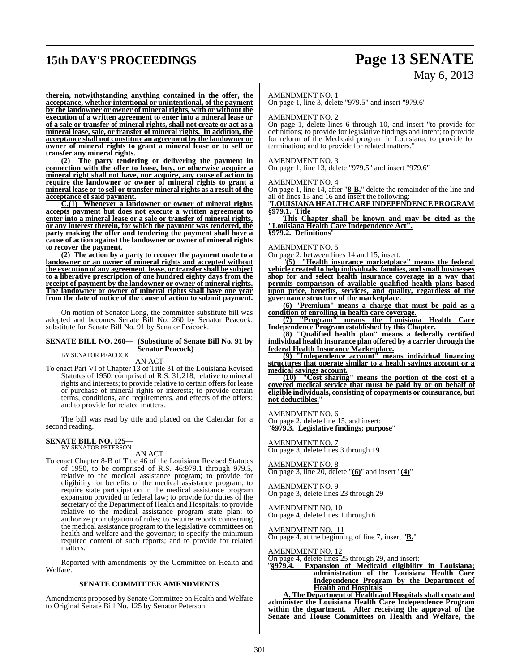# **15th DAY'S PROCEEDINGS Page 13 SENATE**

# May 6, 2013

**therein, notwithstanding anything contained in the offer, the acceptance, whether intentional or unintentional, of the payment by the landowner or owner of mineral rights, with or without the execution of a written agreement to enter into a mineral lease or of a sale or transfer of mineral rights, shall not create or act as a mineral lease, sale, or transfer of mineral rights. In addition, the acceptance shall not constitute an agreement by the landowner or owner of mineral rights to grant a mineral lease or to sell or transfer any mineral rights.**

**(2) The party tendering or delivering the payment in connection with the offer to lease, buy, or otherwise acquire a mineral right shall not have, nor acquire, any cause of action to require the landowner or owner of mineral rights to grant a mineral lease or to sell or transfer mineral rights as a result of the acceptance of said payment.**

**C.(1) Whenever a landowner or owner of mineral rights accepts payment but does not execute a written agreement to enter into a mineral lease or a sale or transfer of mineral rights, or any interest therein, for which the payment was tendered, the party making the offer and tendering the payment shall have a cause of action against the landowner or owner of mineral rights to recover the payment.**

**(2) The action by a party to recover the payment made to a landowner or an owner of mineral rights and accepted without the execution of any agreement, lease, or transfer shall be subject to a liberative prescription of one hundred eighty days from the receipt of payment by the landowner or owner of mineral rights. The landowner or owner of mineral rights shall have one year from the date of notice of the cause of action to submit payment.**

On motion of Senator Long, the committee substitute bill was adopted and becomes Senate Bill No. 260 by Senator Peacock, substitute for Senate Bill No. 91 by Senator Peacock.

#### **SENATE BILL NO. 260— (Substitute of Senate Bill No. 91 by Senator Peacock)**

BY SENATOR PEACOCK AN ACT

To enact Part VI of Chapter 13 of Title 31 of the Louisiana Revised Statutes of 1950, comprised of R.S. 31:218, relative to mineral rights and interests; to provide relative to certain offersfor lease or purchase of mineral rights or interests; to provide certain terms, conditions, and requirements, and effects of the offers; and to provide for related matters.

The bill was read by title and placed on the Calendar for a second reading.

#### **SENATE BILL NO. 125—**

BY SENATOR PETERSON AN ACT

To enact Chapter 8-B of Title 46 of the Louisiana Revised Statutes of 1950, to be comprised of R.S. 46:979.1 through 979.5, relative to the medical assistance program; to provide for eligibility for benefits of the medical assistance program; to require state participation in the medical assistance program expansion provided in federal law; to provide for duties of the secretary of the Department of Health and Hospitals; to provide relative to the medical assistance program state plan; to authorize promulgation of rules; to require reports concerning the medical assistance program to the legislative committees on health and welfare and the governor; to specify the minimum required content of such reports; and to provide for related matters.

Reported with amendments by the Committee on Health and Welfare.

#### **SENATE COMMITTEE AMENDMENTS**

Amendments proposed by Senate Committee on Health and Welfare to Original Senate Bill No. 125 by Senator Peterson

#### AMENDMENT NO. 1

**On page 1, line 3, delete "979.5" and insert "979.6"** 

#### AMENDMENT NO. 2

On page 1, delete lines 6 through 10, and insert "to provide for definitions; to provide for legislative findings and intent; to provide for reform of the Medicaid program in Louisiana; to provide for termination; and to provide for related matters."

#### AMENDMENT NO. 3

On page 1, line 13, delete "979.5" and insert "979.6"

#### AMENDMENT NO. 4

On page 1, line 14, after "**8-B.**" delete the remainder of the line and all of lines 15 and 16 and insert the following:

"**LOUISIANAHEALTHCAREINDEPENDENCEPROGRAM §979.1. Title**

**This Chapter shall be known and may be cited as the "Louisiana Health Care Independence Act". §979.2. Definitions**"

AMENDMENT NO. 5

On page 2, between lines 14 and 15, insert:

"**(5) "Health insurance marketplace" means the federal vehicle created to help individuals, families, and small businesses shop for and select health insurance coverage in a way that permits comparison of available qualified health plans based upon price, benefits, services, and quality, regardless of the governance structure of the marketplace.**

**(6) "Premium" means a charge that must be paid as a condition of enrolling in health care coverage.**

**(7) "Program" means the Louisiana Health Care Independence Program established by this Chapter.**

**(8) "Qualified health plan" means a federally certified individual health insurance plan offered by a carrier through the federal Health Insurance Marketplace.**

**(9) "Independence account" means individual financing structures that operate similar to a health savings account or a medical savings account.**

**(10) "Cost sharing" means the portion of the cost of a covered medical service that must be paid by or on behalf of eligible individuals, consisting of copayments or coinsurance, but not deductibles.**"

AMENDMENT NO. 6

On page 2, delete line 15, and insert: "**§979.3. Legislative findings; purpose**"

AMENDMENT NO. 7 On page 3, delete lines 3 through 19

AMENDMENT NO. 8 On page 3, line 20, delete "**(6)**" and insert "**(4)**"

AMENDMENT NO. 9 On page 3, delete lines 23 through 29

AMENDMENT NO. 10 On page 4, delete lines 1 through 6

AMENDMENT NO. 11 On page 4, at the beginning of line 7, insert "**B.**"

AMENDMENT NO. 12

On page 4, delete lines 25 through 29, and insert:

Expansion of Medicaid eligibility in Louisiana; **administration of the Louisiana Health Care Independence Program by the Department of Health and Hospitals**

**A. The Department of Health and Hospitals shall create and administer the Louisiana Health Care Independence Program within the department. After receiving the approval of the Senate and House Committees on Health and Welfare, the**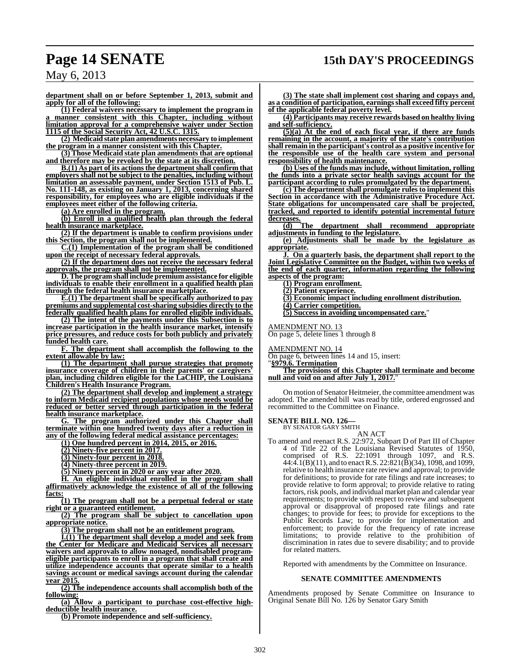**department shall on or before September 1, 2013, submit and apply for all of the following:**

**(1) Federal waivers necessary to implement the program in a manner consistent with this Chapter, including without limitation approval for a comprehensive waiver under Section 1115 of the Social Security Act, 42 U.S.C. 1315.**

**(2) Medicaid state plan amendments necessary to implement the program in a manner consistent with this Chapter.**

**(3) Those Medicaid state plan amendments that are optional and therefore may be revoked by the state at its discretion.**

**B.(1) As part of its actionsthe department shall confirm that employers shall not be subject to the penalties, including without limitation an assessable payment, under Section 1513 of Pub. L. No. 111-148, as existing on January 1, 2013, concerning shared responsibility, for employees who are eligible individuals if the employees meet either of the following criteria.**

**(a) Are enrolled in the program.**

**(b) Enroll in a qualified health plan through the federal health insurance marketplace.**

**(2) If the department is unable to confirm provisions under this Section, the program shall not be implemented.**

**C.(1) Implementation of the program shall be conditioned upon the receipt of necessary federal approvals.**

**(2) If the department does not receive the necessary federal approvals, the program shall not be implemented.**

**D.The programshall include premium assistance for eligible individuals to enable their enrollment in a qualified health plan through the federal health insurance marketplace.**

**E.(1) The department shall be specifically authorized to pay premiums and supplemental cost-sharing subsidies directly to the federally qualified health plans for enrolled eligible individuals.**

**(2) The intent of the payments under this Subsection is to increase participation in the health insurance market, intensify price pressures, and reduce costs for both publicly and privately funded health care.**

**F. The department shall accomplish the following to the extent allowable by law:**

**(1) The department shall pursue strategies that promote insurance coverage of children in their parents' or caregivers' plan, including children eligible for the LaCHIP, the Louisiana Children's Health Insurance Program.**

**(2) The department shall develop and implement a strategy to inform Medicaid recipient populations whose needs would be reduced or better served through participation in the federal health insurance marketplace.**

**G. The program authorized under this Chapter shall terminate within one hundred twenty days after a reduction in any of the following federal medical assistance percentages:**

**(1) One hundred percent in 2014, 2015, or 2016.**

**(2) Ninety-five percent in 2017.**

**(3) Ninety-four percent in 2018.**

**(4) Ninety-three percent in 2019.**

**(5) Ninety percent in 2020 or any year after 2020.**

**H. An eligible individual enrolled in the program shall affirmatively acknowledge the existence of all of the following facts:**

**(1) The program shall not be a perpetual federal or state right or a guaranteed entitlement.**

**(2) The program shall be subject to cancellation upon appropriate notice.**

**(3) The program shall not be an entitlement program.**

**I.(1) The department shall develop a model and seek from the Center for Medicare and Medicaid Services all necessary waivers and approvals to allow nonaged, nondisabled programeligible participants to enroll in a program that shall create and utilize independence accounts that operate similar to a health savings account or medical savings account during the calendar year 2015.**

**(2) The independence accounts shall accomplish both of the following:**

**(a) Allow a participant to purchase cost-effective highdeductible health insurance.**

**(b) Promote independence and self-sufficiency.**

**(3) The state shall implement cost sharing and copays and, as a condition of participation, earningsshall exceed fifty percent of the applicable federal poverty level.**

**(4) Participants may receive rewards based on healthy living and self-sufficiency.**

**(5)(a) At the end of each fiscal year, if there are funds remaining in the account, a majority of the state's contribution shall remain in the participant's control as a positive incentive for the responsible use of the health care system and personal responsibility of health maintenance.**

**(b) Uses of the funds may include, without limitation, rolling the funds into a private sector health savings account for the participant according to rules promulgated by the department.**

**(c) The department shall promulgate rules to implement this Section in accordance with the Administrative Procedure Act. State obligations for uncompensated care shall be projected, tracked, and reported to identify potential incremental future decreases.**

**(d) The department shall recommend appropriate adjustments in funding to the legislature.**

**(e) Adjustments shall be made by the legislature as appropriate.**

**J. On a quarterly basis, the department shall report to the Joint Legislative Committee on the Budget, within two weeks of the end of each quarter, information regarding the following aspects of the program:**

**(1) Program enrollment.**

**(2) Patient experience.**

**(3) Economic impact including enrollment distribution. (4) Carrier competition.**

**(5) Success in avoiding uncompensated care.**"

AMENDMENT NO. 13

On page 5, delete lines 1 through 8

AMENDMENT NO. 14

On page 6, between lines 14 and 15, insert:

"**§979.6. Termination**

**The provisions of this Chapter shall terminate and become null and void on and after July 1, 2017.**"

On motion of Senator Heitmeier, the committee amendment was adopted. The amended bill was read by title, ordered engrossed and recommitted to the Committee on Finance.

**SENATE BILL NO. 126—**

BY SENATOR GARY SMITH AN ACT

To amend and reenact R.S. 22:972, Subpart D of Part III of Chapter 4 of Title 22 of the Louisiana Revised Statutes of 1950, comprised of R.S. 22:1091 through 1097, and R.S. 44:4.1(B)(11), and to enactR.S. 22:821(B)(34), 1098, and 1099, relative to health insurance rate review and approval; to provide for definitions; to provide for rate filings and rate increases; to provide relative to form approval; to provide relative to rating factors, risk pools, and individual market plan and calendar year requirements; to provide with respect to review and subsequent approval or disapproval of proposed rate filings and rate changes; to provide for fees; to provide for exceptions to the Public Records Law; to provide for implementation and enforcement; to provide for the frequency of rate increase limitations; to provide relative to the prohibition of discrimination in rates due to severe disability; and to provide for related matters.

Reported with amendments by the Committee on Insurance.

#### **SENATE COMMITTEE AMENDMENTS**

Amendments proposed by Senate Committee on Insurance to Original Senate Bill No. 126 by Senator Gary Smith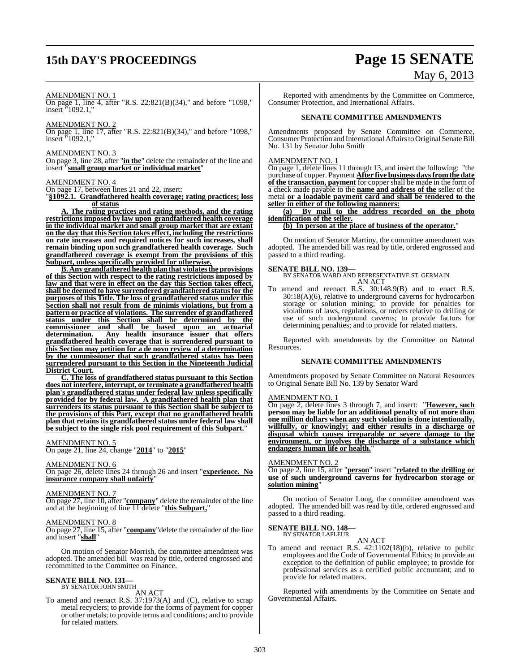# **15th DAY'S PROCEEDINGS Page 15 SENATE**

# May 6, 2013

#### AMENDMENT NO. 1

On page 1, line 4, after "R.S. 22:821(B)(34)," and before "1098," insert "1092.1,"

AMENDMENT NO. 2

On page 1, line 17, after "R.S. 22:821(B)(34)," and before "1098," insert "1092.1,"

#### AMENDMENT NO. 3

On page 3, line 28, after "**in the**" delete the remainder of the line and insert "**small group market or individual market**"

#### AMENDMENT NO. 4

On page 17, between lines 21 and 22, insert:

"**§1092.1. Grandfathered health coverage; rating practices; loss of status**

**A. The rating practices and rating methods, and the rating restrictions imposed by law upon grandfathered health coverage in the individual market and small group market that are extant on the day that this Section takes effect, including the restrictions on rate increases and required notices for such increases, shall remain binding upon such grandfathered health coverage. Such grandfathered coverage is exempt from the provisions of this Subpart, unless specifically provided for otherwise.**

**B. Any grandfatheredhealthplanthat violatesthe provisions of this Section with respect to the rating restrictions imposed by law and that were in effect on the day this Section takes effect, shall be deemed to have surrendered grandfathered statusfor the purposes of this Title. The loss of grandfathered status under this Section shall not result from de minimis violations, but from a pattern or practice of violations. The surrender of grandfathered status under this Section shall be determined by the commissioner and shall be based upon an actuarial determination. Any health insurance issuer that offers grandfathered health coverage that is surrendered pursuant to this Section may petition for a de novo review of a determination by the commissioner that such grandfathered status has been surrendered pursuant to this Section in the Nineteenth Judicial District Court.**

**C. The loss of grandfathered status pursuant to this Section does not interfere, interrupt, or terminate a grandfathered health plan's grandfathered status under federal law unless specifically provided for by federal law. A grandfathered health plan that surrenders its status pursuant to this Section shall be subject to the provisions of this Part, except that no grandfathered health plan that retains its grandfathered status under federal law shall be subject to the single risk pool requirement of this Subpart.**"

#### AMENDMENT NO. 5

On page 21, line 24, change "**2014**" to "**2015**"

#### AMENDMENT NO. 6

On page 26, delete lines 24 through 26 and insert "**experience. No insurance company shall unfairly**"

#### AMENDMENT NO. 7

On page 27, line 10, after "**company**" delete the remainder of the line and at the beginning of line 11 delete "**this Subpart,**"

#### AMENDMENT NO. 8

On page 27, line 15, after "**company**"delete the remainder of the line and insert "**shall**"

On motion of Senator Morrish, the committee amendment was adopted. The amended bill was read by title, ordered engrossed and recommitted to the Committee on Finance.

#### **SENATE BILL NO. 131—** BY SENATOR JOHN SMITH

AN ACT

To amend and reenact R.S. 37:1973(A) and (C), relative to scrap metal recyclers; to provide for the forms of payment for copper or other metals; to provide terms and conditions; and to provide for related matters.

Reported with amendments by the Committee on Commerce, Consumer Protection, and International Affairs.

#### **SENATE COMMITTEE AMENDMENTS**

Amendments proposed by Senate Committee on Commerce, Consumer Protection and International Affairs to Original Senate Bill No. 131 by Senator John Smith

#### AMENDMENT NO. 1

On page 1, delete lines 11 through 13, and insert the following: "the purchase of copper. Payment **After five business daysfromthe date of the transaction, payment** for copper shall be made in the form of a check made payable to the **name and address of the** seller of the metal **or a loadable payment card and shall be tendered to the seller in either of the following manners:**

**(a) By mail to the address recorded on the photo identification of the seller.**

### **(b) In person at the place of business of the operator.**"

On motion of Senator Martiny, the committee amendment was adopted. The amended bill was read by title, ordered engrossed and passed to a third reading.

#### **SENATE BILL NO. 139—**

BY SENATOR WARD AND REPRESENTATIVE ST. GERMAIN AN ACT

To amend and reenact R.S. 30:148.9(B) and to enact R.S. 30:18(A)(6), relative to underground caverns for hydrocarbon storage or solution mining; to provide for penalties for violations of laws, regulations, or orders relative to drilling or use of such underground caverns; to provide factors for determining penalties; and to provide for related matters.

Reported with amendments by the Committee on Natural Resources.

#### **SENATE COMMITTEE AMENDMENTS**

Amendments proposed by Senate Committee on Natural Resources to Original Senate Bill No. 139 by Senator Ward

#### AMENDMENT NO. 1

On page 2, delete lines 3 through 7, and insert: "**However, such person may be liable for an additional penalty of not more than one million dollars when any such violation is done intentionally, willfully, or knowingly; and either results in a discharge or disposal which causes irreparable or severe damage to the environment, or involves the discharge of a substance which endangers human life or health.**"

#### AMENDMENT NO. 2

On page 2, line 15, after "**person**" insert "**related to the drilling or use of such underground caverns for hydrocarbon storage or solution mining**"

On motion of Senator Long, the committee amendment was adopted. The amended bill was read by title, ordered engrossed and passed to a third reading.

#### **SENATE BILL NO. 148—** BY SENATOR LAFLEUR

AN ACT

To amend and reenact R.S. 42:1102(18)(b), relative to public employees and the Code of Governmental Ethics; to provide an exception to the definition of public employee; to provide for professional services as a certified public accountant; and to provide for related matters.

Reported with amendments by the Committee on Senate and Governmental Affairs.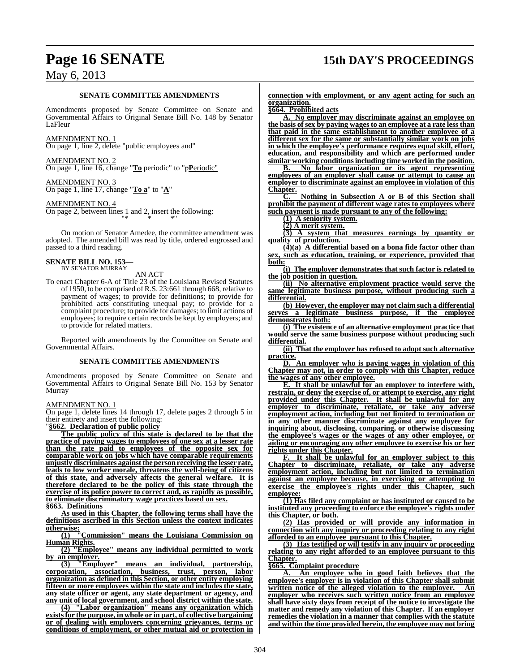# **Page 16 SENATE 15th DAY'S PROCEEDINGS**

## May 6, 2013

#### **SENATE COMMITTEE AMENDMENTS**

Amendments proposed by Senate Committee on Senate and Governmental Affairs to Original Senate Bill No. 148 by Senator LaFleur

AMENDMENT NO. 1 On page 1, line 2, delete "public employees and"

AMENDMENT NO. 2 On page 1, line 16, change "**To** periodic" to "p**P**eriodic"

AMENDMENT NO. 3 On page 1, line 17, change "**To a**" to "**A**"

AMENDMENT NO. 4

On page 2, between lines 1 and 2, insert the following: "\* \* \*"

On motion of Senator Amedee, the committee amendment was adopted. The amended bill was read by title, ordered engrossed and passed to a third reading.

#### **SENATE BILL NO. 153—** BY SENATOR MURRAY

AN ACT

To enact Chapter 6-A of Title 23 of the Louisiana Revised Statutes of 1950, to be comprised of R.S. 23:661 through 668, relative to payment of wages; to provide for definitions; to provide for prohibited acts constituting unequal pay; to provide for a complaint procedure; to provide for damages; to limit actions of employees; to require certain records be kept by employers; and to provide for related matters.

Reported with amendments by the Committee on Senate and Governmental Affairs.

#### **SENATE COMMITTEE AMENDMENTS**

Amendments proposed by Senate Committee on Senate and Governmental Affairs to Original Senate Bill No. 153 by Senator Murray

AMENDMENT NO. 1

On page 1, delete lines 14 through 17, delete pages 2 through 5 in their entirety and insert the following:

"**§662. Declaration of public policy**

**The public policy of this state is declared to be that the practice of paying wages to employees of one sex at a lesser rate than the rate paid to employees of the opposite sex for comparable work on jobs which have comparable requirements unjustly discriminates againstthe personreceiving the lesser rate, leads to low worker morale, threatens the well-being of citizens of this state, and adversely affects the general welfare. It is therefore declared to be the policy of this state through the exercise of its police power to correct and, as rapidly as possible, to eliminate discriminatory wage practices based on sex.**

**§663. Definitions**

**As used in this Chapter, the following terms shall have the definitions ascribed in this Section unless the context indicates otherwise:**

**(1) "Commission" means the Louisiana Commission on Human Rights.**

**(2) "Employee" means any individual permitted to work** by an employer.<br> **(3)** "Employer"

means an individual, partnership, **corporation, association, business, trust, person, labor organization as defined in this Section, or other entity employing fifteen or more employees within the state and includes the state, any state officer or agent, any state department or agency, and any unit of local government, and school district within the state.**

**(4) "Labor organization" means any organization which existsfor the purpose, in whole or in part, of collective bargaining or of dealing with employers concerning grievances, terms or conditions of employment, or other mutual aid or protection in** **connection with employment, or any agent acting for such an organization.**

**§664. Prohibited acts**

**A. No employer may discriminate against an employee on the basis ofsex by paying wagesto an employee at a rate less than that paid in the same establishment to another employee of a different sex for the same or substantially similar work on jobs in which the employee's performance requires equal skill, effort, education, and responsibility and which are performed under similar working conditionsincluding time workedin the position.**

**B. No labor organization or its agent representing employees of an employer shall cause or attempt to cause an employer to discriminate against an employee in violation of this Chapter.**

**C. Nothing in Subsection A or B of this Section shall prohibit the payment of different wage rates to employees where such payment is made pursuant to any of the following:**

**(1) A seniority system. (2) A merit system.**

**(3) A system that measures earnings by quantity or**

**quality of production. (4)(a) A differential based on a bona fide factor other than sex, such as education, training, or experience, provided that both:**

**(i) The employer demonstrates that such factor is related to the job position in question.**

**(ii) No alternative employment practice would serve the same legitimate business purpose, without producing such a differential.**

**(b) However, the employer may not claim such a differential serves a legitimate business purpose, if the employee demonstrates both:**

**(i) The existence of an alternative employment practice that would serve the same business purpose without producing such differential.**

**(ii) That the employer has refused to adopt such alternative practice.**

**D. An employer who is paying wages in violation of this Chapter may not, in order to comply with this Chapter, reduce the wages of any other employee.**

**E. It shall be unlawful for an employer to interfere with, restrain, or deny the exercise of, or attempt to exercise, any right provided under this Chapter. It shall be unlawful for any employer to discriminate, retaliate, or take any adverse employment action, including but not limited to termination or in any other manner discriminate against any employee for inquiring about, disclosing, comparing, or otherwise discussing the employee's wages or the wages of any other employee, or aiding or encouraging any other employee to exercise his or her rights under this Chapter.**

**F. It shall be unlawful for an employer subject to this Chapter to discriminate, retaliate, or take any adverse employment action, including but not limited to termination against an employee because, in exercising or attempting to exercise the employee's rights under this Chapter, such employee:**

**(1) Has filed any complaint or has instituted or caused to be instituted any proceeding to enforce the employee's rights under this Chapter, or both.**

**(2) Has provided or will provide any information in connection with any inquiry or proceeding relating to any right afforded to an employee pursuant to this Chapter.**

**(3) Has testified or will testify in any inquiry or proceeding relating to any right afforded to an employee pursuant to this Chapter.**

**§665. Complaint procedure**

**A. An employee who in good faith believes that the employee's employer is in violation of this Chapter shall submit written notice of the alleged violation to the employer. An employer who receives such written notice from an employee shall have sixty days from receipt of the notice to investigate the matter and remedy any violation of this Chapter. If an employer remedies the violation in a manner that complies with the statute and within the time provided herein, the employee may not bring**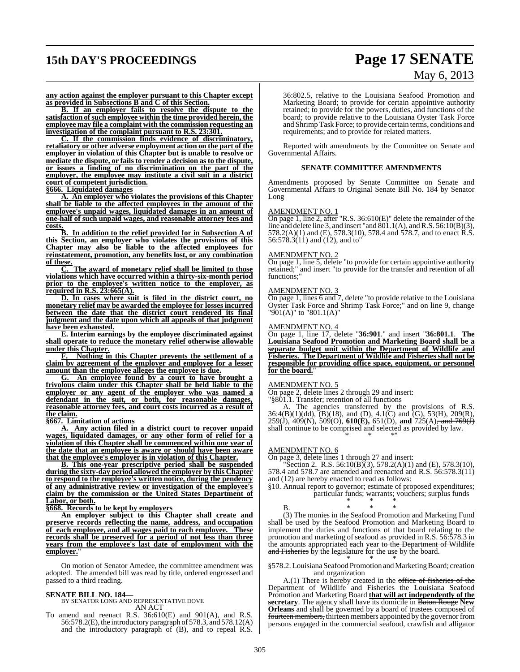# **15th DAY'S PROCEEDINGS Page 17 SENATE**

# May 6, 2013

**any action against the employer pursuant to this Chapter except as provided in Subsections B and C of this Section.**

**B. If an employer fails to resolve the dispute to the satisfaction ofsuch employee within the time provided herein, the employee may file a complaint with the commission requesting an investigation of the complaint pursuant to R.S. 23:301.**

**C. If the commission finds evidence of discriminatory, retaliatory or other adverse employment action on the part of the employer in violation of this Chapter but is unable to resolve or mediate the dispute, or fails to render a decision as to the dispute, or issues a finding of no discrimination on the part of the employer, the employee may institute a civil suit in a district court of competent jurisdiction.**

**§666. Liquidated damages**

**A. An employer who violates the provisions of this Chapter shall be liable to the affected employees in the amount of the employee's unpaid wages, liquidated damages in an amount of one-half of such unpaid wages, and reasonable attorney fees and costs.**

**B. In addition to the relief provided for in Subsection A of this Section, an employer who violates the provisions of this Chapter may also be liable to the affected employees for reinstatement, promotion, any benefits lost, or any combination of these.**

**C. The award of monetary relief shall be limited to those violations which have occurred within a thirty-six-month period prior to the employee's written notice to the employer, as required in R.S. 23:665(A).**

**D. In cases where suit is filed in the district court, no monetary relief may be awarded the employee for losses incurred between the date that the district court rendered its final judgment and the date upon which all appeals of that judgment have been exhausted.**

**E. Interim earnings by the employee discriminated against shall operate to reduce the monetary relief otherwise allowable under this Chapter.**

**F. Nothing in this Chapter prevents the settlement of a claim by agreement of the employer and employee for a lesser amount than the employee alleges the employee is due.**

**G. An employee found by a court to have brought a frivolous claim under this Chapter shall be held liable to the employer or any agent of the employer who was named a defendant in the suit, or both, for reasonable damages, reasonable attorney fees, and court costs incurred as a result of the claim.**

**§667. Limitation of actions**

**A. Any action filed in a district court to recover unpaid wages, liquidated damages, or any other form of relief for a violation of this Chapter shall be commenced within one year of the date that an employee is aware or should have been aware that the employee's employer is in violation of this Chapter.**

**B. This one-year prescriptive period shall be suspended during the sixty-day period allowed the employer by this Chapter to respond to the employee's written notice, during the pendency of any administrative review or investigation of the employee's claim by the commission or the United States Department of Labor, or both.**

**§668. Records to be kept by employers**

**An employer subject to this Chapter shall create and preserve records reflecting the name, address, and occupation of each employee, and all wages paid to each employee. These records shall be preserved for a period of not less than three years from the employee's last date of employment with the employer.** 

On motion of Senator Amedee, the committee amendment was adopted. The amended bill was read by title, ordered engrossed and passed to a third reading.

**SENATE BILL NO. 184—** BY SENATOR LONG AND REPRESENTATIVE DOVE AN ACT

To amend and reenact R.S. 36:610(E) and 901(A), and R.S. 56:578.2(E), the introductory paragraph of 578.3, and 578.12(A) and the introductory paragraph of (B), and to repeal R.S.

36:802.5, relative to the Louisiana Seafood Promotion and Marketing Board; to provide for certain appointive authority retained; to provide for the powers, duties, and functions of the board; to provide relative to the Louisiana Oyster Task Force and Shrimp Task Force; to provide certain terms, conditions and requirements; and to provide for related matters.

Reported with amendments by the Committee on Senate and Governmental Affairs.

#### **SENATE COMMITTEE AMENDMENTS**

Amendments proposed by Senate Committee on Senate and Governmental Affairs to Original Senate Bill No. 184 by Senator Long

#### AMENDMENT NO. 1

On page 1, line 2, after "R.S. 36:610(E)" delete the remainder of the line and delete line 3, and insert "and  $\frac{801.1(A)}{80.1(A)}$ , and R.S. 56:10(B)(3), 578.2(A)(1) and (E), 578.3(10), 578.4 and 578.7, and to enact R.S. 56:578.3(11) and (12), and to"

#### AMENDMENT NO. 2

On page 1, line 5, delete "to provide for certain appointive authority retained;" and insert "to provide for the transfer and retention of all functions:"

#### AMENDMENT NO. 3

On page 1, lines 6 and 7, delete "to provide relative to the Louisiana Oyster Task Force and Shrimp Task Force;" and on line 9, change "901(A)" to "801.1(A)"

#### AMENDMENT NO. 4

On page 1, line 17, delete "**36:901**." and insert "**36:801.1**. **The Louisiana Seafood Promotion and Marketing Board shall be a separate budget unit within the Department of Wildlife and Fisheries. The Department of Wildlife and Fisheries shall not be responsible for providing office space, equipment, or personnel for the board.**"

#### AMENDMENT NO. 5

On page 2, delete lines 2 through 29 and insert:

"§801.1. Transfer; retention of all functions

A. The agencies transferred by the provisions of R.S.  $36:4(B)(1)(dd), (B)(18)$ , and (D),  $4.1(C)$  and (G),  $53(H), 209(R)$ , 259(J), 409(N), 509(O), **610(E),** 651(D), **and** 725(A), and 769(J) shall continue to be comprised and selected as provided by law. \* \* \*"

#### AMENDMENT NO. 6

On page 3, delete lines 1 through 27 and insert: "Section 2. R.S. 56:10(B)(3), 578.2(A)(1) and (E), 578.3(10),

578.4 and 578.7 are amended and reenacted and R.S. 56:578.3(11) and (12) are hereby enacted to read as follows:

§10. Annual report to governor; estimate of proposed expenditures; particular funds; warrants; vouchers; surplus funds \* \* \*

## B. \* \* \*

(3) The monies in the Seafood Promotion and Marketing Fund shall be used by the Seafood Promotion and Marketing Board to implement the duties and functions of that board relating to the promotion and marketing of seafood as provided in R.S. 56:578.3 in the amounts appropriated each year to the Department of Wildlife and Fisheries by the legislature for the use by the board.

\* \* \* §578.2.Louisiana Seafood Promotion and Marketing Board; creation and organization

A.(1) There is hereby created in the office of fisheries of the Department of Wildlife and Fisheries the Louisiana Seafood Promotion and Marketing Board **that will act independently of the secretary**. The agency shall have its domicile in Baton Rouge **New Orleans** and shall be governed by a board of trustees composed of fourteen members, thirteen members appointed by the governor from persons engaged in the commercial seafood, crawfish and alligator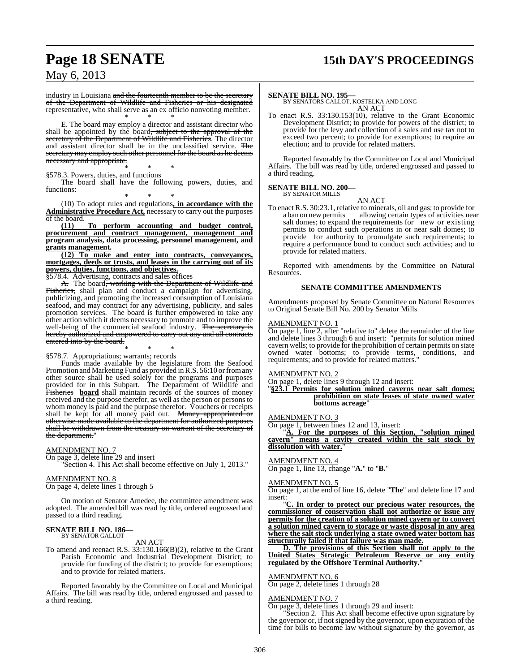# **Page 18 SENATE 15th DAY'S PROCEEDINGS**

May 6, 2013

industry in Louisiana and the fourteenth member to be the secretary of the Department of Wildlife and Fisheries or his designated representative, who shall serve as an ex officio nonvoting member. \* \* \*

E. The board may employ a director and assistant director who shall be appointed by the board<del>, subject to the approval of the</del> secretary of the Department of Wildlife and Fisheries. The director and assistant director shall be in the unclassified service. The secretary may employ such other personnel for the board as he deems necessary and appropriate.

\* \* \* §578.3. Powers, duties, and functions

The board shall have the following powers, duties, and functions:

\* \* \* (10) To adopt rules and regulations**, in accordance with the Administrative Procedure Act,** necessary to carry out the purposes % of the board.<br> $(11)$ 

**(11) To perform accounting and budget control, procurement and contract management, management and program analysis, data processing, personnel management, and grants management.**

**(12) To make and enter into contracts, conveyances, mortgages, deeds or trusts, and leases in the carrying out of its powers, duties, functions, and objectives.**

§578.4. Advertising, contracts and sales offices

A. The board<del>, working with the Department of Wildlife and</del> Fisheries, shall plan and conduct a campaign for advertising, publicizing, and promoting the increased consumption of Louisiana seafood, and may contract for any advertising, publicity, and sales promotion services. The board is further empowered to take any other action which it deems necessary to promote and to improve the well-being of the commercial seafood industry. The secretary is hereby authorized and empowered to carry out any and all contracts entered into by the board.

\* \* \* §578.7. Appropriations; warrants; records

Funds made available by the legislature from the Seafood Promotion and Marketing Fund as provided in R.S. 56:10 or from any other source shall be used solely for the programs and purposes provided for in this Subpart. The <del>Department of Wildlife and</del> Fisheries **board** shall maintain records of the sources of money received and the purpose therefor, as well as the person or persons to whom money is paid and the purpose therefor. Vouchers or receipts shall be kept for all money paid out. Money appropriated or otherwise made available to the department for authorized purposes shall be withdrawn from the treasury on warrant of the secretary of the department."

#### AMENDMENT NO. 7

On page 3, delete line 29 and insert "Section 4. This Act shall become effective on July 1, 2013."

#### AMENDMENT NO. 8

On page 4, delete lines 1 through 5

On motion of Senator Amedee, the committee amendment was adopted. The amended bill was read by title, ordered engrossed and passed to a third reading.

# **SENATE BILL NO. 186—** BY SENATOR GALLOT

AN ACT

To amend and reenact R.S. 33:130.166(B)(2), relative to the Grant Parish Economic and Industrial Development District; to provide for funding of the district; to provide for exemptions; and to provide for related matters.

Reported favorably by the Committee on Local and Municipal Affairs. The bill was read by title, ordered engrossed and passed to a third reading.

#### **SENATE BILL NO. 195—**

BY SENATORS GALLOT, KOSTELKA AND LONG AN ACT

To enact R.S. 33:130.153(10), relative to the Grant Economic Development District; to provide for powers of the district; to provide for the levy and collection of a sales and use tax not to exceed two percent; to provide for exemptions; to require an election; and to provide for related matters.

Reported favorably by the Committee on Local and Municipal Affairs. The bill was read by title, ordered engrossed and passed to a third reading.

#### **SENATE BILL NO. 200—** BY SENATOR MILLS

AN ACT

To enact R.S. 30:23.1, relative to minerals, oil and gas; to provide for allowing certain types of activities near salt domes; to expand the requirements for new or existing permits to conduct such operations in or near salt domes; to provide for authority to promulgate such requirements; to require a performance bond to conduct such activities; and to provide for related matters.

Reported with amendments by the Committee on Natural Resources.

#### **SENATE COMMITTEE AMENDMENTS**

Amendments proposed by Senate Committee on Natural Resources to Original Senate Bill No. 200 by Senator Mills

#### AMENDMENT NO. 1

On page 1, line 2, after "relative to" delete the remainder of the line and delete lines 3 through 6 and insert: "permits for solution mined cavern wells; to provide for the prohibition of certain permits on state owned water bottoms; to provide terms, conditions, and requirements; and to provide for related matters."

#### AMENDMENT NO. 2

On page 1, delete lines 9 through 12 and insert:

"**§23.1 Permits for solution mined caverns near salt domes; prohibition on state leases of state owned water bottoms acreage**"

#### <u>AMENDMENT NO. 3</u>

On page 1, between lines 12 and 13, insert:

"**A. For the purposes of this Section, "solution mined cavern" means a cavity created within the salt stock by dissolution with water.**"

#### AMENDMENT NO. 4

On page 1, line 13, change "**A.**" to "**B.**"

#### AMENDMENT NO. 5

On page 1, at the end of line 16, delete "**The**" and delete line 17 and insert:

"**C. In order to protect our precious water resources, the commissioner of conservation shall not authorize or issue any permits for the creation of a solution mined cavern or to convert a solution mined cavern to storage or waste disposal in any area where the salt stock underlying a state owned water bottom has structurally failed if that failure was man made.**

**D. The provisions of this Section shall not apply to the United States Strategic Petroleum Reserve or any entity regulated by the Offshore Terminal Authority.**"

#### AMENDMENT NO. 6

On page 2, delete lines 1 through 28

#### **AMENDMENT NO. 7**

On page 3, delete lines 1 through 29 and insert:

"Section 2. This Act shall become effective upon signature by the governor or, if not signed by the governor, upon expiration of the time for bills to become law without signature by the governor, as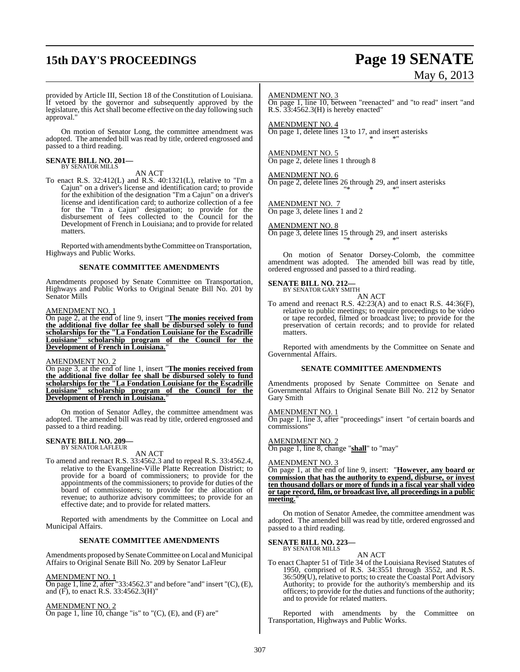# **15th DAY'S PROCEEDINGS Page 19 SENATE**

# May 6, 2013

provided by Article III, Section 18 of the Constitution of Louisiana. If vetoed by the governor and subsequently approved by the legislature, this Act shall become effective on the day following such approval."

On motion of Senator Long, the committee amendment was adopted. The amended bill was read by title, ordered engrossed and passed to a third reading.

#### **SENATE BILL NO. 201—** BY SENATOR MILLS

## AN ACT

To enact R.S. 32:412(L) and R.S. 40:1321(L), relative to "I'm a Cajun" on a driver's license and identification card; to provide for the exhibition of the designation "I'm a Cajun" on a driver's license and identification card; to authorize collection of a fee for the "I'm a Cajun" designation; to provide for the disbursement of fees collected to the Council for the Development of French in Louisiana; and to provide for related matters.

Reported with amendments by the Committee on Transportation, Highways and Public Works.

#### **SENATE COMMITTEE AMENDMENTS**

Amendments proposed by Senate Committee on Transportation, Highways and Public Works to Original Senate Bill No. 201 by Senator Mills

#### AMENDMENT NO. 1

On page 2, at the end of line 9, insert "**The monies received from the additional five dollar fee shall be disbursed solely to fund scholarships for the "La Fondation Louisiane for the Escadrille Louisiane" scholarship program of the Council for the Development of French in Louisiana.**"

#### AMENDMENT NO. 2

On page 3, at the end of line 1, insert "**The monies received from the additional five dollar fee shall be disbursed solely to fund scholarships for the "La Fondation Louisiane for the Escadrille Louisiane" scholarship program of the Council for the Development of French in Louisiana.**"

On motion of Senator Adley, the committee amendment was adopted. The amended bill was read by title, ordered engrossed and passed to a third reading.

#### **SENATE BILL NO. 209—** BY SENATOR LAFLEUR

AN ACT

To amend and reenact R.S. 33:4562.3 and to repeal R.S. 33:4562.4, relative to the Evangeline-Ville Platte Recreation District; to provide for a board of commissioners; to provide for the appointments of the commissioners; to provide for duties of the board of commissioners; to provide for the allocation of revenue; to authorize advisory committees; to provide for an effective date; and to provide for related matters.

Reported with amendments by the Committee on Local and Municipal Affairs.

#### **SENATE COMMITTEE AMENDMENTS**

Amendments proposed by Senate Committee on Local and Municipal Affairs to Original Senate Bill No. 209 by Senator LaFleur

AMENDMENT NO. 1

On page 1, line 2, after "33:4562.3" and before "and" insert "(C), (E), and  $(F)$ , to enact R.S. 33:4562.3(H)"

AMENDMENT NO. 2 On page 1, line 10, change "is" to " $(C)$ ,  $(E)$ , and  $(F)$  are"

#### AMENDMENT NO. 3

On page 1, line 10, between "reenacted" and "to read" insert "and R.S. 33:4562.3(H) is hereby enacted"

AMENDMENT NO. 4 On page 1, delete lines 13 to 17, and insert asterisks "\* \* \*"

AMENDMENT NO. 5 On page 2, delete lines 1 through 8

AMENDMENT NO. 6 On page 2, delete lines 26 through 29, and insert asterisks "\* \* \*"

AMENDMENT NO. 7 On page 3, delete lines 1 and 2

#### AMENDMENT NO. 8

On page 3, delete lines 15 through 29, and insert asterisks "\* \* \*"

On motion of Senator Dorsey-Colomb, the committee amendment was adopted. The amended bill was read by title, ordered engrossed and passed to a third reading.

# **SENATE BILL NO. 212—** BY SENATOR GARY SMITH

AN ACT

To amend and reenact R.S. 42:23(A) and to enact R.S. 44:36(F), relative to public meetings; to require proceedings to be video or tape recorded, filmed or broadcast live; to provide for the preservation of certain records; and to provide for related matters.

Reported with amendments by the Committee on Senate and Governmental Affairs.

#### **SENATE COMMITTEE AMENDMENTS**

Amendments proposed by Senate Committee on Senate and Governmental Affairs to Original Senate Bill No. 212 by Senator Gary Smith

#### AMENDMENT NO. 1

On page 1, line 3, after "proceedings" insert "of certain boards and commissions"

AMENDMENT NO. 2 On page 1, line 8, change "**shall**" to "may"

#### AMENDMENT NO. 3

On page 1, at the end of line 9, insert: "**However, any board or commission that has the authority to expend, disburse, or invest ten thousand dollars or more of funds in a fiscal year shall video or tape record, film, or broadcast live, all proceedings in a public meeting.**"

On motion of Senator Amedee, the committee amendment was adopted. The amended bill was read by title, ordered engrossed and passed to a third reading.

# **SENATE BILL NO. 223—** BY SENATOR MILLS

AN ACT To enact Chapter 51 of Title 34 of the Louisiana Revised Statutes of 1950, comprised of R.S. 34:3551 through 3552, and R.S. 36:509(U), relative to ports; to create the Coastal Port Advisory Authority; to provide for the authority's membership and its officers; to provide for the duties and functions of the authority; and to provide for related matters.

Reported with amendments by the Committee on Transportation, Highways and Public Works.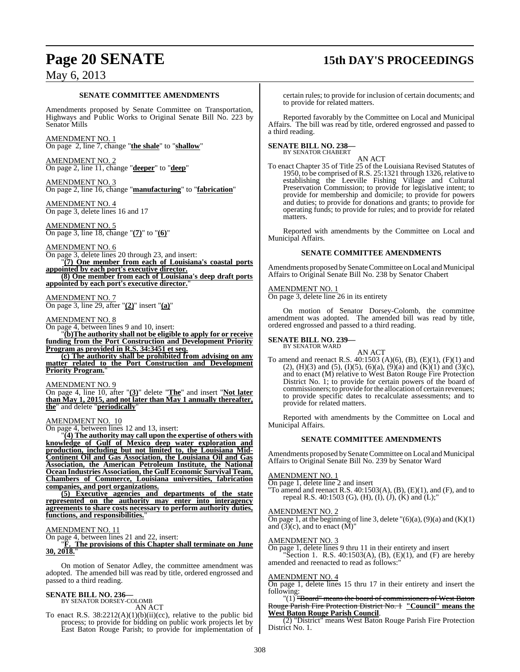# **Page 20 SENATE 15th DAY'S PROCEEDINGS**

## May 6, 2013

#### **SENATE COMMITTEE AMENDMENTS**

Amendments proposed by Senate Committee on Transportation, Highways and Public Works to Original Senate Bill No. 223 by Senator Mills

AMENDMENT NO. 1 On page 2, line 7, change "**the shale**" to "**shallow**"

AMENDMENT NO. 2 On page 2, line 11, change "**deeper**" to "**deep**"

AMENDMENT NO. 3 On page 2, line 16, change "**manufacturing**" to "**fabrication**"

AMENDMENT NO. 4 On page 3, delete lines 16 and 17

AMENDMENT NO. 5 On page 3, line 18, change "**(7)**" to "**(6)**"

AMENDMENT NO. 6 On page 3, delete lines 20 through 23, and insert: "**(7) One member from each of Louisiana's coastal ports**

**appointed by each port's executive director. (8) One member from each of Louisiana's deep draft ports**

**appointed by each port's executive director.**"

AMENDMENT NO. 7 On page 3, line 29, after "**(2)**" insert "**(a)**"

#### AMENDMENT NO. 8

On page 4, between lines 9 and 10, insert:

"**(b)The authority shall not be eligible to apply for or receive funding from the Port Construction and Development Priority Program as provided in R.S. 34:3451 et seq.**

**(c) The authority shall be prohibited from advising on any matter related to the Port Construction and Development Priority Program.** 

#### AMENDMENT NO. 9

On page 4, line 10, after "**(3)**" delete "**The**" and insert "**Not later than May 1, 2015, and not later than May 1 annually thereafter, the**" and delete "**periodically**"

#### AMENDMENT NO. 10

On page 4, between lines 12 and 13, insert:

"**(4) The authority may call upon the expertise of others with knowledge of Gulf of Mexico deep water exploration and production, including but not limited to, the Louisiana Mid-Continent Oil and Gas Association, the Louisiana Oil and Gas Association, the American Petroleum Institute, the National Ocean Industries Association, the Gulf Economic Survival Team, Chambers of Commerce, Louisiana universities, fabrication companies, and port organizations.**

**(5) Executive agencies and departments of the state represented on the authority may enter into interagency agreements to share costs necessary to perform authority duties, functions, and responsibilities.**"

#### AMENDMENT NO. 11

On page 4, between lines 21 and 22, insert:

"**F. The provisions of this Chapter shall terminate on June 30, 2018.**"

On motion of Senator Adley, the committee amendment was adopted. The amended bill was read by title, ordered engrossed and passed to a third reading.

# **SENATE BILL NO. 236—** BY SENATOR DORSEY-COLOMB

AN ACT

To enact R.S.  $38:2212(A)(1)(b)(ii)(cc)$ , relative to the public bid process; to provide for bidding on public work projects let by East Baton Rouge Parish; to provide for implementation of

certain rules; to provide for inclusion of certain documents; and to provide for related matters.

Reported favorably by the Committee on Local and Municipal Affairs. The bill was read by title, ordered engrossed and passed to a third reading.

#### **SENATE BILL NO. 238—** BY SENATOR CHABERT

AN ACT

To enact Chapter 35 of Title 25 of the Louisiana Revised Statutes of 1950, to be comprised of R.S. 25:1321 through 1326, relative to establishing the Leeville Fishing Village and Cultural Preservation Commission; to provide for legislative intent; to provide for membership and domicile; to provide for powers and duties; to provide for donations and grants; to provide for operating funds; to provide for rules; and to provide for related matters.

Reported with amendments by the Committee on Local and Municipal Affairs.

#### **SENATE COMMITTEE AMENDMENTS**

Amendments proposed by Senate Committee on Local and Municipal Affairs to Original Senate Bill No. 238 by Senator Chabert

## AMENDMENT NO. 1

On page 3, delete line 26 in its entirety

On motion of Senator Dorsey-Colomb, the committee amendment was adopted. The amended bill was read by title, ordered engrossed and passed to a third reading.

#### **SENATE BILL NO. 239—** BY SENATOR WARD

AN ACT

To amend and reenact R.S. 40:1503 (A)(6), (B), (E)(1), (F)(1) and (2), (H)(3) and (5), (I)(5), (6)(a), (9)(a) and (K)(1) and (3)(c), and to enact (M) relative to West Baton Rouge Fire Protection District No. 1; to provide for certain powers of the board of commissioners; to provide for the allocation of certain revenues; to provide specific dates to recalculate assessments; and to provide for related matters.

Reported with amendments by the Committee on Local and Municipal Affairs.

#### **SENATE COMMITTEE AMENDMENTS**

Amendments proposed by Senate Committee on Local and Municipal Affairs to Original Senate Bill No. 239 by Senator Ward

#### AMENDMENT NO. 1

On page 1, delete line 2 and insert

"To amend and reenact R.S.  $40:1503(A)$ ,  $(B)$ ,  $(E)(1)$ , and  $(F)$ , and to repeal R.S. 40:1503 (G), (H), (I), (J), (K) and (L);"

#### AMENDMENT NO. 2

On page 1, at the beginning of line 3, delete  $"(6)(a)$ ,  $(9)(a)$  and  $(K)(1)$ and  $(3)(c)$ , and to enact  $(M)$ "

#### AMENDMENT NO. 3

On page 1, delete lines 9 thru 11 in their entirety and insert Section 1. R.S.  $40:1503(A)$ , (B), (E)(1), and (F) are hereby amended and reenacted to read as follows:"

#### AMENDMENT NO. 4

On page 1, delete lines 15 thru 17 in their entirety and insert the following:

#### "(1) "Board" means the board of commissioners of West Baton Rouge Parish Fire Protection District No. 1 **"Council" means the West Baton Rouge Parish Council**.

(2) "District" means West Baton Rouge Parish Fire Protection District No. 1.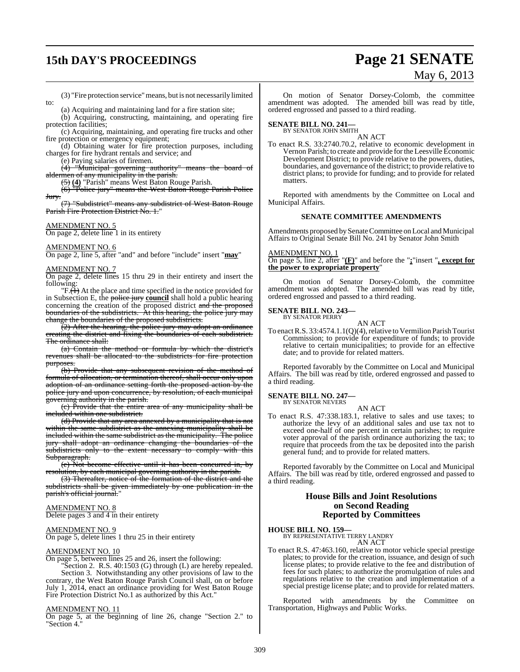# **15th DAY'S PROCEEDINGS Page 21 SENATE**

# May 6, 2013

(3) "Fire protection service"means, but is not necessarily limited

(a) Acquiring and maintaining land for a fire station site; (b) Acquiring, constructing, maintaining, and operating fire

protection facilities;

(c) Acquiring, maintaining, and operating fire trucks and other fire protection or emergency equipment;

(d) Obtaining water for fire protection purposes, including charges for fire hydrant rentals and service; and

(e) Paying salaries of firemen.

(4) "Municipal governing authority" means the board of aldermen of any municipality in the parish.

(5) **(4)** "Parish" means West Baton Rouge Parish.

(6) "Police jury" means the West Baton Rouge Parish Police Jury.

(7) "Subdistrict" means any subdistrict of West Baton Rouge Parish Fire Protection District No. 1."

#### AMENDMENT NO. 5

to:

On page 2, delete line 1 in its entirety

#### AMENDMENT NO. 6

On page 2, line 5, after "and" and before "include" insert "**may**"

#### AMENDMENT NO. 7

On page 2, delete lines 15 thru 29 in their entirety and insert the following:

 $\overline{F \cdot (1)}$  At the place and time specified in the notice provided for in Subsection E, the police jury **council** shall hold a public hearing concerning the creation of the proposed district and the proposed boundaries of the subdistricts. At this hearing, the police jury may change the boundaries of the proposed subdistricts.

 $(2)$  After the hearing, the police jury may adopt an ordinance creating the district and fixing the boundaries of each subdistrict. The ordinance shall:

(a) Contain the method or formula by which the district's revenues shall be allocated to the subdistricts for fire protection purposes.

(b) Provide that any subsequent revision of the method of formula of allocation, or termination thereof, shall occur only upon adoption of an ordinance setting forth the proposed action by the police jury and upon concurrence, by resolution, of each municipal governing authority in the parish.

(c) Provide that the entire area of any municipality shall be included within one subdistrict.

(d) Provide that any area annexed by a municipality that is not within the same subdistrict as the annexing municipality shall be included within the same subdistrict as the municipality. The police jury shall adopt an ordinance changing the boundaries of the subdistricts only to the extent necessary to comply with this Subparagraph.

(e) Not become effective until it has been concurred in, by resolution, by each municipal governing authority in the parish.

(3) Thereafter, notice of the formation of the district and the subdistricts shall be given immediately by one publication in the parish's official journal."

#### AMENDMENT NO. 8

Delete pages 3 and 4 in their entirety

## <u>AMENDMENT NO. 9</u>

On page 5, delete lines 1 thru 25 in their entirety

#### AMENDMENT NO. 10

On page 5, between lines 25 and 26, insert the following:

"Section 2. R.S. 40:1503 (G) through (L) are hereby repealed. Section 3. Notwithstanding any other provisions of law to the contrary, the West Baton Rouge Parish Council shall, on or before July 1, 2014, enact an ordinance providing for West Baton Rouge Fire Protection District No.1 as authorized by this Act."

#### AMENDMENT NO. 11

On page 5, at the beginning of line 26, change "Section 2." to "Section 4."

On motion of Senator Dorsey-Colomb, the committee amendment was adopted. The amended bill was read by title, ordered engrossed and passed to a third reading.

# **SENATE BILL NO. 241—** BY SENATOR JOHN SMITH

AN ACT

To enact R.S. 33:2740.70.2, relative to economic development in Vernon Parish; to create and provide forthe Leesville Economic Development District; to provide relative to the powers, duties, boundaries, and governance of the district; to provide relative to district plans; to provide for funding; and to provide for related matters.

Reported with amendments by the Committee on Local and Municipal Affairs.

#### **SENATE COMMITTEE AMENDMENTS**

Amendments proposed bySenate Committee on Local and Municipal Affairs to Original Senate Bill No. 241 by Senator John Smith

#### AMENDMENT NO. 1

On page 5, line 2, after "**(F)**" and before the "**;**"insert "**, except for the power to expropriate property**"

On motion of Senator Dorsey-Colomb, the committee amendment was adopted. The amended bill was read by title, ordered engrossed and passed to a third reading.

#### **SENATE BILL NO. 243—** BY SENATOR PERRY

AN ACT

To enact R.S.  $33:4574.1.1(Q)(4)$ , relative to Vermilion Parish Tourist Commission; to provide for expenditure of funds; to provide relative to certain municipalities; to provide for an effective date; and to provide for related matters.

Reported favorably by the Committee on Local and Municipal Affairs. The bill was read by title, ordered engrossed and passed to a third reading.

#### **SENATE BILL NO. 247—** BY SENATOR NEVERS

AN ACT

To enact R.S. 47:338.183.1, relative to sales and use taxes; to authorize the levy of an additional sales and use tax not to exceed one-half of one percent in certain parishes; to require voter approval of the parish ordinance authorizing the tax; to require that proceeds from the tax be deposited into the parish general fund; and to provide for related matters.

Reported favorably by the Committee on Local and Municipal Affairs. The bill was read by title, ordered engrossed and passed to a third reading.

#### **House Bills and Joint Resolutions on Second Reading Reported by Committees**

## **HOUSE BILL NO. 159—** BY REPRESENTATIVE TERRY LANDRY AN ACT

To enact R.S. 47:463.160, relative to motor vehicle special prestige plates; to provide for the creation, issuance, and design of such license plates; to provide relative to the fee and distribution of fees for such plates; to authorize the promulgation of rules and regulations relative to the creation and implementation of a special prestige license plate; and to provide for related matters.

Reported with amendments by the Committee on Transportation, Highways and Public Works.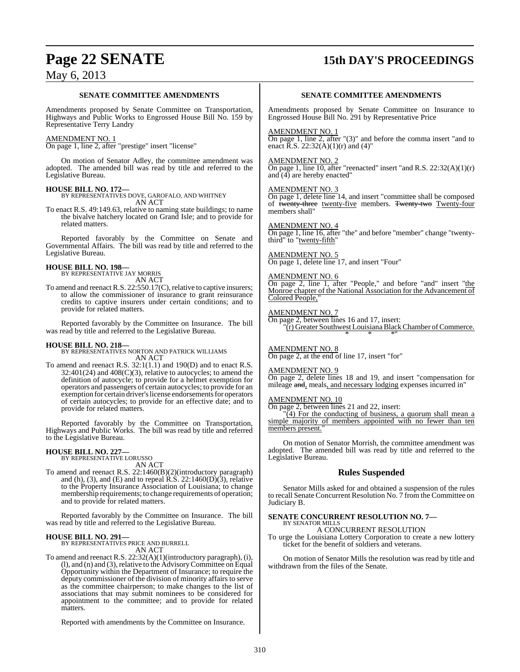# **Page 22 SENATE 15th DAY'S PROCEEDINGS**

## May 6, 2013

#### **SENATE COMMITTEE AMENDMENTS**

Amendments proposed by Senate Committee on Transportation, Highways and Public Works to Engrossed House Bill No. 159 by Representative Terry Landry

### AMENDMENT NO. 1

On page 1, line 2, after "prestige" insert "license"

On motion of Senator Adley, the committee amendment was adopted. The amended bill was read by title and referred to the Legislative Bureau.

#### **HOUSE BILL NO. 172—**

BY REPRESENTATIVES DOVE, GAROFALO, AND WHITNEY AN ACT

To enact R.S. 49:149.63, relative to naming state buildings; to name the bivalve hatchery located on Grand Isle; and to provide for related matters.

Reported favorably by the Committee on Senate and Governmental Affairs. The bill was read by title and referred to the Legislative Bureau.

**HOUSE BILL NO. 198—** BY REPRESENTATIVE JAY MORRIS

- AN ACT
- To amend and reenact R.S.  $22:550.17(C)$ , relative to captive insurers; to allow the commissioner of insurance to grant reinsurance credits to captive insurers under certain conditions; and to provide for related matters.

Reported favorably by the Committee on Insurance. The bill was read by title and referred to the Legislative Bureau.

**HOUSE BILL NO. 218—** BY REPRESENTATIVES NORTON AND PATRICK WILLIAMS AN ACT

To amend and reenact R.S. 32:1(1.1) and 190(D) and to enact R.S. 32:401(24) and 408(C)(3), relative to autocycles; to amend the definition of autocycle; to provide for a helmet exemption for operators and passengers of certain autocycles; to provide for an exemption for certain driver's license endorsements for operators of certain autocycles; to provide for an effective date; and to provide for related matters.

Reported favorably by the Committee on Transportation, Highways and Public Works. The bill was read by title and referred to the Legislative Bureau.

# **HOUSE BILL NO. 227—** BY REPRESENTATIVE LORUSSO

AN ACT

To amend and reenact R.S. 22:1460(B)(2)(introductory paragraph) and (h), (3), and (E) and to repeal R.S.  $22:1460(D)(3)$ , relative to the Property Insurance Association of Louisiana; to change membership requirements; to change requirements of operation; and to provide for related matters.

Reported favorably by the Committee on Insurance. The bill was read by title and referred to the Legislative Bureau.

#### **HOUSE BILL NO. 291—**

BY REPRESENTATIVES PRICE AND BURRELL AN ACT

To amend and reenact R.S. 22:32(A)(1)(introductory paragraph), (i), (l), and (n) and (3), relative to the AdvisoryCommittee on Equal Opportunity within the Department of Insurance; to require the deputy commissioner of the division of minority affairs to serve as the committee chairperson; to make changes to the list of associations that may submit nominees to be considered for appointment to the committee; and to provide for related matters.

Reported with amendments by the Committee on Insurance.

#### **SENATE COMMITTEE AMENDMENTS**

Amendments proposed by Senate Committee on Insurance to Engrossed House Bill No. 291 by Representative Price

#### AMENDMENT NO. 1

On page 1, line 2, after "(3)" and before the comma insert "and to enact  $\overline{R}$ .S. 22:32(A)(1)(r) and (4)"

#### AMENDMENT NO. 2

On page 1, line 10, after "reenacted" insert "and R.S.  $22:32(A)(1)(r)$ and  $(4)$  are hereby enacted"

#### AMENDMENT NO. 3

On page 1, delete line 14, and insert "committee shall be composed of twenty-three twenty-five members. Twenty-two Twenty-four members shall"

#### AMENDMENT NO. 4

On page 1, line 16, after "the" and before "member" change "twentythird" to "twenty-fifth"

## AMENDMENT NO. 5

On page 1, delete line 17, and insert "Four"

#### AMENDMENT NO. 6

On page 2, line 1, after "People," and before "and" insert "the Monroe chapter of the National Association for the Advancement of Colored People,"

#### AMENDMENT NO. 7

On page 2, between lines 16 and 17, insert: "(r) Greater Southwest LouisianaBlackChamber ofCommerce. \* \* \*"

AMENDMENT NO. 8 On page 2, at the end of line 17, insert "for"

#### AMENDMENT NO. 9

On page 2, delete lines 18 and 19, and insert "compensation for mileage and, meals, and necessary lodging expenses incurred in"

#### AMENDMENT NO. 10

On page 2, between lines 21 and 22, insert:

"(4) For the conducting of business, a quorum shall mean a simple majority of members appointed with no fewer than ten members present."

On motion of Senator Morrish, the committee amendment was adopted. The amended bill was read by title and referred to the Legislative Bureau.

#### **Rules Suspended**

Senator Mills asked for and obtained a suspension of the rules to recall Senate Concurrent Resolution No. 7 from the Committee on Judiciary B.

#### **SENATE CONCURRENT RESOLUTION NO. 7—**

BY SENATOR MILLS A CONCURRENT RESOLUTION

To urge the Louisiana Lottery Corporation to create a new lottery ticket for the benefit of soldiers and veterans.

On motion of Senator Mills the resolution was read by title and withdrawn from the files of the Senate.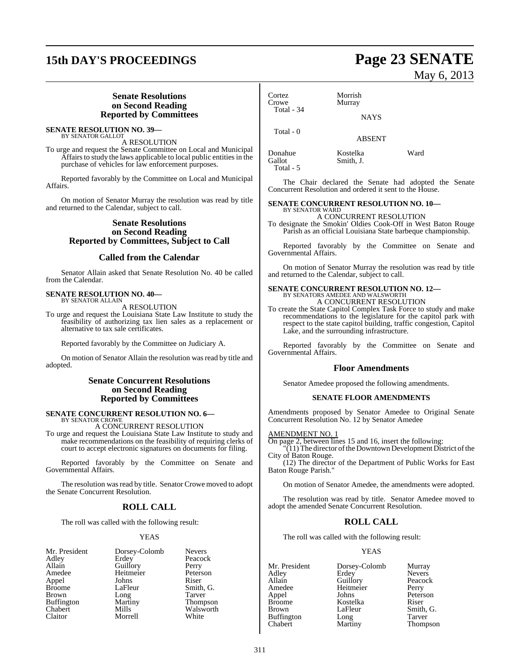# **15th DAY'S PROCEEDINGS Page 23 SENATE**

#### **Senate Resolutions on Second Reading Reported by Committees**

#### **SENATE RESOLUTION NO. 39—** BY SENATOR GALLOT

A RESOLUTION

To urge and request the Senate Committee on Local and Municipal Affairs to study the laws applicable to local public entities in the purchase of vehicles for law enforcement purposes.

Reported favorably by the Committee on Local and Municipal Affairs.

On motion of Senator Murray the resolution was read by title and returned to the Calendar, subject to call.

#### **Senate Resolutions on Second Reading Reported by Committees, Subject to Call**

#### **Called from the Calendar**

Senator Allain asked that Senate Resolution No. 40 be called from the Calendar.

#### **SENATE RESOLUTION NO. 40—** BY SENATOR ALLAIN

A RESOLUTION

To urge and request the Louisiana State Law Institute to study the feasibility of authorizing tax lien sales as a replacement or alternative to tax sale certificates.

Reported favorably by the Committee on Judiciary A.

On motion of Senator Allain the resolution wasread by title and adopted.

#### **Senate Concurrent Resolutions on Second Reading Reported by Committees**

#### **SENATE CONCURRENT RESOLUTION NO. 6—** BY SENATOR CROWE

A CONCURRENT RESOLUTION

To urge and request the Louisiana State Law Institute to study and make recommendations on the feasibility of requiring clerks of court to accept electronic signatures on documents for filing.

Reported favorably by the Committee on Senate and Governmental Affairs.

The resolution was read by title. Senator Crowe moved to adopt the Senate Concurrent Resolution.

## **ROLL CALL**

The roll was called with the following result:

#### YEAS

| Mr. President<br>Adley<br>Allain<br>Amedee<br>Appel<br><b>Broome</b><br><b>Brown</b><br><b>Buffington</b><br>Chabert | Dorsey-Colomb<br>Erdey<br>Guillory<br>Heitmeier<br>Johns<br>LaFleur<br>Long<br>Martiny<br>Mills | <b>Nevers</b><br>Peacock<br>Perry<br>Peterson<br>Riser<br>Smith. G.<br>Tarver<br>Thompson<br>Walsworth |
|----------------------------------------------------------------------------------------------------------------------|-------------------------------------------------------------------------------------------------|--------------------------------------------------------------------------------------------------------|
| Claitor                                                                                                              | Morrell                                                                                         | White                                                                                                  |
|                                                                                                                      |                                                                                                 |                                                                                                        |

May 6, 2013

Cortez Morrish Murray Total - 34 **NAYS** Total - 0

ABSENT

Donahue Kostelka Ward<br>Gallot Smith, J. Smith, J. Total - 5

The Chair declared the Senate had adopted the Senate Concurrent Resolution and ordered it sent to the House.

#### **SENATE CONCURRENT RESOLUTION NO. 10—** BY SENATOR WARD

A CONCURRENT RESOLUTION To designate the Smokin' Oldies Cook-Off in West Baton Rouge Parish as an official Louisiana State barbeque championship.

Reported favorably by the Committee on Senate and Governmental Affairs.

On motion of Senator Murray the resolution was read by title and returned to the Calendar, subject to call.

## **SENATE CONCURRENT RESOLUTION NO. 12—** BY SENATORS AMEDEE AND WALSWORTH A CONCURRENT RESOLUTION

To create the State Capitol Complex Task Force to study and make recommendations to the legislature for the capitol park with respect to the state capitol building, traffic congestion, Capitol Lake, and the surrounding infrastructure.

Reported favorably by the Committee on Senate and Governmental Affairs.

#### **Floor Amendments**

Senator Amedee proposed the following amendments.

#### **SENATE FLOOR AMENDMENTS**

Amendments proposed by Senator Amedee to Original Senate Concurrent Resolution No. 12 by Senator Amedee

#### AMENDMENT NO. 1

On page 2, between lines 15 and 16, insert the following:

 $\overline{(11)}$  The director of the Downtown Development District of the City of Baton Rouge.

(12) The director of the Department of Public Works for East Baton Rouge Parish."

On motion of Senator Amedee, the amendments were adopted.

The resolution was read by title. Senator Amedee moved to adopt the amended Senate Concurrent Resolution.

### **ROLL CALL**

The roll was called with the following result:

#### YEAS

Mr. President Dorsey-Colomb Murray<br>Adley Erdey Nevers Adley Erdey Nevers Allain Guillory Peacc<br>
Amedee Heitmeier Perry Amedee Heitmeier<br>
Appel Johns Appel Johns Peterson<br>Broome Kostelka Riser Broome Kostelka<br>Brown LaFleur Buffington Long<br>Chabert Martiny

Smith, G.<br>Tarver Thompson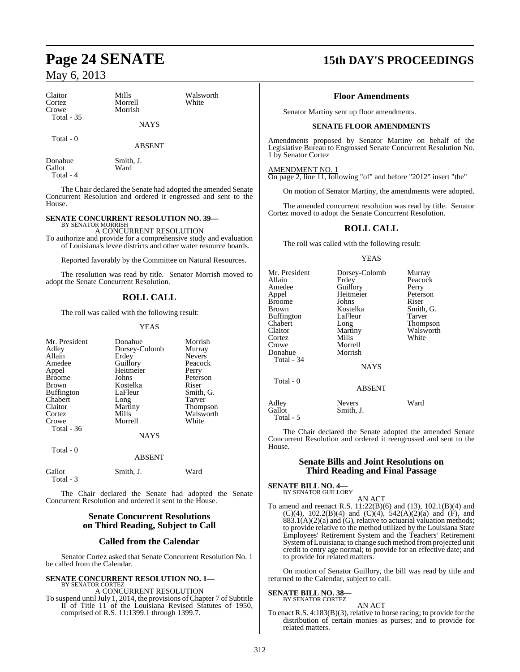Gallot Ward

Total - 4

| Claitor<br>Cortez<br>Crowe | Mills<br>Morrell<br>Morrish | Walsworth<br>White |
|----------------------------|-----------------------------|--------------------|
| Total $-35$                | <b>NAYS</b>                 |                    |
| Total - 0                  | <b>ABSENT</b>               |                    |
| Donahue                    | Smith, J.                   |                    |

The Chair declared the Senate had adopted the amended Senate Concurrent Resolution and ordered it engrossed and sent to the House.

## **SENATE CONCURRENT RESOLUTION NO. 39—**

BY SENATOR MORRISH A CONCURRENT RESOLUTION To authorize and provide for a comprehensive study and evaluation of Louisiana's levee districts and other water resource boards.

Reported favorably by the Committee on Natural Resources.

The resolution was read by title. Senator Morrish moved to adopt the Senate Concurrent Resolution.

#### **ROLL CALL**

The roll was called with the following result:

#### YEAS

| Mr. President<br>Adley<br>Allain<br>Amedee<br>Appel<br><b>Broome</b><br>Brown<br><b>Buffington</b><br>Chabert<br>Claitor<br>Cortez | Donahue<br>Dorsey-Colomb<br>Erdey<br>Guillory<br>Heitmeier<br>Johns<br>Kostelka<br>LaFleur<br>Long<br>Martiny<br>Mills | Morrish<br>Murray<br><b>Nevers</b><br>Peacock<br>Perry<br>Peterson<br>Riser<br>Smith, G.<br>Tarver<br>Thompson<br>Walsworth |
|------------------------------------------------------------------------------------------------------------------------------------|------------------------------------------------------------------------------------------------------------------------|-----------------------------------------------------------------------------------------------------------------------------|
| Crowe<br>Total - 36                                                                                                                | Morrell<br><b>NAYS</b>                                                                                                 | White                                                                                                                       |
| Total - 0                                                                                                                          | <b>ABSENT</b>                                                                                                          |                                                                                                                             |
| Gallot<br>Total - 3                                                                                                                | Smith, J.                                                                                                              | Ward                                                                                                                        |

The Chair declared the Senate had adopted the Senate Concurrent Resolution and ordered it sent to the House.

### **Senate Concurrent Resolutions on Third Reading, Subject to Call**

#### **Called from the Calendar**

Senator Cortez asked that Senate Concurrent Resolution No. 1 be called from the Calendar.

#### **SENATE CONCURRENT RESOLUTION NO. 1—** BY SENATOR CORTEZ

A CONCURRENT RESOLUTION To suspend until July 1, 2014, the provisions of Chapter 7 of Subtitle II of Title 11 of the Louisiana Revised Statutes of 1950, comprised of R.S. 11:1399.1 through 1399.7.

# **Page 24 SENATE 15th DAY'S PROCEEDINGS**

#### **Floor Amendments**

Senator Martiny sent up floor amendments.

#### **SENATE FLOOR AMENDMENTS**

Amendments proposed by Senator Martiny on behalf of the Legislative Bureau to Engrossed Senate Concurrent Resolution No. 1 by Senator Cortez

AMENDMENT NO. 1

On page 2, line 11, following "of" and before "2012" insert "the"

On motion of Senator Martiny, the amendments were adopted.

The amended concurrent resolution was read by title. Senator Cortez moved to adopt the Senate Concurrent Resolution.

#### **ROLL CALL**

The roll was called with the following result:

#### YEAS

| Mr. President<br>Allain<br>Amedee<br>Appel<br>Broome<br>Brown<br>Buffington<br>Chabert<br>Claitor<br>Cortez<br>Crowe<br>Donahue<br>Total - 34 | Dorsey-Colomb<br>Erdey<br>Guillory<br>Heitmeier<br>Johns<br>Kostelka<br>LaFleur<br>Long<br>Martiny<br>Mills<br>Morrell<br>Morrish<br><b>NAYS</b> | Murray<br>Peacock<br>Perry<br>Peterson<br>Riser<br>Smith, G.<br>Tarver<br>Thompson<br>Walsworth<br>White |
|-----------------------------------------------------------------------------------------------------------------------------------------------|--------------------------------------------------------------------------------------------------------------------------------------------------|----------------------------------------------------------------------------------------------------------|
| Total - 0                                                                                                                                     | <b>ABSENT</b>                                                                                                                                    |                                                                                                          |
| Adley<br>Gallot<br>Total - 5                                                                                                                  | <b>Nevers</b><br>Smith, J.                                                                                                                       | Ward                                                                                                     |

The Chair declared the Senate adopted the amended Senate Concurrent Resolution and ordered it reengrossed and sent to the House.

#### **Senate Bills and Joint Resolutions on Third Reading and Final Passage**

#### **SENATE BILL NO. 4—** BY SENATOR GUILLORY

AN ACT

To amend and reenact R.S. 11:22(B)(6) and (13), 102.1(B)(4) and (C)(4), 102.2(B)(4) and (C)(4),  $542(A)(2)(a)$  and (F), and  $883.1(A)(2)(a)$  and  $(G)$ , relative to actuarial valuation methods; to provide relative to the method utilized by the Louisiana State Employees' Retirement System and the Teachers' Retirement System of Louisiana; to change such method from projected unit credit to entry age normal; to provide for an effective date; and to provide for related matters.

On motion of Senator Guillory, the bill was read by title and returned to the Calendar, subject to call.

#### **SENATE BILL NO. 38—** BY SENATOR CORTEZ

#### AN ACT

To enact R.S. 4:183(B)(3), relative to horse racing; to provide for the distribution of certain monies as purses; and to provide for related matters.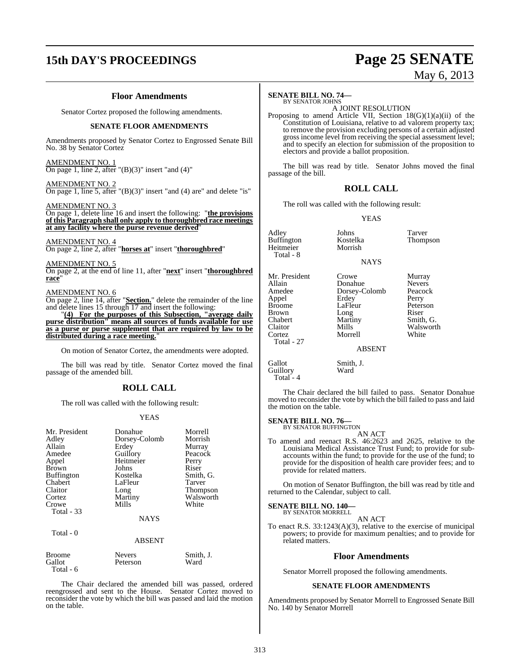# **15th DAY'S PROCEEDINGS Page 25 SENATE**

#### **Floor Amendments**

Senator Cortez proposed the following amendments.

#### **SENATE FLOOR AMENDMENTS**

Amendments proposed by Senator Cortez to Engrossed Senate Bill No. 38 by Senator Cortez

AMENDMENT NO. 1 On page 1, line 2, after  $"({\rm B})(3)"$  insert "and  $(4)"$ 

#### AMENDMENT NO. 2

On page 1, line 5, after  $"({\rm B})(3)"$  insert "and (4) are" and delete "is"

AMENDMENT NO. 3

On page 1, delete line 16 and insert the following: "**the provisions of this Paragraph shall only apply to thoroughbred race meetings at any facility where the purse revenue derived**"

#### AMENDMENT NO. 4 On page 2, line 2, after "**horses at**" insert "**thoroughbred**"

AMENDMENT NO. 5 On page 2, at the end of line 11, after "**next**" insert "**thoroughbred race**"

#### AMENDMENT NO. 6

On page 2, line 14, after "**Section.**" delete the remainder of the line and delete lines 15 through 17 and insert the following:

"**(4) For the purposes of this Subsection, "average daily purse distribution" means all sources of funds available for use as a purse or purse supplement that are required by law to be distributed during a race meeting.**"

On motion of Senator Cortez, the amendments were adopted.

The bill was read by title. Senator Cortez moved the final passage of the amended bill.

### **ROLL CALL**

The roll was called with the following result:

#### YEAS

| Mr. President<br>Adley<br>Allain<br>Amedee<br>Appel<br><b>Brown</b><br><b>Buffington</b><br>Chabert<br>Claitor<br>Cortez<br>Crowe | Donahue<br>Dorsey-Colomb<br>Erdey<br>Guillory<br>Heitmeier<br>Johns<br>Kostelka<br>LaFleur<br>Long<br>Martiny<br>Mills | Morrell<br>Morrish<br>Murray<br>Peacock<br>Perry<br>Riser<br>Smith, G.<br>Tarver<br><b>Thompson</b><br>Walsworth<br>White |
|-----------------------------------------------------------------------------------------------------------------------------------|------------------------------------------------------------------------------------------------------------------------|---------------------------------------------------------------------------------------------------------------------------|
| Total - 33                                                                                                                        | <b>NAYS</b>                                                                                                            |                                                                                                                           |
| Total - 0                                                                                                                         |                                                                                                                        |                                                                                                                           |

|        | . . <i>.</i>  |           |
|--------|---------------|-----------|
| Broome | <b>Nevers</b> | Smith. J. |
| Gallot | Peterson      | Ward      |

Total - 6

The Chair declared the amended bill was passed, ordered reengrossed and sent to the House. Senator Cortez moved to reconsider the vote by which the bill was passed and laid the motion on the table.

ABSENT

#### **SENATE BILL NO. 74—** BY SENATOR JOHNS

A JOINT RESOLUTION

Proposing to amend Article VII, Section 18(G)(1)(a)(ii) of the Constitution of Louisiana, relative to ad valorem property tax; to remove the provision excluding persons of a certain adjusted gross income level from receiving the special assessment level; and to specify an election for submission of the proposition to electors and provide a ballot proposition.

The bill was read by title. Senator Johns moved the final passage of the bill.

#### **ROLL CALL**

The roll was called with the following result:

YEAS

| Adley<br><b>Buffington</b><br>Heitmeier<br>Total - 8                                                                      | Johns<br>Kostelka<br>Morrish                                                                 | Tarver<br><b>Thompson</b>                                                                           |
|---------------------------------------------------------------------------------------------------------------------------|----------------------------------------------------------------------------------------------|-----------------------------------------------------------------------------------------------------|
|                                                                                                                           | <b>NAYS</b>                                                                                  |                                                                                                     |
| Mr. President<br>Allain<br>Amedee<br>Appel<br><b>Broome</b><br><b>Brown</b><br>Chabert<br>Claitor<br>Cortez<br>Total - 27 | Crowe<br>Donahue<br>Dorsey-Colomb<br>Erdey<br>LaFleur<br>Long<br>Martiny<br>Mills<br>Morrell | Murray<br><b>Nevers</b><br>Peacock<br>Perry<br>Peterson<br>Riser<br>Smith, G.<br>Walsworth<br>White |
|                                                                                                                           | <b>ABSENT</b>                                                                                |                                                                                                     |

#### **NAYS**

| Murray        |
|---------------|
| <b>Nevers</b> |
| Peacock       |
| Perry         |
| Peterson      |
| Riser         |
| Smith, G.     |
| Walswort      |
| White         |
|               |

#### ABSENT

Gallot Smith, J. Guillory Ward Total - 4

The Chair declared the bill failed to pass. Senator Donahue moved to reconsider the vote by which the bill failed to pass and laid the motion on the table.

#### **SENATE BILL NO. 76—**

BY SENATOR BUFFINGTON AN ACT

To amend and reenact R.S. 46:2623 and 2625, relative to the Louisiana Medical Assistance Trust Fund; to provide for subaccounts within the fund; to provide for the use of the fund; to provide for the disposition of health care provider fees; and to provide for related matters.

On motion of Senator Buffington, the bill was read by title and returned to the Calendar, subject to call.

#### **SENATE BILL NO. 140—**

BY SENATOR MORRELL AN ACT

To enact R.S. 33:1243(A)(3), relative to the exercise of municipal powers; to provide for maximum penalties; and to provide for related matters.

#### **Floor Amendments**

Senator Morrell proposed the following amendments.

#### **SENATE FLOOR AMENDMENTS**

Amendments proposed by Senator Morrell to Engrossed Senate Bill No. 140 by Senator Morrell

#### 313

# May 6, 2013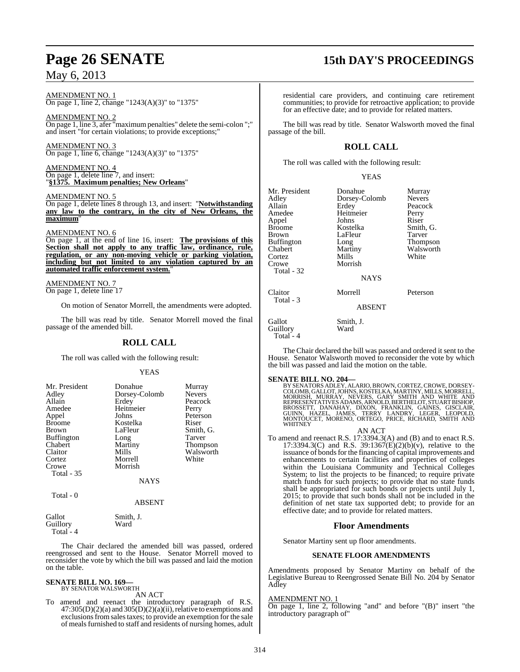AMENDMENT NO. 1 On page 1, line 2, change "1243(A)(3)" to "1375"

AMENDMENT NO. 2 On page 1, line 3, afer "maximum penalties" delete the semi-colon ";" and insert "for certain violations; to provide exceptions;"

AMENDMENT NO. 3 On page 1, line 6, change "1243(A)(3)" to "1375"

AMENDMENT NO. 4 On page 1, delete line 7, and insert: "**§1375. Maximum penalties; New Orleans**"

AMENDMENT NO. 5

On page 1, delete lines 8 through 13, and insert: "**Notwithstanding any law to the contrary, in the city of New Orleans, the** maximum

#### AMENDMENT NO. 6

On page 1, at the end of line 16, insert: **The provisions of this Section shall not apply to any traffic law, ordinance, rule, regulation, or any non-moving vehicle or parking violation, including but not limited to any violation captured by an automated traffic enforcement system.**"

AMENDMENT NO. 7 On page 1, delete line 17

On motion of Senator Morrell, the amendments were adopted.

The bill was read by title. Senator Morrell moved the final passage of the amended bill.

## **ROLL CALL**

The roll was called with the following result:

#### **YEAS**

| Mr. President<br>Adley<br>Allain<br>Amedee<br>Appel<br><b>Broome</b><br><b>Brown</b><br><b>Buffington</b><br>Chabert<br>Claitor<br>Cortez<br>Crowe<br>Total - 35 | Donahue<br>Dorsey-Colomb<br>Erdey<br>Heitmeier<br>Johns<br>Kostelka<br>LaFleur<br>Long<br>Martiny<br>Mills<br>Morrell<br>Morrish<br><b>NAYS</b> | Murray<br><b>Nevers</b><br>Peacock<br>Perry<br>Peterson<br>Riser<br>Smith, G.<br>Tarver<br><b>Thompson</b><br>Walsworth<br>White |
|------------------------------------------------------------------------------------------------------------------------------------------------------------------|-------------------------------------------------------------------------------------------------------------------------------------------------|----------------------------------------------------------------------------------------------------------------------------------|
| Total - 0                                                                                                                                                        |                                                                                                                                                 |                                                                                                                                  |

ABSENT

Gallot Smith, J.<br>Guillory Ward Guillory Total - 4

The Chair declared the amended bill was passed, ordered reengrossed and sent to the House. Senator Morrell moved to reconsider the vote by which the bill was passed and laid the motion on the table.

#### **SENATE BILL NO. 169—** BY SENATOR WALSWORTH

AN ACT

To amend and reenact the introductory paragraph of R.S.  $47:305(D)(2)(a)$  and  $305(D)(2)(a)(ii)$ , relative to exemptions and exclusions from sales taxes; to provide an exemption for the sale of mealsfurnished to staff and residents of nursing homes, adult

# **Page 26 SENATE 15th DAY'S PROCEEDINGS**

residential care providers, and continuing care retirement communities; to provide for retroactive application; to provide for an effective date; and to provide for related matters.

The bill was read by title. Senator Walsworth moved the final passage of the bill.

## **ROLL CALL**

The roll was called with the following result:

#### YEAS

| Mr. President | Donahue       | Murray        |
|---------------|---------------|---------------|
| Adlev         | Dorsey-Colomb | <b>Nevers</b> |
| Allain        | Erdey         | Peacock       |
| Amedee        | Heitmeier     | Perry         |
| Appel         | Johns         | Riser         |
| <b>Broome</b> | Kostelka      | Smith, G.     |
| Brown         | LaFleur       | Tarver        |
| Buffington    | Long          | Thompson      |
| Chabert       | Martiny       | Walsworth     |
| Cortez        | Mills         | White         |
| Crowe         | Morrish       |               |
| Total - 32    |               |               |
|               | <b>NAYS</b>   |               |
| Claitor       | Morrell       | Peterson      |
| Total - 3     |               |               |
|               | <b>ABSENT</b> |               |
| Gallot        | Smith, J.     |               |
| Guillorv      | Ward          |               |

The Chair declared the bill was passed and ordered it sent to the House. Senator Walsworth moved to reconsider the vote by which the bill was passed and laid the motion on the table.

Guillory Total - 4

SENATE BILL NO. 204-<br>
BY SENATORS ADLEY, ALARIO, BROWN, CORTEZ, CROWE, DORSEY-<br>
COLOMB, GALLOT, JOHNS, KOSTELKA, MARTINY, MILLS, MORRELL,<br>
MORRISH, MURRAY, NEVERS, GARY SMITH AND WHITE AND<br>
REPRESENTATIVES ADAMS, ARNOLD, B

AN ACT

To amend and reenact R.S. 17:3394.3(A) and (B) and to enact R.S. 17:3394.3(C) and R.S. 39:1367(E)(2)(b)(v), relative to the issuance of bonds for the financing of capital improvements and enhancements to certain facilities and properties of colleges within the Louisiana Community and Technical Colleges System; to list the projects to be financed; to require private match funds for such projects; to provide that no state funds shall be appropriated for such bonds or projects until July 1, 2015; to provide that such bonds shall not be included in the definition of net state tax supported debt; to provide for an effective date; and to provide for related matters.

### **Floor Amendments**

Senator Martiny sent up floor amendments.

### **SENATE FLOOR AMENDMENTS**

Amendments proposed by Senator Martiny on behalf of the Legislative Bureau to Reengrossed Senate Bill No. 204 by Senator Adley

#### AMENDMENT NO. 1

On page 1, line 2, following "and" and before "(B)" insert "the introductory paragraph of"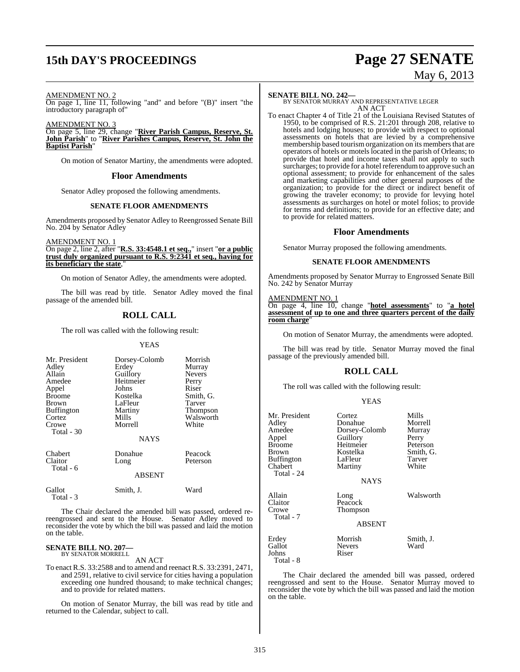# **15th DAY'S PROCEEDINGS Page 27 SENATE**

# May 6, 2013

#### AMENDMENT NO. 2

On page 1, line 11, following "and" and before "(B)" insert "the introductory paragraph of"

AMENDMENT NO. 3

On page 5, line 29, change "**River Parish Campus, Reserve, St. John Parish**" to "**River Parishes Campus, Reserve, St. John the Baptist Parish**"

On motion of Senator Martiny, the amendments were adopted.

#### **Floor Amendments**

Senator Adley proposed the following amendments.

#### **SENATE FLOOR AMENDMENTS**

Amendments proposed by Senator Adley to Reengrossed Senate Bill No. 204 by Senator Adley

AMENDMENT NO. 1 On page 2, line 2, after "**R.S. 33:4548.1 et seq.,**" insert "**or a public**

**trust duly organized pursuant to R.S. 9:2341 et seq., having for its beneficiary the state**,"

On motion of Senator Adley, the amendments were adopted.

The bill was read by title. Senator Adley moved the final passage of the amended bill.

### **ROLL CALL**

The roll was called with the following result:

#### YEAS

| Mr. President<br>Adley<br>Allain<br>Amedee<br>Appel<br>Broome<br>Brown<br><b>Buffington</b><br>Cortez<br>Crowe<br>Total $-30$ | Dorsey-Colomb<br>Erdey<br>Guillory<br>Heitmeier<br>Johns<br>Kostelka<br>LaFleur<br>Martiny<br>Mills<br>Morrell<br><b>NAYS</b> | Morrish<br>Murray<br><b>Nevers</b><br>Perry<br>Riser<br>Smith, G.<br>Tarver<br>Thompson<br>Walsworth<br>White |
|-------------------------------------------------------------------------------------------------------------------------------|-------------------------------------------------------------------------------------------------------------------------------|---------------------------------------------------------------------------------------------------------------|
| Chabert<br>Claitor<br>Total - 6                                                                                               | Donahue<br>Long<br><b>ABSENT</b>                                                                                              | Peacock<br>Peterson                                                                                           |
| Gallot<br>Total - 3                                                                                                           | Smith, J.                                                                                                                     | Ward                                                                                                          |

The Chair declared the amended bill was passed, ordered rereengrossed and sent to the House. Senator Adley moved to reconsider the vote by which the bill was passed and laid the motion on the table.

# **SENATE BILL NO. 207—** BY SENATOR MORRELL

AN ACT

To enact R.S. 33:2588 and to amend and reenact R.S. 33:2391, 2471, and 2591, relative to civil service for cities having a population exceeding one hundred thousand; to make technical changes; and to provide for related matters.

On motion of Senator Murray, the bill was read by title and returned to the Calendar, subject to call.

**SENATE BILL NO. 242—** BY SENATOR MURRAY AND REPRESENTATIVE LEGER AN ACT

To enact Chapter 4 of Title 21 of the Louisiana Revised Statutes of 1950, to be comprised of R.S. 21:201 through 208, relative to hotels and lodging houses; to provide with respect to optional assessments on hotels that are levied by a comprehensive membership based tourism organization on its members that are operators of hotels or motels located in the parish of Orleans; to provide that hotel and income taxes shall not apply to such surcharges; to provide for a hotel referendum to approve such an optional assessment; to provide for enhancement of the sales and marketing capabilities and other general purposes of the organization; to provide for the direct or indirect benefit of growing the traveler economy; to provide for levying hotel assessments as surcharges on hotel or motel folios; to provide for terms and definitions; to provide for an effective date; and to provide for related matters.

#### **Floor Amendments**

Senator Murray proposed the following amendments.

#### **SENATE FLOOR AMENDMENTS**

Amendments proposed by Senator Murray to Engrossed Senate Bill No. 242 by Senator Murray

#### AMENDMENT NO. 1

On page 4, line 10, change "**hotel assessments**" to "**a hotel assessment of up to one and three quarters percent of the daily room charge**"

On motion of Senator Murray, the amendments were adopted.

The bill was read by title. Senator Murray moved the final passage of the previously amended bill.

#### **ROLL CALL**

The roll was called with the following result:

#### YEAS

| Mr. President<br>Adlev<br>Amedee<br>Appel<br>Broome<br>Brown<br>Buffington<br>Chabert<br>Total - 24 | Cortez<br>Donahue<br>Dorsey-Colomb<br>Guillory<br>Heitmeier<br>Kostelka<br>LaFleur<br>Martiny<br><b>NAYS</b> | Mills<br>Morrell<br>Murray<br>Perry<br>Peterson<br>Smith, G.<br>Tarver<br>White |
|-----------------------------------------------------------------------------------------------------|--------------------------------------------------------------------------------------------------------------|---------------------------------------------------------------------------------|
| Allain<br>Claitor<br>Crowe<br>Total - 7                                                             | Long<br>Peacock<br>Thompson<br><b>ABSENT</b>                                                                 | Walsworth                                                                       |
| Erdey<br>Gallot<br>Johns<br>Total - 8                                                               | Morrish<br><b>Nevers</b><br>Riser                                                                            | Smith, J.<br>Ward                                                               |

The Chair declared the amended bill was passed, ordered reengrossed and sent to the House. Senator Murray moved to reconsider the vote by which the bill was passed and laid the motion on the table.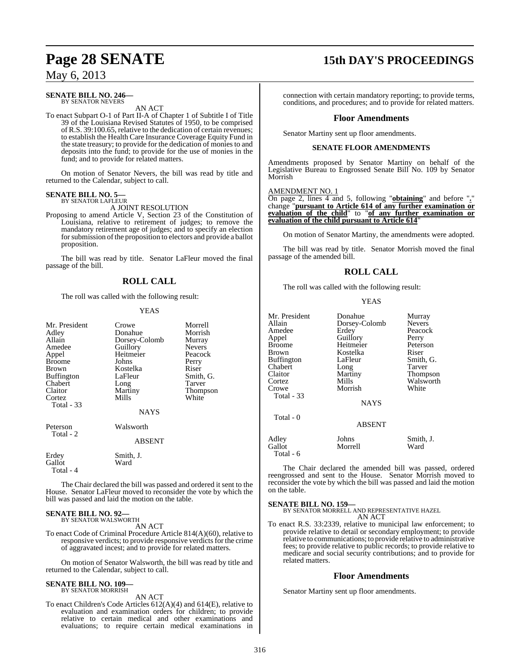#### **SENATE BILL NO. 246—** BY SENATOR NEVERS

AN ACT

To enact Subpart O-1 of Part II-A of Chapter 1 of Subtitle I of Title 39 of the Louisiana Revised Statutes of 1950, to be comprised of R.S. 39:100.65, relative to the dedication of certain revenues; to establish the Health Care Insurance Coverage Equity Fund in the state treasury; to provide for the dedication of monies to and deposits into the fund; to provide for the use of monies in the fund; and to provide for related matters.

On motion of Senator Nevers, the bill was read by title and returned to the Calendar, subject to call.

#### **SENATE BILL NO. 5—** BY SENATOR LAFLEUR

A JOINT RESOLUTION

Proposing to amend Article V, Section 23 of the Constitution of Louisiana, relative to retirement of judges; to remove the mandatory retirement age of judges; and to specify an election for submission of the proposition to electors and provide a ballot proposition.

The bill was read by title. Senator LaFleur moved the final passage of the bill.

## **ROLL CALL**

The roll was called with the following result:

#### YEAS

| Mr. President<br>Adley<br>Allain<br>Amedee<br>Appel<br>Broome<br>Brown<br>Buffington<br>Chabert<br>Claitor<br>Cortez<br>Total - 33 | Crowe<br>Donahue<br>Dorsey-Colomb<br>Guillory<br>Heitmeier<br>Johns<br>Kostelka<br>LaFleur<br>Long<br>Martiny<br>Mills<br><b>NAYS</b> | Morrell<br>Morrish<br>Murray<br><b>Nevers</b><br>Peacock<br>Perry<br>Riser<br>Smith, G.<br>Tarver<br>Thompson<br>White |
|------------------------------------------------------------------------------------------------------------------------------------|---------------------------------------------------------------------------------------------------------------------------------------|------------------------------------------------------------------------------------------------------------------------|
| Peterson<br>Total - 2                                                                                                              | Walsworth<br><b>ABSENT</b>                                                                                                            |                                                                                                                        |
| Erdey<br>Gallot<br>Total - 4                                                                                                       | Smith, J.<br>Ward                                                                                                                     |                                                                                                                        |

The Chair declared the bill was passed and ordered it sent to the House. Senator LaFleur moved to reconsider the vote by which the bill was passed and laid the motion on the table.

# **SENATE BILL NO. 92—** BY SENATOR WALSWORTH

AN ACT

To enact Code of Criminal Procedure Article 814(A)(60), relative to responsive verdicts; to provide responsive verdicts for the crime of aggravated incest; and to provide for related matters.

On motion of Senator Walsworth, the bill was read by title and returned to the Calendar, subject to call.

#### **SENATE BILL NO. 109—** BY SENATOR MORRISH

AN ACT

To enact Children's Code Articles 612(A)(4) and 614(E), relative to evaluation and examination orders for children; to provide relative to certain medical and other examinations and evaluations; to require certain medical examinations in

# **Page 28 SENATE 15th DAY'S PROCEEDINGS**

connection with certain mandatory reporting; to provide terms, conditions, and procedures; and to provide for related matters.

#### **Floor Amendments**

Senator Martiny sent up floor amendments.

#### **SENATE FLOOR AMENDMENTS**

Amendments proposed by Senator Martiny on behalf of the Legislative Bureau to Engrossed Senate Bill No. 109 by Senator Morrish

#### AMENDMENT NO. 1

On page 2, lines 4 and 5, following "**obtaining**" and before "**.**" change "**pursuant to Article 614 of any further examination or evaluation of the child**" to "**of any further examination or evaluation of the child pursuant to Article 614**"

On motion of Senator Martiny, the amendments were adopted.

The bill was read by title. Senator Morrish moved the final passage of the amended bill.

## **ROLL CALL**

YEAS

The roll was called with the following result:

| Mr. President<br>Allain<br>Amedee<br>Appel<br><b>Broome</b><br><b>Brown</b><br><b>Buffington</b><br>Chabert<br>Claitor<br>Cortez<br>Crowe<br><b>Total - 33</b> | Donahue<br>Dorsey-Colomb<br>Erdey<br>Guillory<br>Heitmeier<br>Kostelka<br>LaFleur<br>Long<br>Martiny<br>Mills<br>Morrish<br><b>NAYS</b> | Murray<br><b>Nevers</b><br>Peacock<br>Perry<br>Peterson<br>Riser<br>Smith, G.<br>Tarver<br>Thompson<br>Walsworth<br>White |
|----------------------------------------------------------------------------------------------------------------------------------------------------------------|-----------------------------------------------------------------------------------------------------------------------------------------|---------------------------------------------------------------------------------------------------------------------------|
| Total - 0                                                                                                                                                      | <b>ABSENT</b>                                                                                                                           |                                                                                                                           |
| Adley<br>Gallot<br>Total - 6                                                                                                                                   | Johns<br>Morrell                                                                                                                        | Smith, J.<br>Ward                                                                                                         |

The Chair declared the amended bill was passed, ordered reengrossed and sent to the House. Senator Morrish moved to reconsider the vote by which the bill was passed and laid the motion on the table.

#### **SENATE BILL NO. 159—**

BY SENATOR MORRELL AND REPRESENTATIVE HAZEL AN ACT

To enact R.S. 33:2339, relative to municipal law enforcement; to provide relative to detail or secondary employment; to provide relative to communications; to provide relative to administrative fees; to provide relative to public records; to provide relative to medicare and social security contributions; and to provide for related matters.

### **Floor Amendments**

Senator Martiny sent up floor amendments.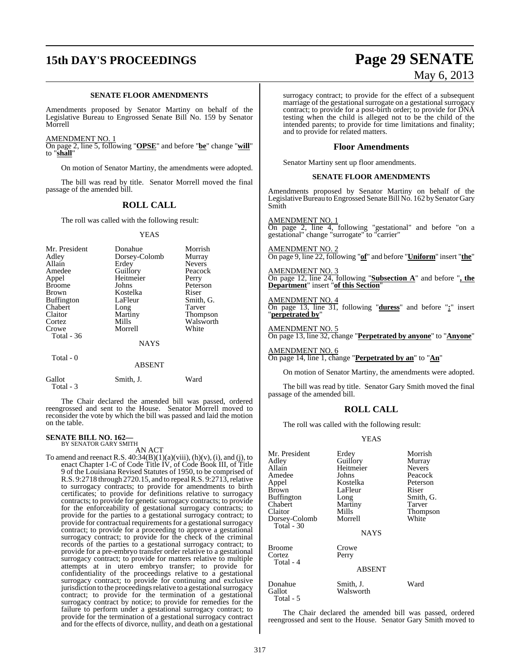# **15th DAY'S PROCEEDINGS Page 29 SENATE**

#### **SENATE FLOOR AMENDMENTS**

Amendments proposed by Senator Martiny on behalf of the Legislative Bureau to Engrossed Senate Bill No. 159 by Senator Morrell

AMENDMENT NO. 1

On page 2, line 5, following "**OPSE**" and before "**be**" change "**will**" to "**shall**"

On motion of Senator Martiny, the amendments were adopted.

The bill was read by title. Senator Morrell moved the final passage of the amended bill.

### **ROLL CALL**

The roll was called with the following result:

YEAS

| Mr. President     | Donahue       | Morrish         |
|-------------------|---------------|-----------------|
| Adley             | Dorsey-Colomb | Murray          |
| Allain            | Erdey         | <b>Nevers</b>   |
| Amedee            | Guillory      | Peacock         |
| Appel             | Heitmeier     | Perry           |
| <b>Broome</b>     | Johns         | Peterson        |
| <b>Brown</b>      | Kostelka      | Riser           |
| <b>Buffington</b> | LaFleur       | Smith, G.       |
| Chabert           | Long          | <b>Tarver</b>   |
| Claitor           | Martiny       | <b>Thompson</b> |
| Cortez            | Mills         | Walsworth       |
| Crowe             | Morrell       | White           |
| <b>Total - 36</b> |               |                 |
|                   | <b>NAYS</b>   |                 |
| Total - 0         |               |                 |
|                   | ABSENT        |                 |

| Gallot    | Smith, J. | Ward |
|-----------|-----------|------|
| Total - 3 |           |      |

The Chair declared the amended bill was passed, ordered reengrossed and sent to the House. Senator Morrell moved to reconsider the vote by which the bill was passed and laid the motion on the table.

# **SENATE BILL NO. 162—** BY SENATOR GARY SMITH

AN ACT

To amend and reenact R.S.  $40:34(B)(1)(a)(viii)$ ,  $(h)(v)$ ,  $(i)$ , and  $(j)$ , to enact Chapter 1-C of Code Title IV, of Code Book III, of Title 9 of the Louisiana Revised Statutes of 1950, to be comprised of R.S. 9:2718 through 2720.15, and to repeal  $R.S.$  9:2713, relative to surrogacy contracts; to provide for amendments to birth certificates; to provide for definitions relative to surrogacy contracts; to provide for genetic surrogacy contracts; to provide for the enforceability of gestational surrogacy contracts; to provide for the parties to a gestational surrogacy contract; to provide for contractual requirements for a gestational surrogacy contract; to provide for a proceeding to approve a gestational surrogacy contract; to provide for the check of the criminal records of the parties to a gestational surrogacy contract; to provide for a pre-embryo transfer order relative to a gestational surrogacy contract; to provide for matters relative to multiple attempts at in utero embryo transfer; to provide for confidentiality of the proceedings relative to a gestational surrogacy contract; to provide for continuing and exclusive jurisdiction to the proceedings relative to a gestational surrogacy contract; to provide for the termination of a gestational surrogacy contract by notice; to provide for remedies for the failure to perform under a gestational surrogacy contract; to provide for the termination of a gestational surrogacy contract and for the effects of divorce, nullity, and death on a gestational

surrogacy contract; to provide for the effect of a subsequent marriage of the gestational surrogate on a gestational surrogacy contract; to provide for a post-birth order; to provide for DNA testing when the child is alleged not to be the child of the intended parents; to provide for time limitations and finality; and to provide for related matters.

#### **Floor Amendments**

Senator Martiny sent up floor amendments.

#### **SENATE FLOOR AMENDMENTS**

Amendments proposed by Senator Martiny on behalf of the Legislative Bureau to Engrossed Senate Bill No. 162 by Senator Gary Smith

AMENDMENT NO. 1 On page 2, line 4, following "gestational" and before "on a gestational" change "surrogate" to "carrier"

AMENDMENT NO. 2 On page 9, line 22, following "**of**" and before "**Uniform**" insert "**the**"

AMENDMENT NO. 3 On page 12, line 24, following "**Subsection A**" and before "**, the Department**" insert "**of this Section**"

#### AMENDMENT NO. 4

On page 13, line 31, following "**duress**" and before "**:**" insert "**perpetrated by**"

AMENDMENT NO. 5 On page 13, line 32, change "**Perpetrated by anyone**" to "**Anyone**"

AMENDMENT NO. 6 On page 14, line 1, change "**Perpetrated by an**" to "**An**"

On motion of Senator Martiny, the amendments were adopted.

The bill was read by title. Senator Gary Smith moved the final passage of the amended bill.

#### **ROLL CALL**

The roll was called with the following result:

#### **YEAS**

| Mr. President               | Erdey                  | Morrish       |
|-----------------------------|------------------------|---------------|
| Adley                       | Guillory               | Murray        |
| Allain                      | Heitmeier              | <b>Nevers</b> |
| Amedee                      | Johns                  | Peacock       |
| Appel                       | Kostelka               | Peterson      |
| <b>Brown</b>                | LaFleur                | Riser         |
| <b>Buffington</b>           | Long                   | Smith, G.     |
| Chabert                     | Martiny                | Tarver        |
| Claitor                     | Mills                  | Thompson      |
| Dorsey-Colomb<br>Total - 30 | Morrell                | White         |
|                             | <b>NAYS</b>            |               |
| <b>Broome</b>               | Crowe                  |               |
| Cortez<br>Total - 4         | Perry                  |               |
|                             | <b>ABSENT</b>          |               |
| Donahue<br>Gallot           | Smith, J.<br>Walsworth | Ward          |

The Chair declared the amended bill was passed, ordered reengrossed and sent to the House. Senator Gary Smith moved to

Total - 5

# May 6, 2013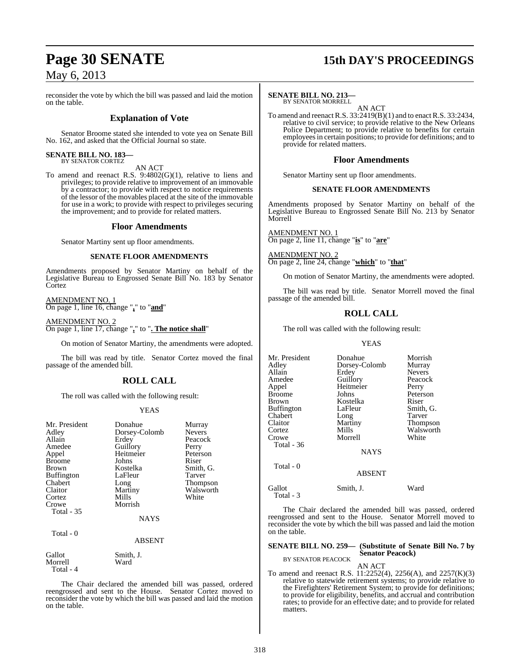# **Page 30 SENATE 15th DAY'S PROCEEDINGS**

reconsider the vote by which the bill was passed and laid the motion on the table.

## **Explanation of Vote**

Senator Broome stated she intended to vote yea on Senate Bill No. 162, and asked that the Official Journal so state.

# **SENATE BILL NO. 183—** BY SENATOR CORTEZ

#### AN ACT

To amend and reenact R.S. 9:4802(G)(1), relative to liens and privileges; to provide relative to improvement of an immovable by a contractor; to provide with respect to notice requirements of the lessor of the movables placed at the site of the immovable for use in a work; to provide with respect to privileges securing the improvement; and to provide for related matters.

#### **Floor Amendments**

Senator Martiny sent up floor amendments.

#### **SENATE FLOOR AMENDMENTS**

Amendments proposed by Senator Martiny on behalf of the Legislative Bureau to Engrossed Senate Bill No. 183 by Senator Cortez

AMENDMENT NO. 1 On page 1, line 16, change "**,**" to "**and**"

AMENDMENT NO. 2 On page 1, line 17, change "**,**" to "**. The notice shall**"

On motion of Senator Martiny, the amendments were adopted.

The bill was read by title. Senator Cortez moved the final passage of the amended bill.

## **ROLL CALL**

The roll was called with the following result:

#### YEAS

| Mr. President<br>Adley<br>Allain<br>Amedee<br>Appel<br><b>Broome</b><br><b>Brown</b><br><b>Buffington</b><br>Chabert<br>Claitor<br>Cortez<br>Crowe<br>Total - 35 | Donahue<br>Dorsey-Colomb<br>Erdey<br>Guillory<br>Heitmeier<br>Johns<br>Kostelka<br>LaFleur<br>Long<br>Martiny<br>Mills<br>Morrish | Murray<br><b>Nevers</b><br>Peacock<br>Perry<br>Peterson<br>Riser<br>Smith, G.<br>Tarver<br>Thompson<br>Walsworth<br>White |
|------------------------------------------------------------------------------------------------------------------------------------------------------------------|-----------------------------------------------------------------------------------------------------------------------------------|---------------------------------------------------------------------------------------------------------------------------|
|                                                                                                                                                                  | <b>NAYS</b>                                                                                                                       |                                                                                                                           |
| Total - 0                                                                                                                                                        | <b>ABSENT</b>                                                                                                                     |                                                                                                                           |
| C <sub>2</sub> 11 <sub>2</sub>                                                                                                                                   | $C_{\text{max}}$ is $L$                                                                                                           |                                                                                                                           |

*G*allot Smith, J.<br>Morrell Ward Morrell Total - 4

The Chair declared the amended bill was passed, ordered reengrossed and sent to the House. Senator Cortez moved to reconsider the vote by which the bill was passed and laid the motion on the table.

#### **SENATE BILL NO. 213—**

BY SENATOR MORRELL

AN ACT To amend and reenact R.S. 33:2419(B)(1) and to enact R.S. 33:2434, relative to civil service; to provide relative to the New Orleans Police Department; to provide relative to benefits for certain employeesin certain positions; to provide for definitions; and to provide for related matters.

#### **Floor Amendments**

Senator Martiny sent up floor amendments.

#### **SENATE FLOOR AMENDMENTS**

Amendments proposed by Senator Martiny on behalf of the Legislative Bureau to Engrossed Senate Bill No. 213 by Senator Morrell

AMENDMENT NO. 1 On page 2, line 11, change "**is**" to "**are**"

AMENDMENT NO. 2 On page 2, line 24, change "**which**" to "**that**"

On motion of Senator Martiny, the amendments were adopted.

The bill was read by title. Senator Morrell moved the final passage of the amended bill.

## **ROLL CALL**

The roll was called with the following result:

#### YEAS

| Mr. President       | Donahue       | Morrish         |
|---------------------|---------------|-----------------|
| Adley               | Dorsey-Colomb | Murray          |
| Allain              | Erdey         | <b>Nevers</b>   |
| Amedee              | Guillory      | Peacock         |
| Appel               | Heitmeier     | Perry           |
| Broome              | Johns         | Peterson        |
| Brown               | Kostelka      | Riser           |
| Buffington          | LaFleur       | Smith, G.       |
| Chabert             | Long          | Tarver          |
| Claitor             | Martiny       | <b>Thompson</b> |
| Cortez              | Mills         | Walsworth       |
| Crowe               | Morrell       | White           |
| Total - 36          |               |                 |
|                     | <b>NAYS</b>   |                 |
| Total - 0           |               |                 |
|                     | <b>ABSENT</b> |                 |
| Gallot<br>Total - 3 | Smith, J.     | Ward            |

The Chair declared the amended bill was passed, ordered reengrossed and sent to the House. Senator Morrell moved to reconsider the vote by which the bill was passed and laid the motion on the table.

**SENATE BILL NO. 259— (Substitute of Senate Bill No. 7 by Senator Peacock)** BY SENATOR PEACOCK

AN ACT

To amend and reenact R.S. 11:2252(4), 2256(A), and 2257(K)(3) relative to statewide retirement systems; to provide relative to the Firefighters' Retirement System; to provide for definitions; to provide for eligibility, benefits, and accrual and contribution rates; to provide for an effective date; and to provide for related matters.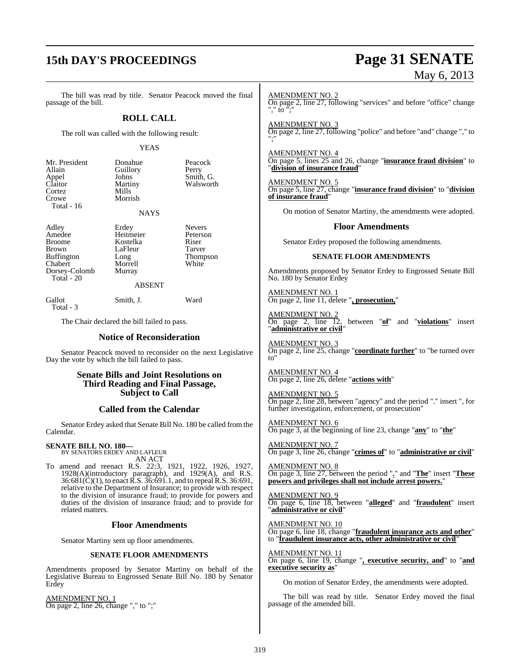# **15th DAY'S PROCEEDINGS Page 31 SENATE**

# May 6, 2013

The bill was read by title. Senator Peacock moved the final passage of the bill.

### **ROLL CALL**

The roll was called with the following result:

#### YEAS

| Mr. President    | Donahue  | Peacock   |
|------------------|----------|-----------|
| Allain           | Guillory | Perry     |
|                  | Johns    | Smith, G. |
| Appel<br>Claitor | Martiny  | Walsworth |
| Cortez           | Mills    |           |
| Crowe            | Morrish  |           |
| Total $-16$      |          |           |
|                  | NAYS     |           |

Adley Erdey Nevers<br>Amedee Heitmeier Peterson Amedee Heitmeier Peters<br>Broome Kostelka Riser Broome Kostelka Riser<br>Brown LaFleur Tarver Buffington Long Thompson<br>
Chabert Morrell White<br>
White Dorsey-Colomb Total - 20

Morrell<br>Murray

#### ABSENT

Gallot Smith, J. Ward Total - 3

The Chair declared the bill failed to pass.

LaFleur<br>Long

#### **Notice of Reconsideration**

Senator Peacock moved to reconsider on the next Legislative Day the vote by which the bill failed to pass.

#### **Senate Bills and Joint Resolutions on Third Reading and Final Passage, Subject to Call**

### **Called from the Calendar**

Senator Erdey asked that Senate Bill No. 180 be called from the Calendar.

#### **SENATE BILL NO. 180—** BY SENATORS ERDEY AND LAFLEUR

AN ACT

To amend and reenact R.S. 22:3, 1921, 1922, 1926, 1927, 1928(A)(introductory paragraph), and 1929(A), and R.S. 36:681(C)(1), to enact R.S. 36:691.1, and to repeal R.S. 36:691, relative to the Department of Insurance; to provide with respect to the division of insurance fraud; to provide for powers and duties of the division of insurance fraud; and to provide for related matters.

#### **Floor Amendments**

Senator Martiny sent up floor amendments.

#### **SENATE FLOOR AMENDMENTS**

Amendments proposed by Senator Martiny on behalf of the Legislative Bureau to Engrossed Senate Bill No. 180 by Senator Erdey

AMENDMENT NO. 1 On page 2, line 26, change "," to ";" AMENDMENT NO. 2 On page 2, line 27, following "services" and before "office" change "," to ";"

AMENDMENT NO. 3 On page 2, line 27, following "police" and before "and" change "," to ";"

AMENDMENT NO. 4 On page 5, lines 25 and 26, change "**insurance fraud division**" to "**division of insurance fraud**"

AMENDMENT NO. 5 On page 5, line 27, change "**insurance fraud division**" to "**division of insurance fraud**"

On motion of Senator Martiny, the amendments were adopted.

#### **Floor Amendments**

Senator Erdey proposed the following amendments.

#### **SENATE FLOOR AMENDMENTS**

Amendments proposed by Senator Erdey to Engrossed Senate Bill No. 180 by Senator Erdey

AMENDMENT NO. 1 On page 2, line 11, delete "**, prosecution,**"

AMENDMENT NO. 2<br>On page 2, line 12, between "**of**" and "**violations**" insert "**administrative or civil**"

AMENDMENT NO. 3 On page 2, line 25, change "**coordinate further**" to "be turned over to"

AMENDMENT NO. 4 On page 2, line 26, delete "**actions with**"

AMENDMENT NO. 5 On page 2, line 28, between "agency" and the period "." insert ", for further investigation, enforcement, or prosecution"

AMENDMENT NO. 6 On page 3, at the beginning of line 23, change "**any**" to "**the**"

AMENDMENT NO. 7 On page 3, line 26, change "**crimes of**" to "**administrative or civil**"

AMENDMENT NO. 8 On page 3, line 27, between the period "**.**" and "**The**" insert "**These powers and privileges shall not include arrest powers.**"

AMENDMENT NO. 9 On page 6, line 18, between "**alleged**" and "**fraudulent**" insert "**administrative or civil**"

AMENDMENT NO. 10 On page 6, line 18, change "**fraudulent insurance acts and other**" to "**fraudulent insurance acts, other administrative or civil**"

AMENDMENT NO. 11 On page 6, line 19, change "**, executive security, and**" to "**and executive security as**"

On motion of Senator Erdey, the amendments were adopted.

The bill was read by title. Senator Erdey moved the final passage of the amended bill.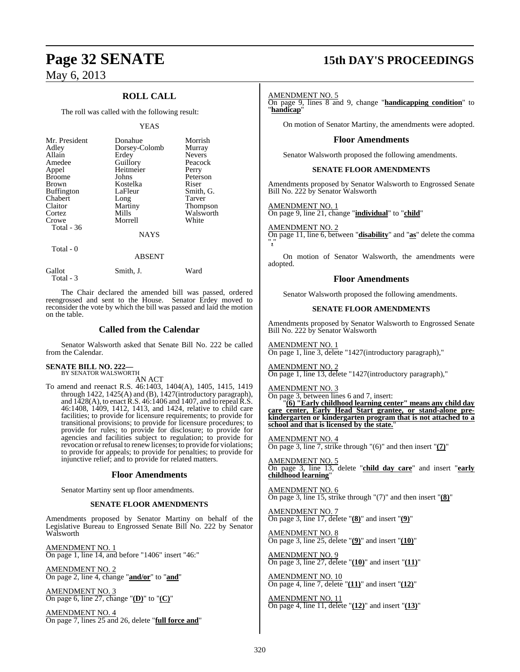## **ROLL CALL**

The roll was called with the following result:

#### YEAS

| Mr. President<br>Adley<br>Allain<br>Amedee<br>Appel<br><b>Broome</b><br><b>Brown</b><br><b>Buffington</b><br>Chabert<br>Claitor<br>Cortez<br>Crowe | Donahue<br>Dorsey-Colomb<br>Erdey<br>Guillory<br>Heitmeier<br>Johns<br>Kostelka<br>LaFleur<br>Long<br>Martiny<br>Mills<br>Morrell | Morrish<br>Murray<br><b>Nevers</b><br>Peacock<br>Perry<br>Peterson<br>Riser<br>Smith, G.<br><b>Tarver</b><br>Thompson<br>Walsworth<br>White |
|----------------------------------------------------------------------------------------------------------------------------------------------------|-----------------------------------------------------------------------------------------------------------------------------------|---------------------------------------------------------------------------------------------------------------------------------------------|
| Total $-36$                                                                                                                                        |                                                                                                                                   |                                                                                                                                             |
|                                                                                                                                                    | <b>NAYS</b>                                                                                                                       |                                                                                                                                             |

Total - 0

#### ABSENT

| Gallot    | Smith, J. | Ward |
|-----------|-----------|------|
| Total - 3 |           |      |

The Chair declared the amended bill was passed, ordered reengrossed and sent to the House. Senator Erdey moved to reconsider the vote by which the bill was passed and laid the motion on the table.

### **Called from the Calendar**

Senator Walsworth asked that Senate Bill No. 222 be called from the Calendar.

#### **SENATE BILL NO. 222—** BY SENATOR WALSWORTH

AN ACT

To amend and reenact R.S. 46:1403, 1404(A), 1405, 1415, 1419 through 1422, 1425(A) and (B), 1427(introductory paragraph), and 1428(A), to enact R.S. 46:1406 and 1407, and to repeal R.S. 46:1408, 1409, 1412, 1413, and 1424, relative to child care facilities; to provide for licensure requirements; to provide for transitional provisions; to provide for licensure procedures; to provide for rules; to provide for disclosure; to provide for agencies and facilities subject to regulation; to provide for revocation or refusal to renew licenses; to provide for violations; to provide for appeals; to provide for penalties; to provide for injunctive relief; and to provide for related matters.

#### **Floor Amendments**

Senator Martiny sent up floor amendments.

#### **SENATE FLOOR AMENDMENTS**

Amendments proposed by Senator Martiny on behalf of the Legislative Bureau to Engrossed Senate Bill No. 222 by Senator Walsworth

AMENDMENT NO. 1 On page 1, line 14, and before "1406" insert "46:"

AMENDMENT NO. 2 On page 2, line 4, change "**and/or**" to "**and**"

AMENDMENT NO. 3 On page 6, line 27, change "**(D)**" to "**(C)**"

AMENDMENT NO. 4 On page 7, lines 25 and 26, delete "**full force and**"

# **Page 32 SENATE 15th DAY'S PROCEEDINGS**

#### AMENDMENT NO. 5

On page 9, lines 8 and 9, change "**handicapping condition**" to "**handicap**"

On motion of Senator Martiny, the amendments were adopted.

#### **Floor Amendments**

Senator Walsworth proposed the following amendments.

#### **SENATE FLOOR AMENDMENTS**

Amendments proposed by Senator Walsworth to Engrossed Senate Bill No. 222 by Senator Walsworth

#### AMENDMENT NO. 1

On page 9, line 21, change "**individual**" to "**child**"

AMENDMENT NO. 2 On page 11, line 6, between "**disability**" and "**as**" delete the comma "**,**"

On motion of Senator Walsworth, the amendments were adopted.

#### **Floor Amendments**

Senator Walsworth proposed the following amendments.

#### **SENATE FLOOR AMENDMENTS**

Amendments proposed by Senator Walsworth to Engrossed Senate Bill No. 222 by Senator Walsworth

AMENDMENT NO. 1 On page 1, line 3, delete "1427(introductory paragraph),"

AMENDMENT NO. 2 On page 1, line 13, delete "1427(introductory paragraph),"

AMENDMENT NO. 3 On page 3, between lines 6 and 7, insert:

"**(6) "Early childhood learning center" means any child day care center, Early Head Start grantee, or stand-alone prekindergarten or kindergarten program that is not attached to a** school and that is licensed by the state.

AMENDMENT NO. 4 On page 3, line 7, strike through "(6)" and then insert "**(7)**"

AMENDMENT NO. 5 On page 3, line 13, delete "**child day care**" and insert "**early childhood learning**"

AMENDMENT NO. 6 On page 3, line 15, strike through "(7)" and then insert "**(8)**"

AMENDMENT NO. 7 On page 3, line 17, delete "**(8)**" and insert "**(9)**"

AMENDMENT NO. 8 On page 3, line 25, delete "**(9)**" and insert "**(10)**"

AMENDMENT NO. 9 On page 3, line 27, delete "**(10)**" and insert "**(11)**"

AMENDMENT NO. 10 On page 4, line 7, delete "**(11)**" and insert "**(12)**"

AMENDMENT NO. 11 On page 4, line 11, delete "**(12)**" and insert "**(13)**"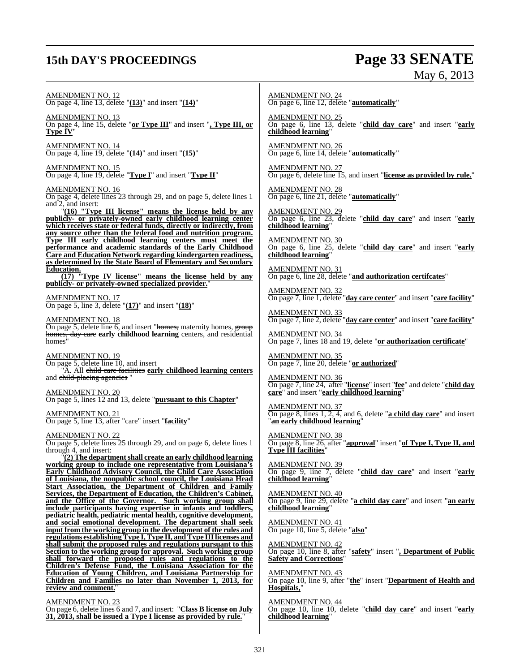# **15th DAY'S PROCEEDINGS Page 33 SENATE**

 $EMD$   $MRM$ 

May 6, 2013

| <b>AMENDMENT NO. 12</b><br>On page 4, line 13, delete " $(13)$ " and insert " $(14)$ "                                                                                                                                                                              | <b>AMENDMENT NO. 24</b><br>On page 6, line 12, delete "automatically"                                                                            |
|---------------------------------------------------------------------------------------------------------------------------------------------------------------------------------------------------------------------------------------------------------------------|--------------------------------------------------------------------------------------------------------------------------------------------------|
| $\frac{\text{AMENDMENT NO. 13}}{\text{On page 4, line 15, delete "or Type III" and insert ", Type III, or}}$<br>Type IV"                                                                                                                                            | AMENDMENT NO. 25<br>On page 6, line 13, delete "child day care" and insert "early<br>childhood learning"                                         |
| <u>AMENDMENT NO. 14</u><br>On page 4, line 19, delete " $(14)$ " and insert " $(15)$ "                                                                                                                                                                              | AMENDMENT NO. 26<br>On page 6, line 14, delete " <b>automatically</b> "                                                                          |
| <u>AMENDMENT NO. 15</u><br>On page 4, line 19, delete "Type I" and insert "Type II"                                                                                                                                                                                 | <b>AMENDMENT NO. 27</b><br>On page 6, delete line 15, and insert "license as provided by rule."                                                  |
| <u>AMENDMENT NO. 16</u><br>On page 4, delete lines 23 through 29, and on page 5, delete lines 1<br>and 2, and insert:                                                                                                                                               | <b>AMENDMENT NO. 28</b><br>On page 6, line 21, delete "automatically"                                                                            |
| $"$ (16) "Type III license" means the license held by any publicly- or privately-owned early childhood learning center<br>which receives state or federal funds, directly or indirectly, from<br>any source other than the federal food and nutrition program.      | <b>AMENDMENT NO. 29</b><br>On page 6, line 23, delete "child day care" and insert "early<br>childhood learning"                                  |
| Type III early childhood learning centers must meet the<br>performance and academic standards of the Early Childhood<br><b>Care and Education Network regarding kindergarten readiness,</b><br>as determined by the State Board of Elementary and Secondary         | <b>AMENDMENT NO. 30</b><br>On page 6, line 25, delete "child day care" and insert "early<br>childhood learning"                                  |
| <b>Education.</b><br>$\frac{(17)}{(17)}$ "Type IV license" means the license held by any publicly- or privately-owned specialized provider."                                                                                                                        | <b>AMENDMENT NO. 31</b><br>On page 6, line 28, delete "and authorization certifcates"                                                            |
| <b>AMENDMENT NO. 17</b><br>On page 5, line 3, delete " $(17)$ " and insert " $(18)$ "                                                                                                                                                                               | <b>AMENDMENT NO. 32</b><br>On page 7, line 1, delete "day care center" and insert "care facility"                                                |
| AMENDMENT NO. 18<br>On page 5, delete line 6, and insert "homes, maternity homes, group                                                                                                                                                                             | <b>AMENDMENT NO. 33</b><br>On page 7, line 2, delete "day care center" and insert "care facility"                                                |
| homes, day care early childhood learning centers, and residential homes"                                                                                                                                                                                            | AMENDMENT NO. 34<br>On page 7, lines 18 and 19, delete "or authorization certificate"                                                            |
| <u>AMENDMENT NO. 19</u><br>On page 5, delete line 10, and insert<br>"A. All child care facilities early childhood learning centers                                                                                                                                  | AMENDMENT NO. 35<br>On page 7, line 20, delete "or authorized"                                                                                   |
| and child-placing agencies "<br>AMENDMENT NO. 20<br>On page 5, lines 12 and 13, delete "pursuant to this Chapter"                                                                                                                                                   | <u>AMENDMENT NO. 36</u><br>On page 7, line 24, after "license" insert "fee" and delete "child day<br>care" and insert "early childhood learning" |
| <u>AMENDMENT NO. 21</u><br>On page 5, line 13, after "care" insert "facility"                                                                                                                                                                                       | <b>AMENDMENT NO. 37</b><br>On page 8, lines $1, 2, 4$ , and 6, delete " <b>a child day care</b> " and insert<br>"an early childhood learning"    |
| AMENDMENT NO. 22<br>On page 5, delete lines 25 through 29, and on page 6, delete lines 1<br>through 4, and insert:                                                                                                                                                  | AMENDMENT NO. 38<br>On page 8, line 26, after " <b>approval</b> " insert " <b>of Type I, Type II, and</b><br>Type III facilities"                |
| (2) The department shall create an early childhood learning<br>working group to include one representative from Louisiana's<br>Early Childhood Advisory Council, the Child Care Association<br>of Louisiana, the nonpublic school council, the Louisiana Head       | <b>AMENDMENT NO. 39</b><br>On page 9, line 7, delete "child day care" and insert "early<br>childhood learning"                                   |
| Start Association, the Department of Children and Family<br>Services, the Department of Education, the Children's Cabinet,<br>and the Office of the Governor. Such working group shall<br>include participants having expertise in infants and toddlers,            | <b>AMENDMENT NO. 40</b><br>On page 9, line 29, delete "a child day care" and insert "an early<br>childhood learning"                             |
| pediatric health, pediatric mental health, cognitive development,<br>and social emotional development. The department shall seek<br>input from the working group in the development of the rules and                                                                | <b>AMENDMENT NO. 41</b><br>On page 10, line 5, delete "also"                                                                                     |
| regulations establishing Type I, Type II, and Type III licenses and<br>shall submit the proposed rules and regulations pursuant to this<br>Section to the working group for approval. Such working group<br>shall forward the proposed rules and regulations to the | <b>AMENDMENT NO. 42</b><br>On page 10, line 8, after "safety" insert ", Department of Public<br><b>Safety and Corrections"</b>                   |
| Children's Defense Fund, the Louisiana Association for the<br><b>Education of Young Children, and Louisiana Partnership for</b><br>Children and Families no later than November 1, 2013, for                                                                        | <b>AMENDMENT NO. 43</b><br>On page 10, line 9, after "the" insert "Department of Health and                                                      |

On page 10, line 9, after "**the**" insert "**Department of Health and Hospitals,**"

AMENDMENT NO. 44 On page 10, line 10, delete "**child day care**" and insert "**early childhood learning**"

**review and comment.**" AMENDMENT NO. 23

On page 6, delete lines 6 and 7, and insert: "**Class B license on July 31, 2013, shall be issued a Type I license as provided by rule.**"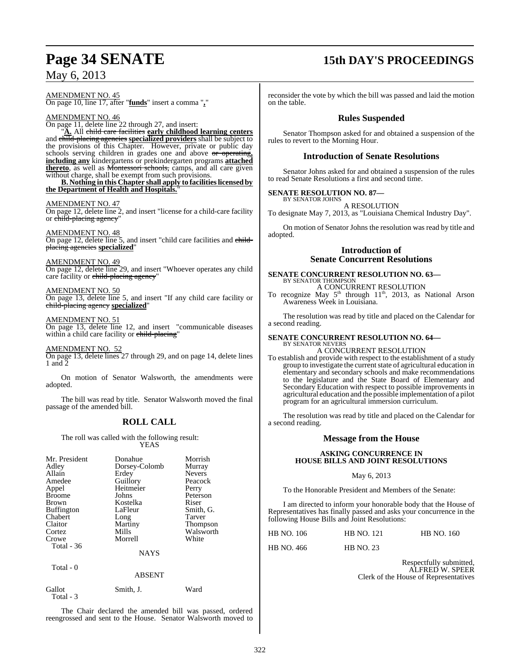AMENDMENT NO. 45 On page 10, line 17, after "**funds**" insert a comma "**,**"

AMENDMENT NO. 46

On page 11, delete line 22 through 27, and insert: "**A.** All child care facilities **early childhood learning centers** and child-placing agencies **specialized providers** shall be subject to the provisions of this Chapter. However, private or public day

schools serving children in grades one and above or operating**, including any** kindergartens or prekindergarten programs **attached thereto**, as well as Montessori schools, camps, and all care given without charge, shall be exempt from such provisions. **B. Nothing in this Chapter shall apply to facilitieslicensed by**

**the Department of Health and Hospitals.**"

#### AMENDMENT NO. 47

On page 12, delete line 2, and insert "license for a child-care facility or <del>child-placing agency</del>"

AMENDMENT NO. 48

On page 12, delete line 5, and insert "child care facilities and childplacing agencies **specialized**"

AMENDMENT NO. 49 On page 12, delete line 29, and insert "Whoever operates any child care facility or child-placing agency'

AMENDMENT NO. 50 On page 13, delete line 5, and insert "If any child care facility or child-placing agency **specialized**"

AMENDMENT NO. 51 On page 13, delete line 12, and insert "communicable diseases within a child care facility or child-placing

AMENDMENT NO. 52

On page 13, delete lines 27 through 29, and on page 14, delete lines 1 and 2

On motion of Senator Walsworth, the amendments were adopted.

The bill was read by title. Senator Walsworth moved the final passage of the amended bill.

## **ROLL CALL**

The roll was called with the following result: YEAS

| Mr. President<br>Adley<br>Allain<br>Amedee<br>Appel<br><b>Broome</b><br><b>Brown</b><br><b>Buffington</b><br>Chabert<br>Claitor<br>Cortez<br>Crowe | Donahue<br>Dorsey-Colomb<br>Erdey<br>Guillory<br>Heitmeier<br>Johns<br>Kostelka<br>LaFleur<br>Long<br>Martiny<br>Mills<br>Morrell | Morrish<br>Murray<br><b>Nevers</b><br>Peacock<br>Perry<br>Peterson<br>Riser<br>Smith, G.<br><b>Tarver</b><br>Thompson<br>Walsworth<br>White |
|----------------------------------------------------------------------------------------------------------------------------------------------------|-----------------------------------------------------------------------------------------------------------------------------------|---------------------------------------------------------------------------------------------------------------------------------------------|
| Total - 36                                                                                                                                         |                                                                                                                                   |                                                                                                                                             |
|                                                                                                                                                    | <b>NAYS</b>                                                                                                                       |                                                                                                                                             |

Total - 0

## ABSENT

| Gallot    | Smith, J. | Ward |
|-----------|-----------|------|
| Total - 3 |           |      |

The Chair declared the amended bill was passed, ordered reengrossed and sent to the House. Senator Walsworth moved to

# **Page 34 SENATE 15th DAY'S PROCEEDINGS**

reconsider the vote by which the bill was passed and laid the motion on the table.

## **Rules Suspended**

Senator Thompson asked for and obtained a suspension of the rules to revert to the Morning Hour.

## **Introduction of Senate Resolutions**

Senator Johns asked for and obtained a suspension of the rules to read Senate Resolutions a first and second time.

#### **SENATE RESOLUTION NO. 87—** BY SENATOR JOHNS

A RESOLUTION

To designate May 7, 2013, as "Louisiana Chemical Industry Day".

On motion of Senator Johns the resolution was read by title and adopted.

## **Introduction of Senate Concurrent Resolutions**

#### **SENATE CONCURRENT RESOLUTION NO. 63—** BY SENATOR THOMPSON

A CONCURRENT RESOLUTION

To recognize May  $5<sup>th</sup>$  through  $11<sup>th</sup>$ , 2013, as National Arson Awareness Week in Louisiana.

The resolution was read by title and placed on the Calendar for a second reading.

#### **SENATE CONCURRENT RESOLUTION NO. 64—** BY SENATOR NEVERS

A CONCURRENT RESOLUTION

To establish and provide with respect to the establishment of a study group to investigate the current state of agricultural education in elementary and secondary schools and make recommendations to the legislature and the State Board of Elementary and Secondary Education with respect to possible improvements in agricultural education and the possible implementation of a pilot program for an agricultural immersion curriculum.

The resolution was read by title and placed on the Calendar for a second reading.

## **Message from the House**

#### **ASKING CONCURRENCE IN HOUSE BILLS AND JOINT RESOLUTIONS**

May 6, 2013

To the Honorable President and Members of the Senate:

I am directed to inform your honorable body that the House of Representatives has finally passed and asks your concurrence in the following House Bills and Joint Resolutions:

|  | <b>HB NO. 106</b> | <b>HB NO. 121</b> | <b>HB NO. 160</b> |
|--|-------------------|-------------------|-------------------|
|--|-------------------|-------------------|-------------------|

HB NO. 466 HB NO. 23

Respectfully submitted, ALFRED W. SPEER Clerk of the House of Representatives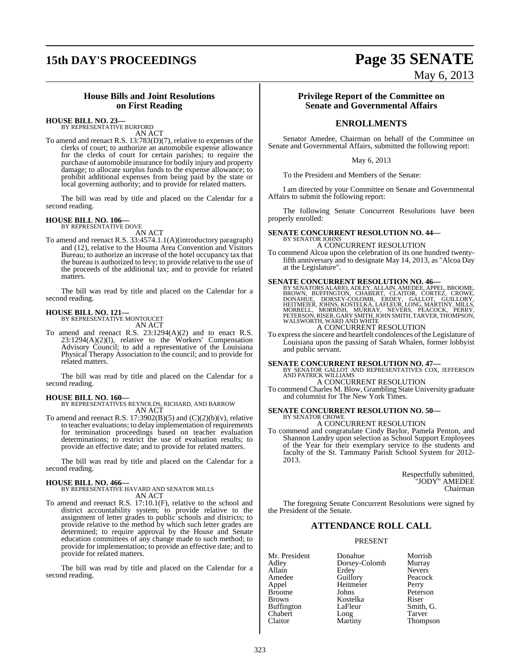# **15th DAY'S PROCEEDINGS Page 35 SENATE**

May 6, 2013

## **House Bills and Joint Resolutions on First Reading**

**HOUSE BILL NO. 23—**

BY REPRESENTATIVE BURFORD AN ACT

To amend and reenact R.S. 13:783(D)(7), relative to expenses of the clerks of court; to authorize an automobile expense allowance for the clerks of court for certain parishes; to require the purchase of automobile insurance for bodily injury and property damage; to allocate surplus funds to the expense allowance; to prohibit additional expenses from being paid by the state or local governing authority; and to provide for related matters.

The bill was read by title and placed on the Calendar for a second reading.

# **HOUSE BILL NO. 106—** BY REPRESENTATIVE DOVE

AN ACT

To amend and reenact R.S. 33:4574.1.1(A)(introductory paragraph) and (12), relative to the Houma Area Convention and Visitors Bureau; to authorize an increase of the hotel occupancy tax that the bureau is authorized to levy; to provide relative to the use of the proceeds of the additional tax; and to provide for related matters.

The bill was read by title and placed on the Calendar for a second reading.

# **HOUSE BILL NO. 121—** BY REPRESENTATIVE MONTOUCET

AN ACT

To amend and reenact R.S. 23:1294(A)(2) and to enact R.S. 23:1294(A)(2)(l), relative to the Workers' Compensation Advisory Council; to add a representative of the Louisiana Physical Therapy Association to the council; and to provide for related matters.

The bill was read by title and placed on the Calendar for a second reading.

#### **HOUSE BILL NO. 160—**

BY REPRESENTATIVES REYNOLDS, RICHARD, AND BARROW AN ACT

To amend and reenact R.S. 17:3902(B)(5) and  $(C)(2)(b)(v)$ , relative to teacher evaluations; to delay implementation of requirements for termination proceedings based on teacher evaluation determinations; to restrict the use of evaluation results; to provide an effective date; and to provide for related matters.

The bill was read by title and placed on the Calendar for a second reading.

#### **HOUSE BILL NO. 466—**

BY REPRESENTATIVE HAVARD AND SENATOR MILLS AN ACT

To amend and reenact R.S. 17:10.1(F), relative to the school and district accountability system; to provide relative to the assignment of letter grades to public schools and districts; to provide relative to the method by which such letter grades are determined; to require approval by the House and Senate education committees of any change made to such method; to provide for implementation; to provide an effective date; and to provide for related matters.

The bill was read by title and placed on the Calendar for a second reading.

#### **Privilege Report of the Committee on Senate and Governmental Affairs**

## **ENROLLMENTS**

Senator Amedee, Chairman on behalf of the Committee on Senate and Governmental Affairs, submitted the following report:

#### May 6, 2013

To the President and Members of the Senate:

I am directed by your Committee on Senate and Governmental Affairs to submit the following report:

The following Senate Concurrent Resolutions have been properly enrolled:

#### **SENATE CONCURRENT RESOLUTION NO. 44—** BY SENATOR JOHNS

A CONCURRENT RESOLUTION

To commend Alcoa upon the celebration of its one hundred twentyfifth anniversary and to designate May 14, 2013, as "Alcoa Day at the Legislature".

**SENATE CONCURRENT RESOLUTION NO. 46—BY SENATORS ALARIO, ADLEY, ALLAIN, AMEDEE, APPEL, BROOME BROOME, CORTEZ, CROWE, DONAHUE, DORSEY-COLOMB, ERDEY, GALLOT, GUILLORY, HEITMEIER, JOHNS, KOSTELKA, LAFLEUR, LONG, MARTINY, MILL** 

## A CONCURRENT RESOLUTION

To express the sincere and heartfelt condolences of the Legislature of Louisiana upon the passing of Sarah Whalen, former lobbyist and public servant.

**SENATE CONCURRENT RESOLUTION NO. 47—BY SENATOR GALLOT AND REPRESENTATIVES COX, JEFFERSON AND PATRICK WILLIAMS** A CONCURRENT RESOLUTION

To commend Charles M. Blow, Grambling State University graduate and columnist for The New York Times.

#### **SENATE CONCURRENT RESOLUTION NO. 50—** BY SENATOR CROWE

A CONCURRENT RESOLUTION

To commend and congratulate Cindy Baylor, Pamela Penton, and Shannon Landry upon selection as School Support Employees of the Year for their exemplary service to the students and faculty of the St. Tammany Parish School System for 2012- 2013.

> Respectfully submitted, "JODY" AMEDEE Chairman

The foregoing Senate Concurrent Resolutions were signed by the President of the Senate.

### **ATTENDANCE ROLL CALL**

#### PRESENT

| Mr. President     | Donahue       | Morrish       |
|-------------------|---------------|---------------|
| Adley             | Dorsey-Colomb | Murray        |
| Allain            | Erdey         | <b>Nevers</b> |
| Amedee            | Guillory      | Peacock       |
| Appel             | Heitmeier     | Perry         |
| <b>Broome</b>     | Johns         | Peterson      |
| <b>Brown</b>      | Kostelka      | Riser         |
| <b>Buffington</b> | LaFleur       | Smith, G.     |
| Chabert           | Long          | Tarver        |
| Claitor           | Martiny       | Thompson      |